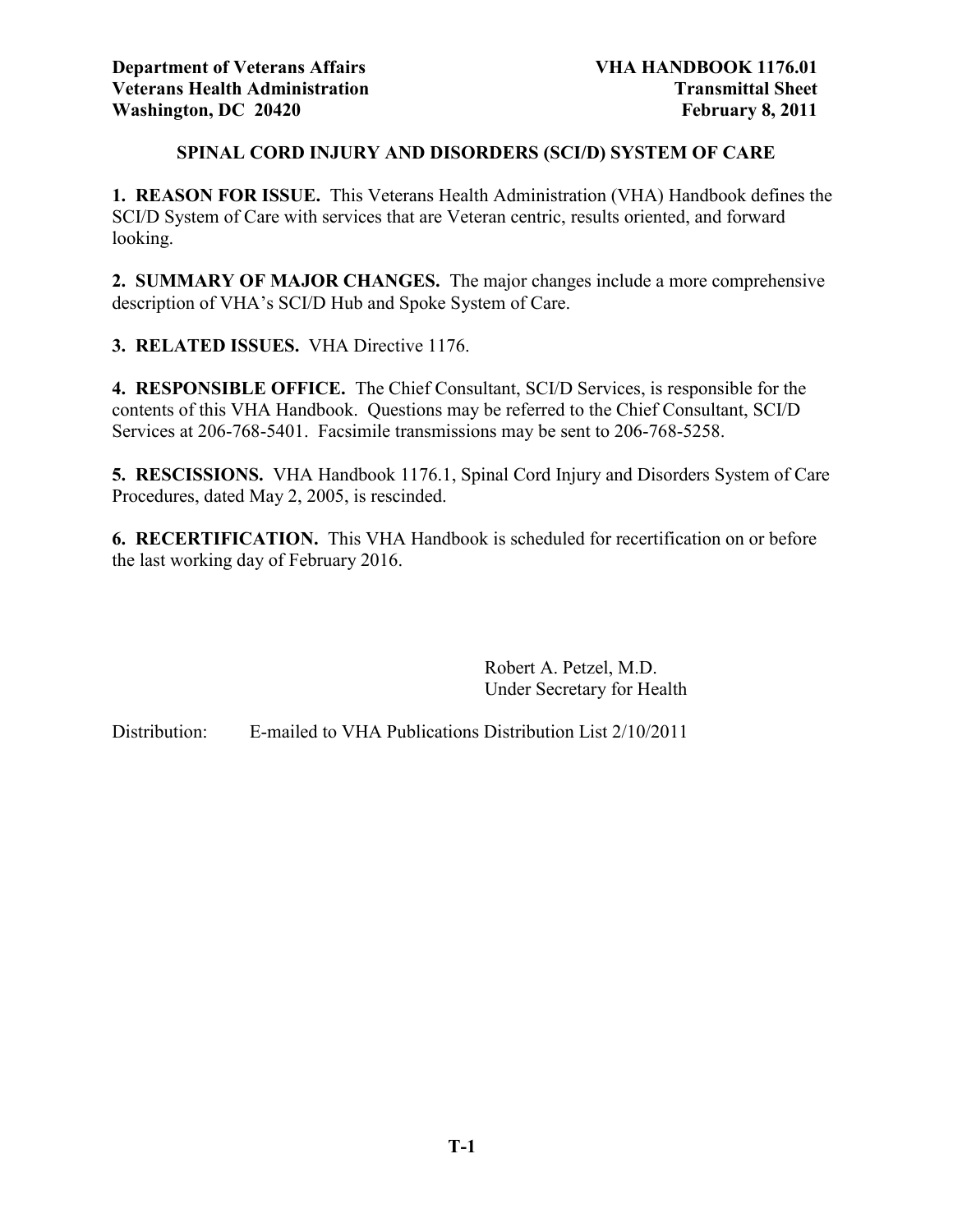# **SPINAL CORD INJURY AND DISORDERS (SCI/D) SYSTEM OF CARE**

**1. REASON FOR ISSUE.** This Veterans Health Administration (VHA) Handbook defines the SCI/D System of Care with services that are Veteran centric, results oriented, and forward looking.

**2. SUMMARY OF MAJOR CHANGES.** The major changes include a more comprehensive description of VHA's SCI/D Hub and Spoke System of Care.

**3. RELATED ISSUES.** VHA Directive 1176.

**4. RESPONSIBLE OFFICE.** The Chief Consultant, SCI/D Services, is responsible for the contents of this VHA Handbook. Questions may be referred to the Chief Consultant, SCI/D Services at 206-768-5401. Facsimile transmissions may be sent to 206-768-5258.

**5. RESCISSIONS.** VHA Handbook 1176.1, Spinal Cord Injury and Disorders System of Care Procedures, dated May 2, 2005, is rescinded.

**6. RECERTIFICATION.** This VHA Handbook is scheduled for recertification on or before the last working day of February 2016.

> Robert A. Petzel, M.D. Under Secretary for Health

Distribution: E-mailed to VHA Publications Distribution List 2/10/2011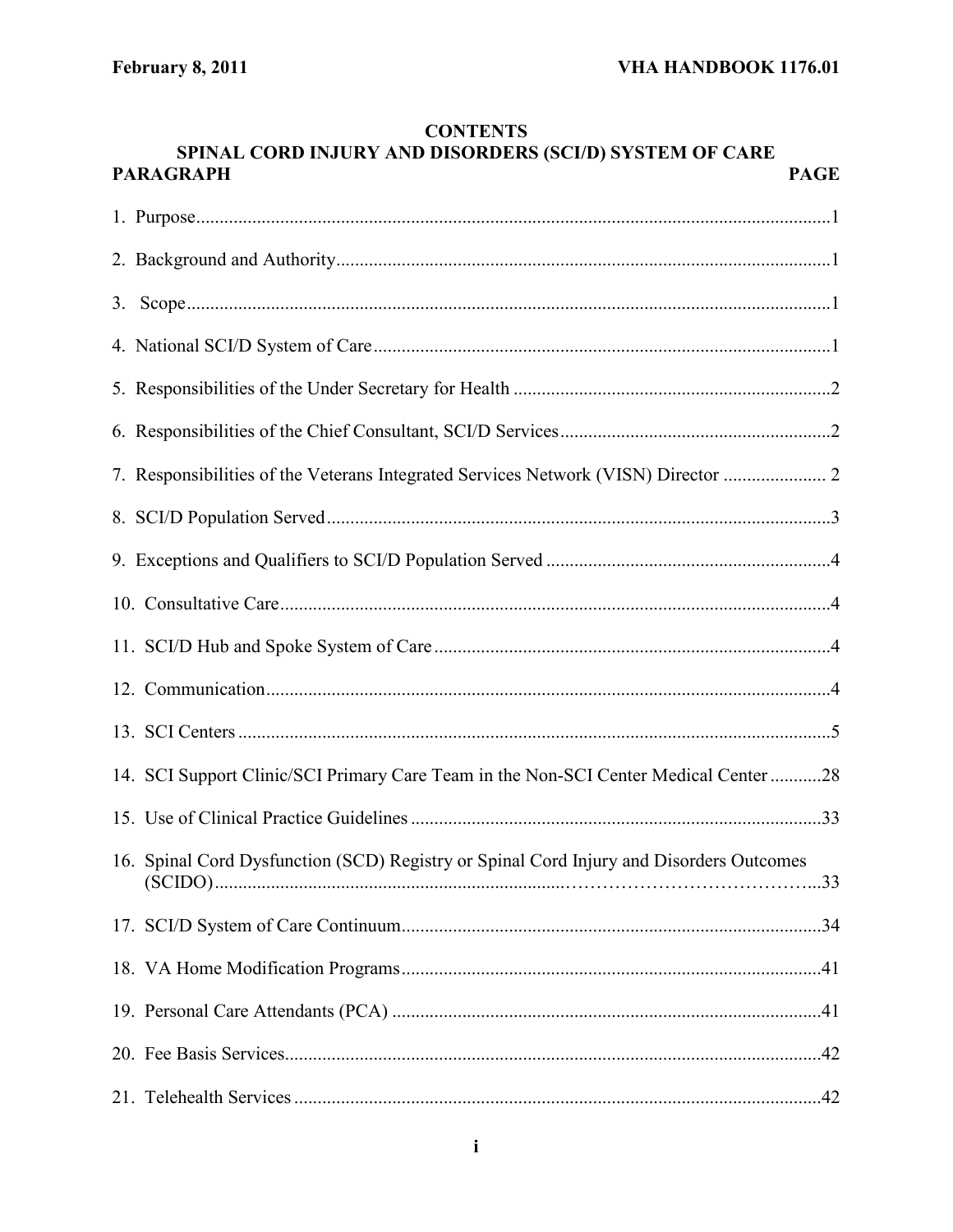# SPINAL CORD INJURY AND DISORDERS (SCI/D) SYSTEM OF CARE **PARAGRAPH PAGE** 14. SCI Support Clinic/SCI Primary Care Team in the Non-SCI Center Medical Center ...........28 16. Spinal Cord Dysfunction (SCD) Registry or Spinal Cord Injury and Disorders Outcomes

# **CONTENTS**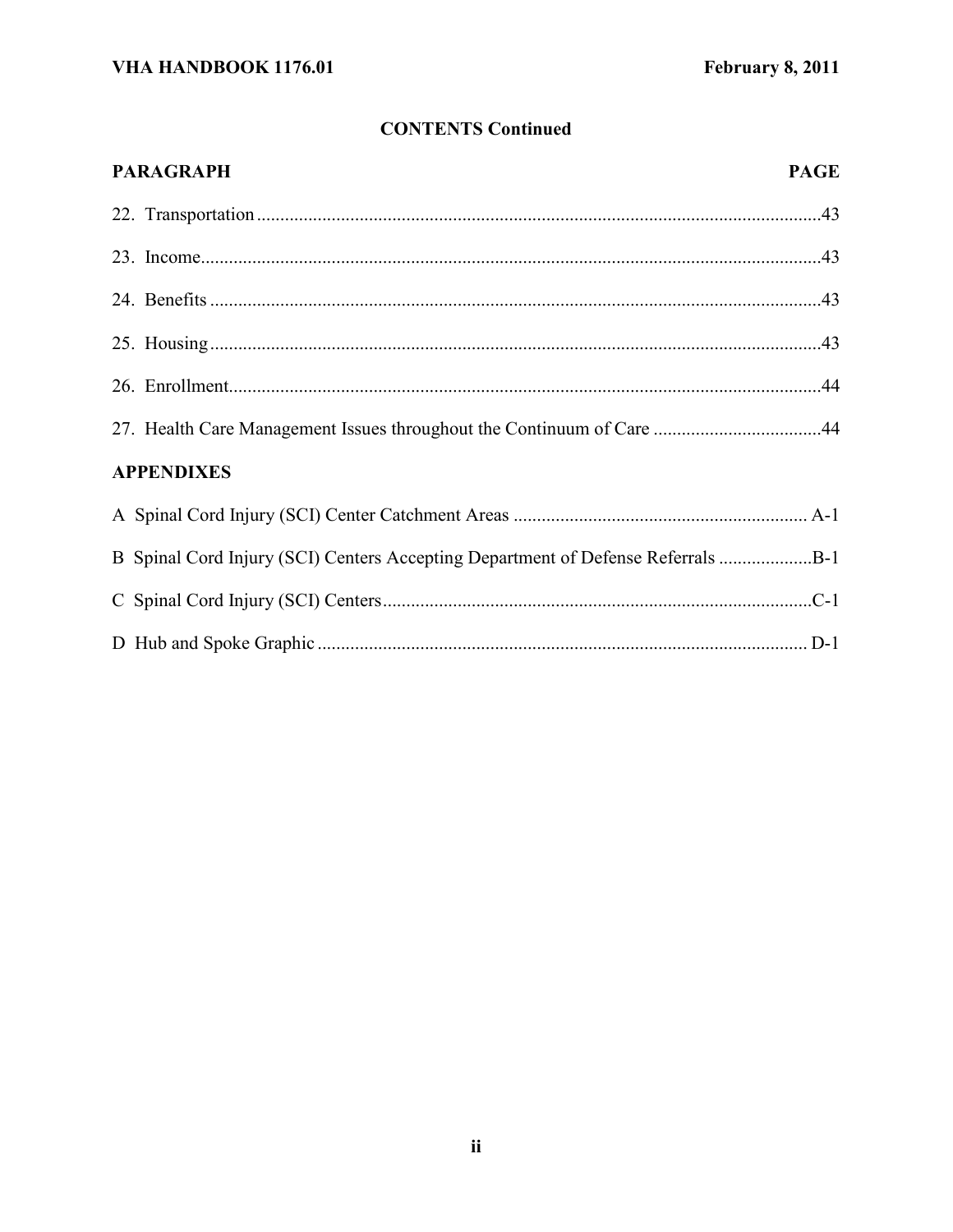# **CONTENTS Continued**

| <b>PARAGRAPH</b>                                                             | <b>PAGE</b> |
|------------------------------------------------------------------------------|-------------|
|                                                                              |             |
|                                                                              |             |
|                                                                              |             |
|                                                                              |             |
|                                                                              |             |
|                                                                              |             |
| <b>APPENDIXES</b>                                                            |             |
|                                                                              |             |
| B Spinal Cord Injury (SCI) Centers Accepting Department of Defense Referrals |             |
|                                                                              |             |
|                                                                              |             |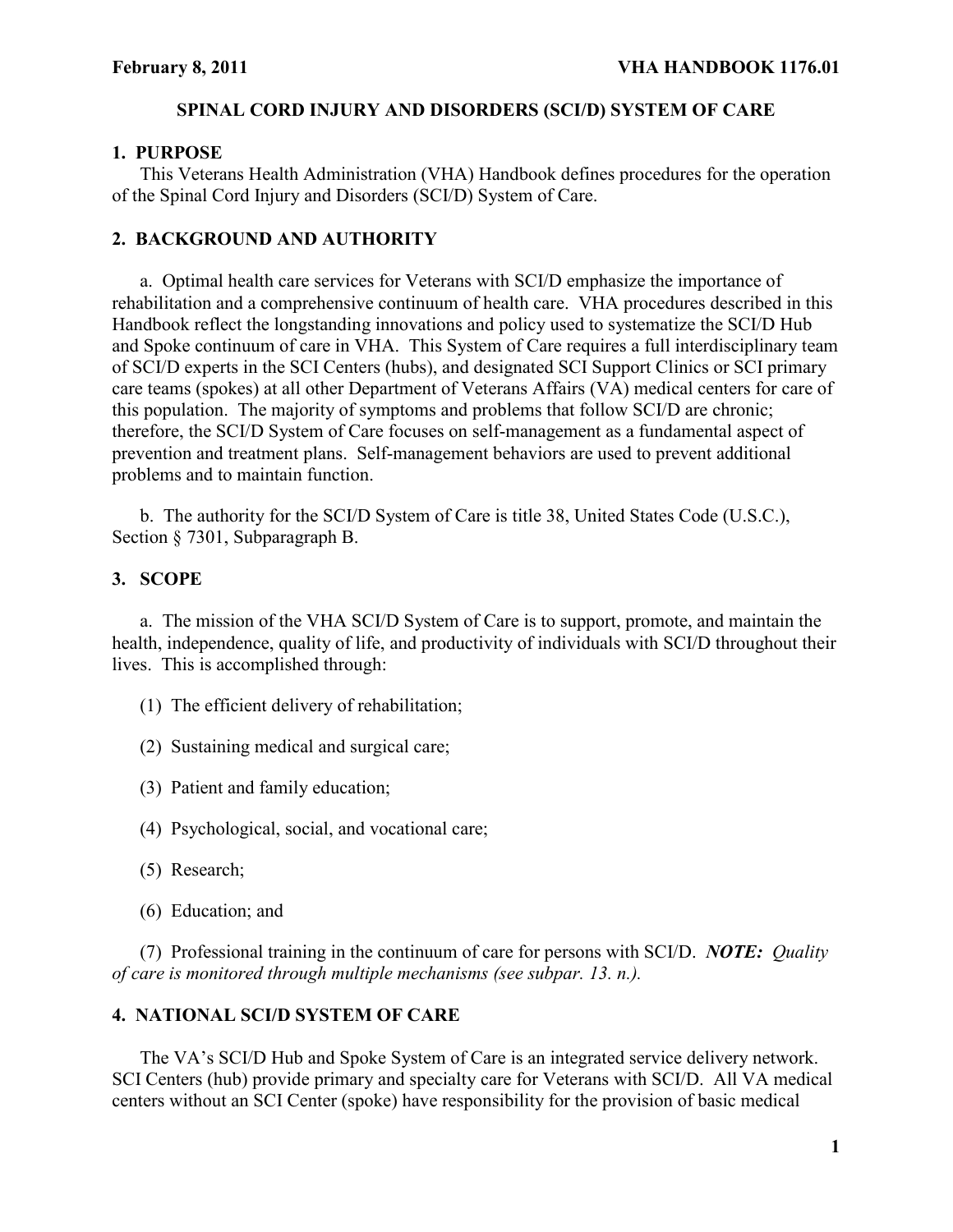#### **SPINAL CORD INJURY AND DISORDERS (SCI/D) SYSTEM OF CARE**

#### **1. PURPOSE**

This Veterans Health Administration (VHA) Handbook defines procedures for the operation of the Spinal Cord Injury and Disorders (SCI/D) System of Care.

### **2. BACKGROUND AND AUTHORITY**

a. Optimal health care services for Veterans with SCI/D emphasize the importance of rehabilitation and a comprehensive continuum of health care. VHA procedures described in this Handbook reflect the longstanding innovations and policy used to systematize the SCI/D Hub and Spoke continuum of care in VHA. This System of Care requires a full interdisciplinary team of SCI/D experts in the SCI Centers (hubs), and designated SCI Support Clinics or SCI primary care teams (spokes) at all other Department of Veterans Affairs (VA) medical centers for care of this population. The majority of symptoms and problems that follow SCI/D are chronic; therefore, the SCI/D System of Care focuses on self-management as a fundamental aspect of prevention and treatment plans. Self-management behaviors are used to prevent additional problems and to maintain function.

b. The authority for the SCI/D System of Care is title 38, United States Code (U.S.C.), Section § 7301, Subparagraph B.

### **3. SCOPE**

a. The mission of the VHA SCI/D System of Care is to support, promote, and maintain the health, independence, quality of life, and productivity of individuals with SCI/D throughout their lives. This is accomplished through:

- (1) The efficient delivery of rehabilitation;
- (2) Sustaining medical and surgical care;
- (3) Patient and family education;
- (4) Psychological, social, and vocational care;
- (5) Research;
- (6) Education; and

(7) Professional training in the continuum of care for persons with SCI/D. *NOTE: Quality of care is monitored through multiple mechanisms (see subpar. 13. n.).*

### **4. NATIONAL SCI/D SYSTEM OF CARE**

The VA's SCI/D Hub and Spoke System of Care is an integrated service delivery network. SCI Centers (hub) provide primary and specialty care for Veterans with SCI/D. All VA medical centers without an SCI Center (spoke) have responsibility for the provision of basic medical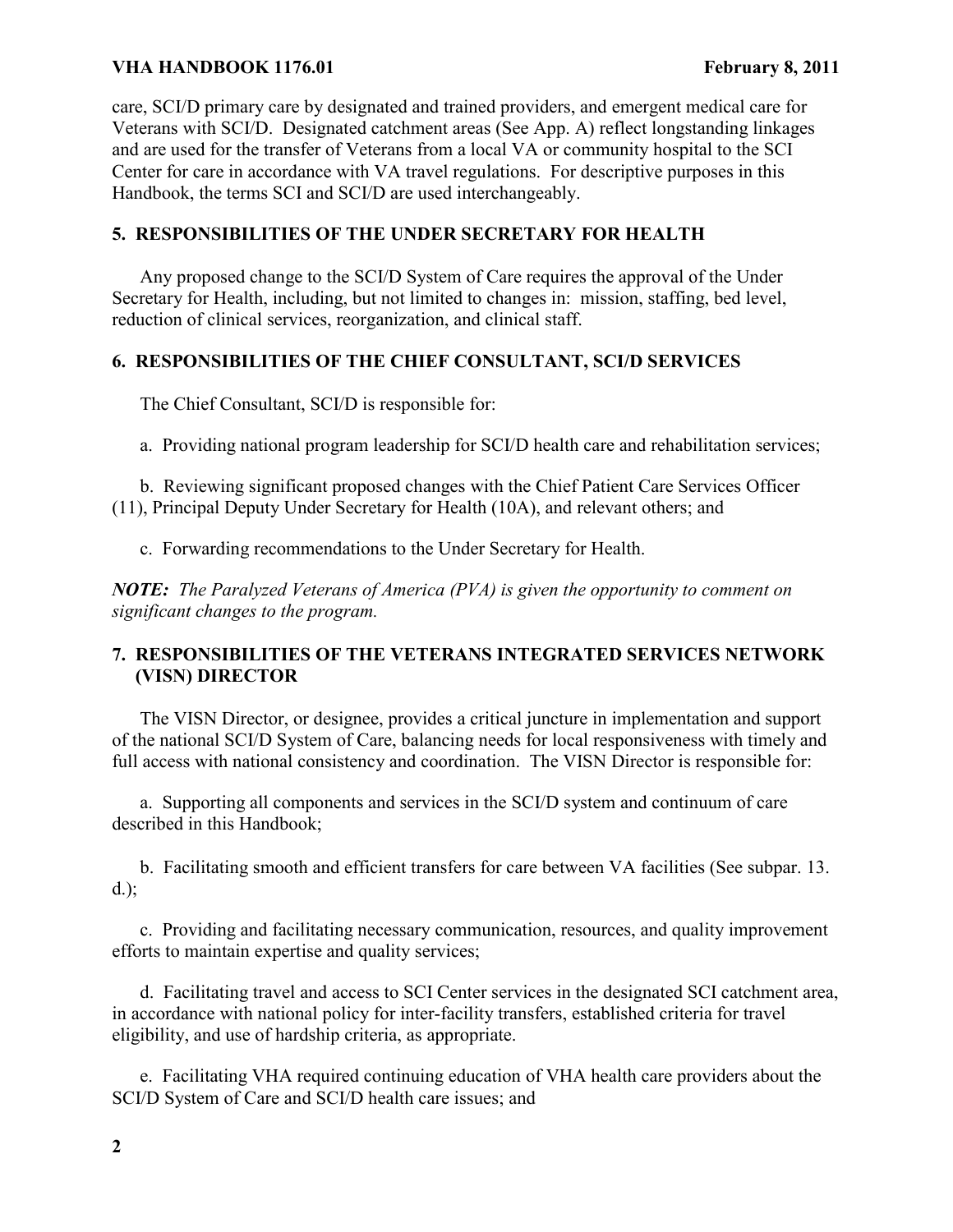care, SCI/D primary care by designated and trained providers, and emergent medical care for Veterans with SCI/D. Designated catchment areas (See App. A) reflect longstanding linkages and are used for the transfer of Veterans from a local VA or community hospital to the SCI Center for care in accordance with VA travel regulations. For descriptive purposes in this Handbook, the terms SCI and SCI/D are used interchangeably.

# **5. RESPONSIBILITIES OF THE UNDER SECRETARY FOR HEALTH**

Any proposed change to the SCI/D System of Care requires the approval of the Under Secretary for Health, including, but not limited to changes in: mission, staffing, bed level, reduction of clinical services, reorganization, and clinical staff.

# **6. RESPONSIBILITIES OF THE CHIEF CONSULTANT, SCI/D SERVICES**

The Chief Consultant, SCI/D is responsible for:

a. Providing national program leadership for SCI/D health care and rehabilitation services;

b. Reviewing significant proposed changes with the Chief Patient Care Services Officer (11), Principal Deputy Under Secretary for Health (10A), and relevant others; and

c. Forwarding recommendations to the Under Secretary for Health.

*NOTE: The Paralyzed Veterans of America (PVA) is given the opportunity to comment on significant changes to the program.* 

# **7. RESPONSIBILITIES OF THE VETERANS INTEGRATED SERVICES NETWORK (VISN) DIRECTOR**

The VISN Director, or designee, provides a critical juncture in implementation and support of the national SCI/D System of Care, balancing needs for local responsiveness with timely and full access with national consistency and coordination. The VISN Director is responsible for:

a. Supporting all components and services in the SCI/D system and continuum of care described in this Handbook;

b. Facilitating smooth and efficient transfers for care between VA facilities (See subpar. 13. d.);

c. Providing and facilitating necessary communication, resources, and quality improvement efforts to maintain expertise and quality services;

d. Facilitating travel and access to SCI Center services in the designated SCI catchment area, in accordance with national policy for inter-facility transfers, established criteria for travel eligibility, and use of hardship criteria, as appropriate.

e. Facilitating VHA required continuing education of VHA health care providers about the SCI/D System of Care and SCI/D health care issues; and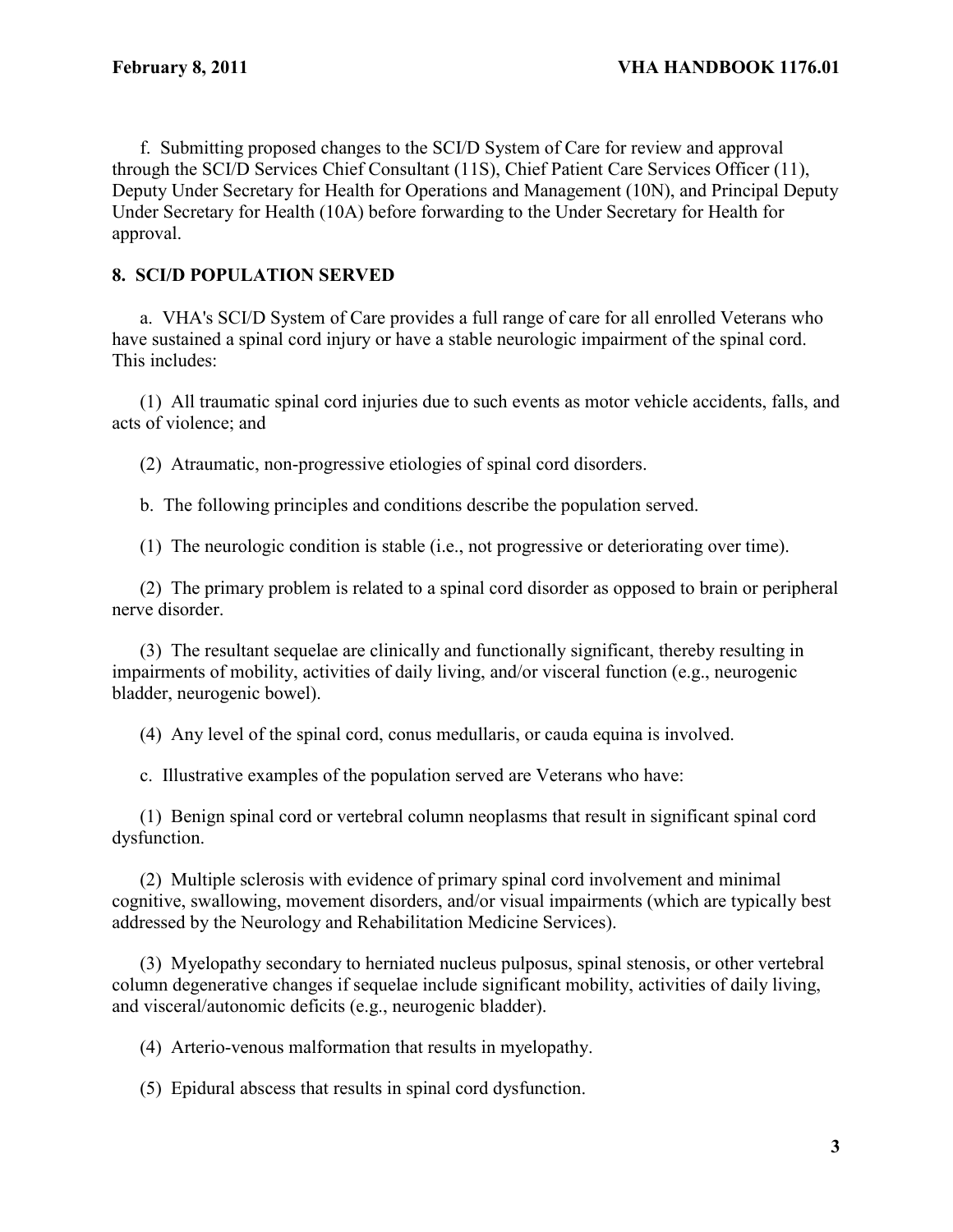f. Submitting proposed changes to the SCI/D System of Care for review and approval through the SCI/D Services Chief Consultant (11S), Chief Patient Care Services Officer (11), Deputy Under Secretary for Health for Operations and Management (10N), and Principal Deputy Under Secretary for Health (10A) before forwarding to the Under Secretary for Health for approval.

# **8. SCI/D POPULATION SERVED**

a. VHA's SCI/D System of Care provides a full range of care for all enrolled Veterans who have sustained a spinal cord injury or have a stable neurologic impairment of the spinal cord. This includes:

(1) All traumatic spinal cord injuries due to such events as motor vehicle accidents, falls, and acts of violence; and

(2) Atraumatic, non-progressive etiologies of spinal cord disorders.

b. The following principles and conditions describe the population served.

(1) The neurologic condition is stable (i.e., not progressive or deteriorating over time).

(2) The primary problem is related to a spinal cord disorder as opposed to brain or peripheral nerve disorder.

(3) The resultant sequelae are clinically and functionally significant, thereby resulting in impairments of mobility, activities of daily living, and/or visceral function (e.g., neurogenic bladder, neurogenic bowel).

(4) Any level of the spinal cord, conus medullaris, or cauda equina is involved.

c. Illustrative examples of the population served are Veterans who have:

(1) Benign spinal cord or vertebral column neoplasms that result in significant spinal cord dysfunction.

(2) Multiple sclerosis with evidence of primary spinal cord involvement and minimal cognitive, swallowing, movement disorders, and/or visual impairments (which are typically best addressed by the Neurology and Rehabilitation Medicine Services).

(3) Myelopathy secondary to herniated nucleus pulposus, spinal stenosis, or other vertebral column degenerative changes if sequelae include significant mobility, activities of daily living, and visceral/autonomic deficits (e.g., neurogenic bladder).

(4) Arterio-venous malformation that results in myelopathy.

(5) Epidural abscess that results in spinal cord dysfunction.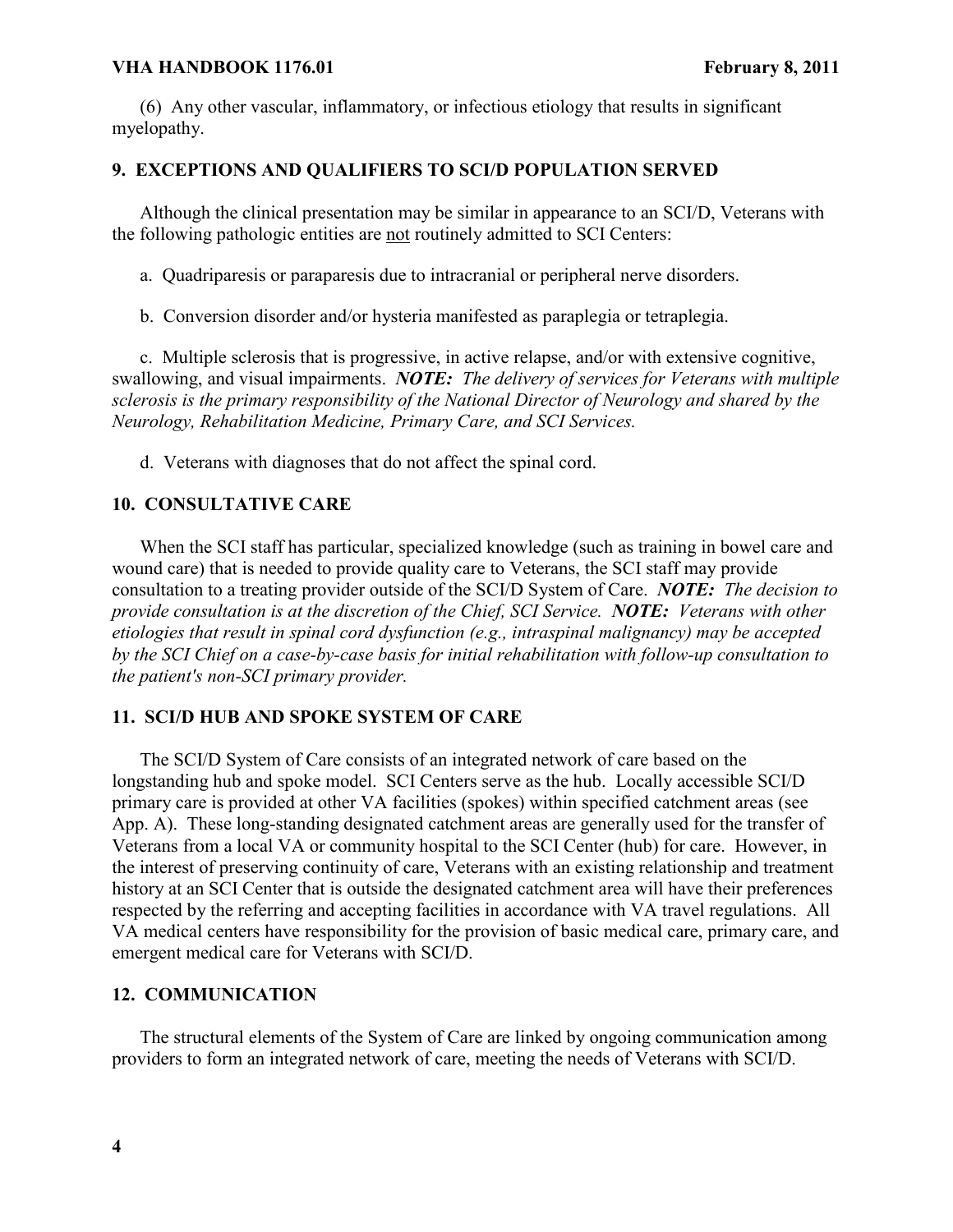(6) Any other vascular, inflammatory, or infectious etiology that results in significant myelopathy.

# **9. EXCEPTIONS AND QUALIFIERS TO SCI/D POPULATION SERVED**

Although the clinical presentation may be similar in appearance to an SCI/D, Veterans with the following pathologic entities are not routinely admitted to SCI Centers:

a. Quadriparesis or paraparesis due to intracranial or peripheral nerve disorders.

b. Conversion disorder and/or hysteria manifested as paraplegia or tetraplegia.

c. Multiple sclerosis that is progressive, in active relapse, and/or with extensive cognitive, swallowing, and visual impairments. *NOTE: The delivery of services for Veterans with multiple sclerosis is the primary responsibility of the National Director of Neurology and shared by the Neurology, Rehabilitation Medicine, Primary Care, and SCI Services.* 

d. Veterans with diagnoses that do not affect the spinal cord.

# **10. CONSULTATIVE CARE**

When the SCI staff has particular, specialized knowledge (such as training in bowel care and wound care) that is needed to provide quality care to Veterans, the SCI staff may provide consultation to a treating provider outside of the SCI/D System of Care. *NOTE: The decision to provide consultation is at the discretion of the Chief, SCI Service. NOTE: Veterans with other etiologies that result in spinal cord dysfunction (e.g., intraspinal malignancy) may be accepted by the SCI Chief on a case-by-case basis for initial rehabilitation with follow-up consultation to the patient's non-SCI primary provider.*

# **11. SCI/D HUB AND SPOKE SYSTEM OF CARE**

The SCI/D System of Care consists of an integrated network of care based on the longstanding hub and spoke model. SCI Centers serve as the hub. Locally accessible SCI/D primary care is provided at other VA facilities (spokes) within specified catchment areas (see App. A). These long-standing designated catchment areas are generally used for the transfer of Veterans from a local VA or community hospital to the SCI Center (hub) for care. However, in the interest of preserving continuity of care, Veterans with an existing relationship and treatment history at an SCI Center that is outside the designated catchment area will have their preferences respected by the referring and accepting facilities in accordance with VA travel regulations. All VA medical centers have responsibility for the provision of basic medical care, primary care, and emergent medical care for Veterans with SCI/D.

# **12. COMMUNICATION**

The structural elements of the System of Care are linked by ongoing communication among providers to form an integrated network of care, meeting the needs of Veterans with SCI/D.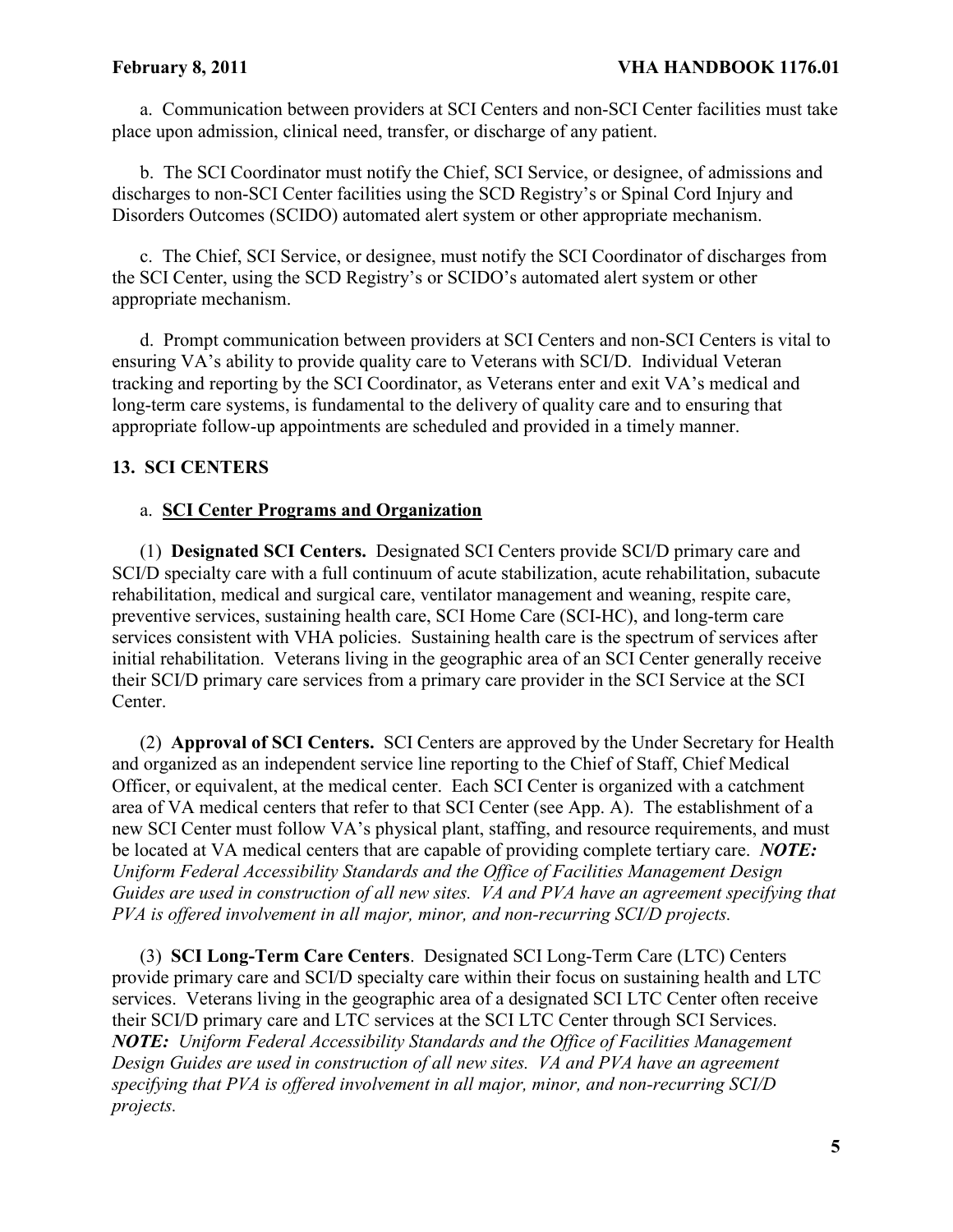a. Communication between providers at SCI Centers and non-SCI Center facilities must take place upon admission, clinical need, transfer, or discharge of any patient.

b. The SCI Coordinator must notify the Chief, SCI Service, or designee, of admissions and discharges to non-SCI Center facilities using the SCD Registry's or Spinal Cord Injury and Disorders Outcomes (SCIDO) automated alert system or other appropriate mechanism.

c. The Chief, SCI Service, or designee, must notify the SCI Coordinator of discharges from the SCI Center, using the SCD Registry's or SCIDO's automated alert system or other appropriate mechanism.

d. Prompt communication between providers at SCI Centers and non-SCI Centers is vital to ensuring VA's ability to provide quality care to Veterans with SCI/D. Individual Veteran tracking and reporting by the SCI Coordinator, as Veterans enter and exit VA's medical and long-term care systems, is fundamental to the delivery of quality care and to ensuring that appropriate follow-up appointments are scheduled and provided in a timely manner.

# **13. SCI CENTERS**

#### a. **SCI Center Programs and Organization**

(1) **Designated SCI Centers.** Designated SCI Centers provide SCI/D primary care and SCI/D specialty care with a full continuum of acute stabilization, acute rehabilitation, subacute rehabilitation, medical and surgical care, ventilator management and weaning, respite care, preventive services, sustaining health care, SCI Home Care (SCI-HC), and long-term care services consistent with VHA policies. Sustaining health care is the spectrum of services after initial rehabilitation. Veterans living in the geographic area of an SCI Center generally receive their SCI/D primary care services from a primary care provider in the SCI Service at the SCI Center.

(2) **Approval of SCI Centers.** SCI Centers are approved by the Under Secretary for Health and organized as an independent service line reporting to the Chief of Staff, Chief Medical Officer, or equivalent, at the medical center. Each SCI Center is organized with a catchment area of VA medical centers that refer to that SCI Center (see App. A). The establishment of a new SCI Center must follow VA's physical plant, staffing, and resource requirements, and must be located at VA medical centers that are capable of providing complete tertiary care. *NOTE: Uniform Federal Accessibility Standards and the Office of Facilities Management Design Guides are used in construction of all new sites. VA and PVA have an agreement specifying that PVA is offered involvement in all major, minor, and non-recurring SCI/D projects.*

(3) **SCI Long-Term Care Centers**.Designated SCI Long-Term Care (LTC) Centers provide primary care and SCI/D specialty care within their focus on sustaining health and LTC services. Veterans living in the geographic area of a designated SCI LTC Center often receive their SCI/D primary care and LTC services at the SCI LTC Center through SCI Services. *NOTE: Uniform Federal Accessibility Standards and the Office of Facilities Management Design Guides are used in construction of all new sites. VA and PVA have an agreement specifying that PVA is offered involvement in all major, minor, and non-recurring SCI/D projects.*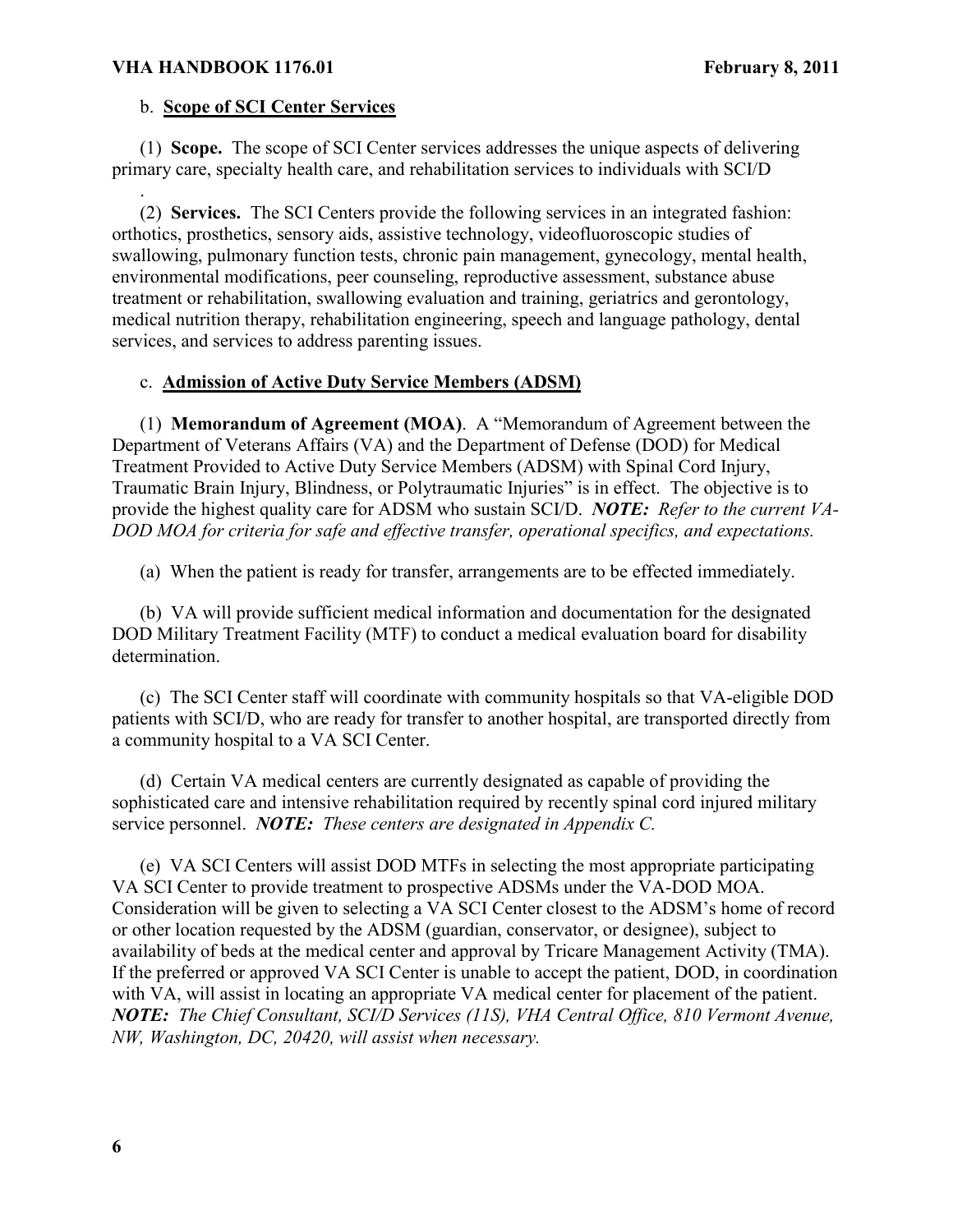.

# b. **Scope of SCI Center Services**

(1) **Scope.** The scope of SCI Center services addresses the unique aspects of delivering primary care, specialty health care, and rehabilitation services to individuals with SCI/D

(2) **Services.** The SCI Centers provide the following services in an integrated fashion: orthotics, prosthetics, sensory aids, assistive technology, videofluoroscopic studies of swallowing, pulmonary function tests, chronic pain management, gynecology, mental health, environmental modifications, peer counseling, reproductive assessment, substance abuse treatment or rehabilitation, swallowing evaluation and training, geriatrics and gerontology, medical nutrition therapy, rehabilitation engineering, speech and language pathology, dental services, and services to address parenting issues.

# c. **Admission of Active Duty Service Members (ADSM)**

(1) **Memorandum of Agreement (MOA)**.A "Memorandum of Agreement between the Department of Veterans Affairs (VA) and the Department of Defense (DOD) for Medical Treatment Provided to Active Duty Service Members (ADSM) with Spinal Cord Injury, Traumatic Brain Injury, Blindness, or Polytraumatic Injuries" is in effect. The objective is to provide the highest quality care for ADSM who sustain SCI/D. *NOTE: Refer to the current VA-DOD MOA for criteria for safe and effective transfer, operational specifics, and expectations.* 

(a) When the patient is ready for transfer, arrangements are to be effected immediately.

(b) VA will provide sufficient medical information and documentation for the designated DOD Military Treatment Facility (MTF) to conduct a medical evaluation board for disability determination.

(c) The SCI Center staff will coordinate with community hospitals so that VA-eligible DOD patients with SCI/D, who are ready for transfer to another hospital, are transported directly from a community hospital to a VA SCI Center.

(d) Certain VA medical centers are currently designated as capable of providing the sophisticated care and intensive rehabilitation required by recently spinal cord injured military service personnel. *NOTE: These centers are designated in Appendix C.* 

(e) VA SCI Centers will assist DOD MTFs in selecting the most appropriate participating VA SCI Center to provide treatment to prospective ADSMs under the VA-DOD MOA. Consideration will be given to selecting a VA SCI Center closest to the ADSM's home of record or other location requested by the ADSM (guardian, conservator, or designee), subject to availability of beds at the medical center and approval by Tricare Management Activity (TMA). If the preferred or approved VA SCI Center is unable to accept the patient, DOD, in coordination with VA, will assist in locating an appropriate VA medical center for placement of the patient. *NOTE: The Chief Consultant, SCI/D Services (11S), VHA Central Office, 810 Vermont Avenue, NW, Washington, DC, 20420, will assist when necessary.*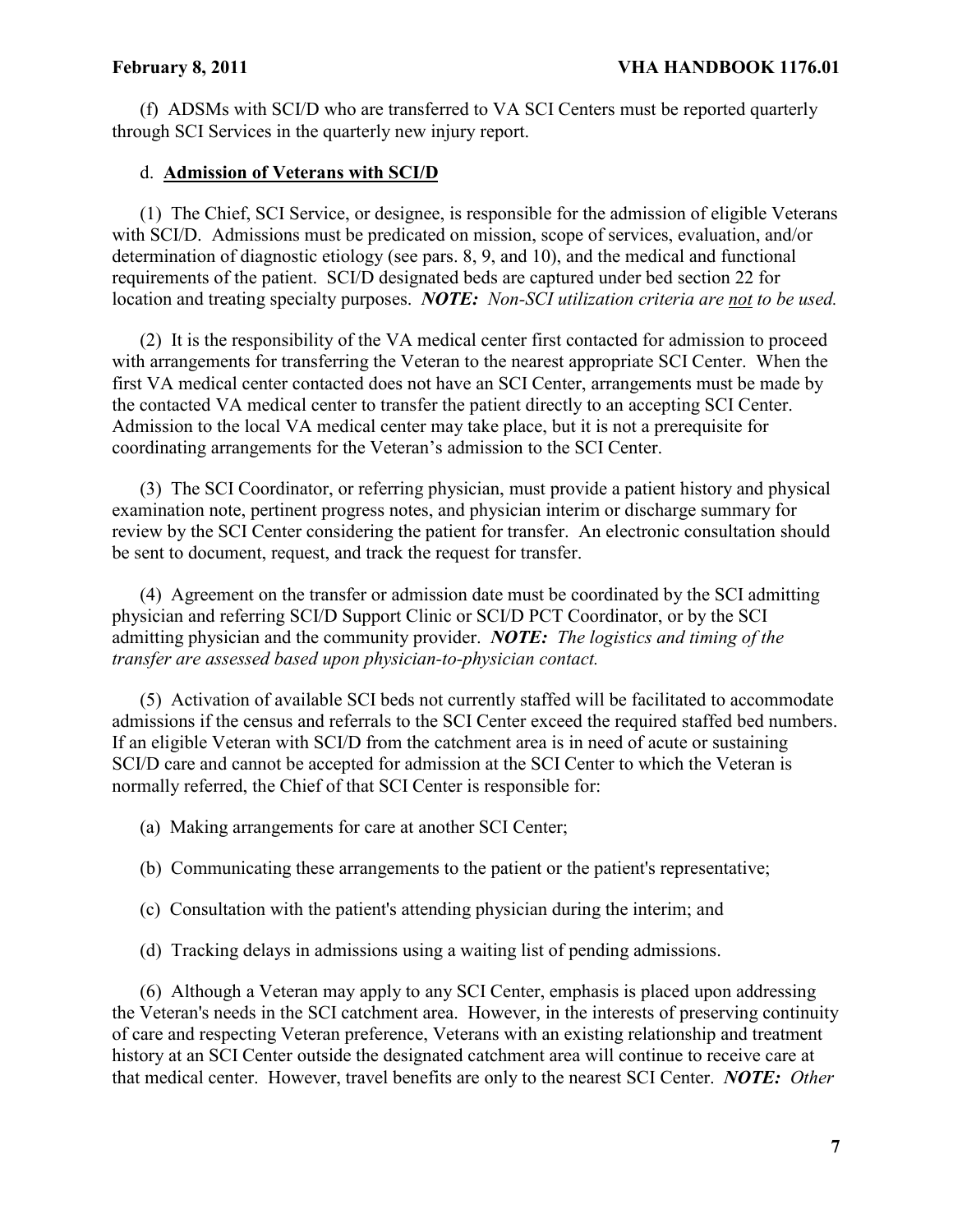(f) ADSMs with SCI/D who are transferred to VA SCI Centers must be reported quarterly through SCI Services in the quarterly new injury report.

# d. **Admission of Veterans with SCI/D**

(1) The Chief, SCI Service, or designee, is responsible for the admission of eligible Veterans with SCI/D. Admissions must be predicated on mission, scope of services, evaluation, and/or determination of diagnostic etiology (see pars. 8, 9, and 10), and the medical and functional requirements of the patient. SCI/D designated beds are captured under bed section 22 for location and treating specialty purposes. *NOTE: Non-SCI utilization criteria are not to be used.* 

(2) It is the responsibility of the VA medical center first contacted for admission to proceed with arrangements for transferring the Veteran to the nearest appropriate SCI Center. When the first VA medical center contacted does not have an SCI Center, arrangements must be made by the contacted VA medical center to transfer the patient directly to an accepting SCI Center. Admission to the local VA medical center may take place, but it is not a prerequisite for coordinating arrangements for the Veteran's admission to the SCI Center.

(3) The SCI Coordinator, or referring physician, must provide a patient history and physical examination note, pertinent progress notes, and physician interim or discharge summary for review by the SCI Center considering the patient for transfer. An electronic consultation should be sent to document, request, and track the request for transfer.

(4) Agreement on the transfer or admission date must be coordinated by the SCI admitting physician and referring SCI/D Support Clinic or SCI/D PCT Coordinator, or by the SCI admitting physician and the community provider. *NOTE: The logistics and timing of the transfer are assessed based upon physician-to-physician contact.*

(5) Activation of available SCI beds not currently staffed will be facilitated to accommodate admissions if the census and referrals to the SCI Center exceed the required staffed bed numbers. If an eligible Veteran with SCI/D from the catchment area is in need of acute or sustaining SCI/D care and cannot be accepted for admission at the SCI Center to which the Veteran is normally referred, the Chief of that SCI Center is responsible for:

(a) Making arrangements for care at another SCI Center;

- (b) Communicating these arrangements to the patient or the patient's representative;
- (c) Consultation with the patient's attending physician during the interim; and
- (d) Tracking delays in admissions using a waiting list of pending admissions.

(6) Although a Veteran may apply to any SCI Center, emphasis is placed upon addressing the Veteran's needs in the SCI catchment area. However, in the interests of preserving continuity of care and respecting Veteran preference, Veterans with an existing relationship and treatment history at an SCI Center outside the designated catchment area will continue to receive care at that medical center. However, travel benefits are only to the nearest SCI Center. *NOTE: Other*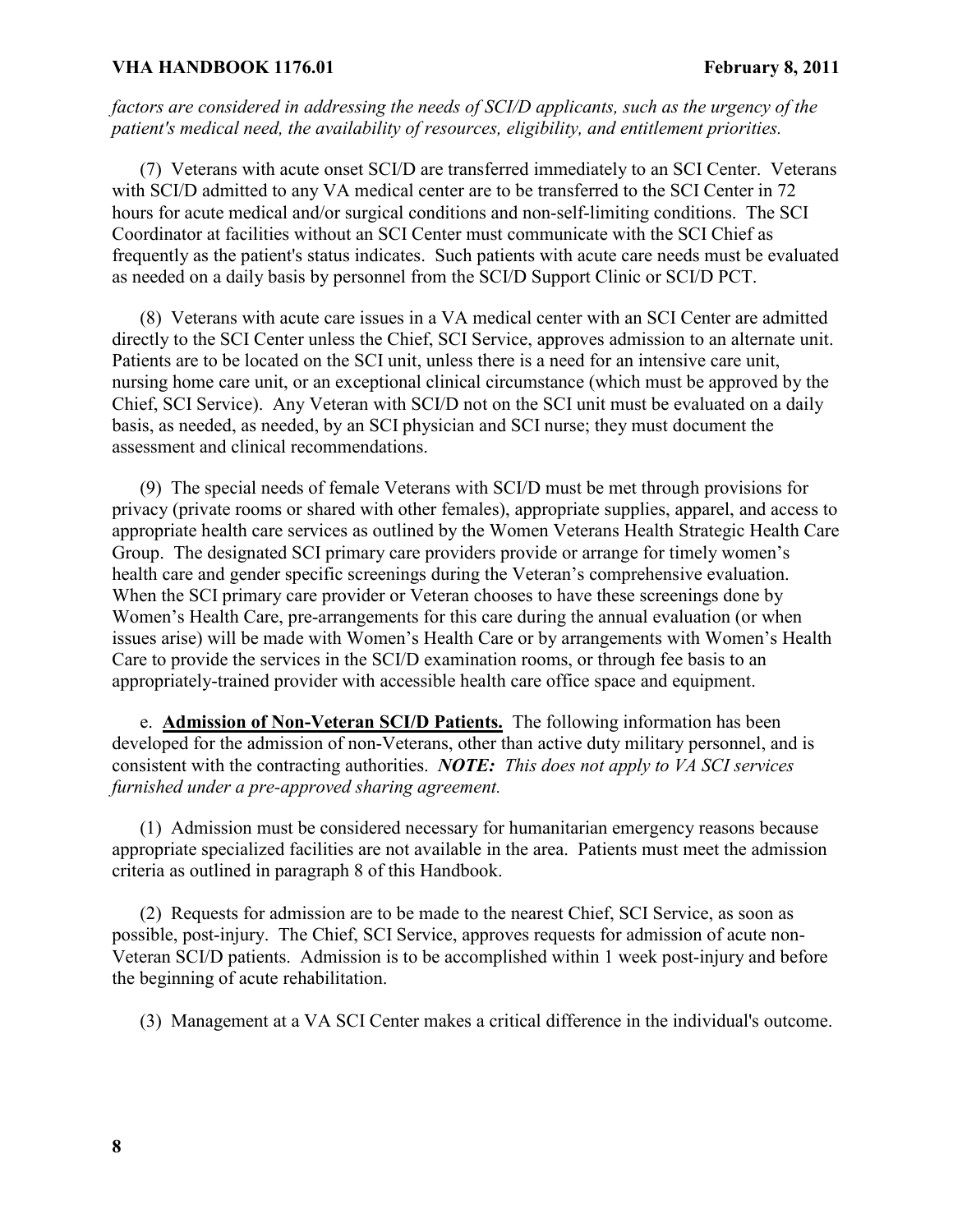*factors are considered in addressing the needs of SCI/D applicants, such as the urgency of the patient's medical need, the availability of resources, eligibility, and entitlement priorities.*

(7) Veterans with acute onset SCI/D are transferred immediately to an SCI Center. Veterans with SCI/D admitted to any VA medical center are to be transferred to the SCI Center in 72 hours for acute medical and/or surgical conditions and non-self-limiting conditions. The SCI Coordinator at facilities without an SCI Center must communicate with the SCI Chief as frequently as the patient's status indicates. Such patients with acute care needs must be evaluated as needed on a daily basis by personnel from the SCI/D Support Clinic or SCI/D PCT.

(8) Veterans with acute care issues in a VA medical center with an SCI Center are admitted directly to the SCI Center unless the Chief, SCI Service, approves admission to an alternate unit. Patients are to be located on the SCI unit, unless there is a need for an intensive care unit, nursing home care unit, or an exceptional clinical circumstance (which must be approved by the Chief, SCI Service). Any Veteran with SCI/D not on the SCI unit must be evaluated on a daily basis, as needed, as needed, by an SCI physician and SCI nurse; they must document the assessment and clinical recommendations.

(9) The special needs of female Veterans with SCI/D must be met through provisions for privacy (private rooms or shared with other females), appropriate supplies, apparel, and access to appropriate health care services as outlined by the Women Veterans Health Strategic Health Care Group. The designated SCI primary care providers provide or arrange for timely women's health care and gender specific screenings during the Veteran's comprehensive evaluation. When the SCI primary care provider or Veteran chooses to have these screenings done by Women's Health Care, pre-arrangements for this care during the annual evaluation (or when issues arise) will be made with Women's Health Care or by arrangements with Women's Health Care to provide the services in the SCI/D examination rooms, or through fee basis to an appropriately-trained provider with accessible health care office space and equipment.

e. **Admission of Non-Veteran SCI/D Patients.** The following information has been developed for the admission of non-Veterans, other than active duty military personnel, and is consistent with the contracting authorities. *NOTE: This does not apply to VA SCI services furnished under a pre-approved sharing agreement.*

(1) Admission must be considered necessary for humanitarian emergency reasons because appropriate specialized facilities are not available in the area. Patients must meet the admission criteria as outlined in paragraph 8 of this Handbook.

(2) Requests for admission are to be made to the nearest Chief, SCI Service, as soon as possible, post-injury. The Chief, SCI Service, approves requests for admission of acute non-Veteran SCI/D patients. Admission is to be accomplished within 1 week post-injury and before the beginning of acute rehabilitation.

(3) Management at a VA SCI Center makes a critical difference in the individual's outcome.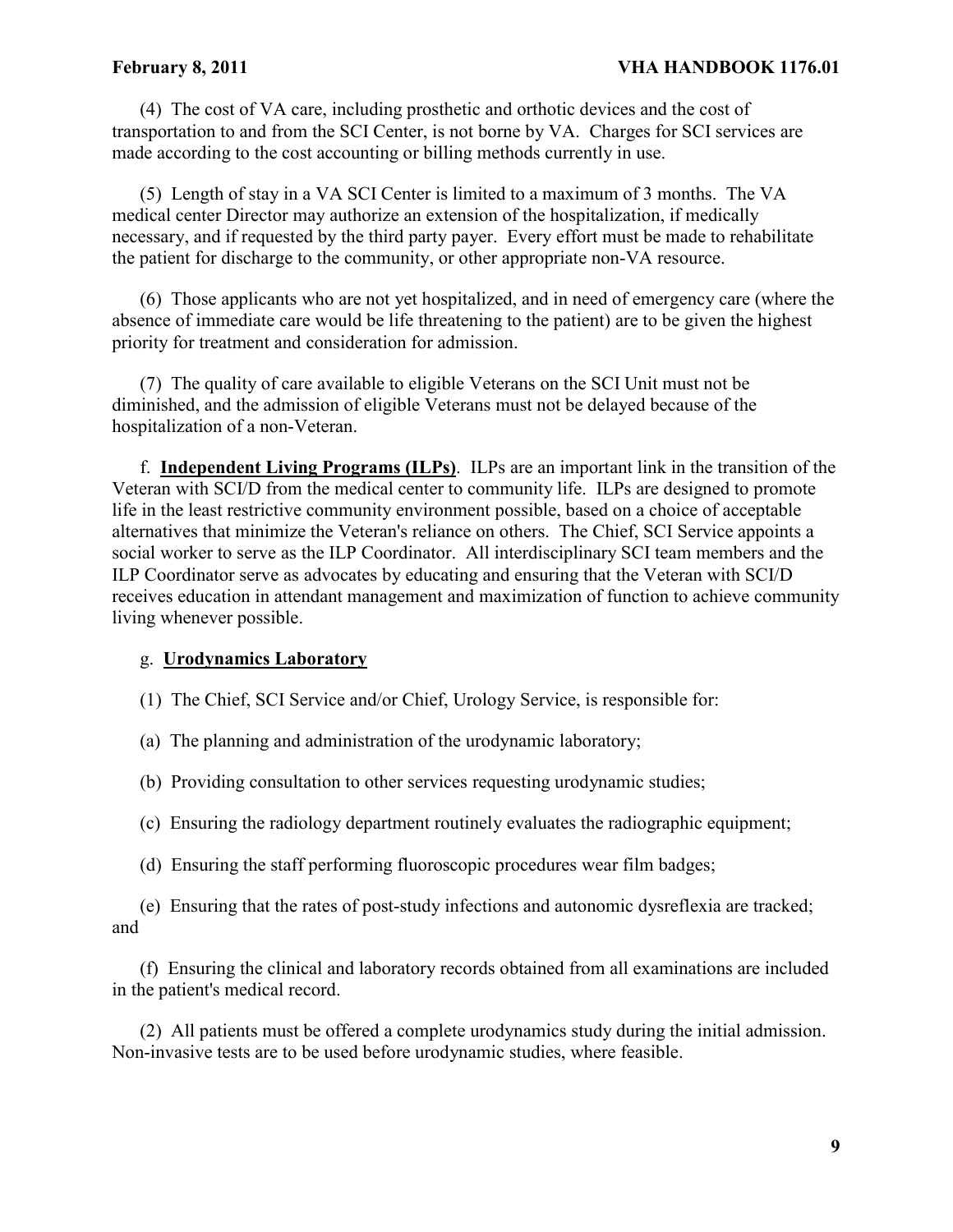(4) The cost of VA care, including prosthetic and orthotic devices and the cost of transportation to and from the SCI Center, is not borne by VA. Charges for SCI services are made according to the cost accounting or billing methods currently in use.

(5) Length of stay in a VA SCI Center is limited to a maximum of 3 months. The VA medical center Director may authorize an extension of the hospitalization, if medically necessary, and if requested by the third party payer. Every effort must be made to rehabilitate the patient for discharge to the community, or other appropriate non-VA resource.

(6) Those applicants who are not yet hospitalized, and in need of emergency care (where the absence of immediate care would be life threatening to the patient) are to be given the highest priority for treatment and consideration for admission.

(7) The quality of care available to eligible Veterans on the SCI Unit must not be diminished, and the admission of eligible Veterans must not be delayed because of the hospitalization of a non-Veteran.

f. **Independent Living Programs (ILPs)**. ILPs are an important link in the transition of the Veteran with SCI/D from the medical center to community life. ILPs are designed to promote life in the least restrictive community environment possible, based on a choice of acceptable alternatives that minimize the Veteran's reliance on others. The Chief, SCI Service appoints a social worker to serve as the ILP Coordinator. All interdisciplinary SCI team members and the ILP Coordinator serve as advocates by educating and ensuring that the Veteran with SCI/D receives education in attendant management and maximization of function to achieve community living whenever possible.

# g. **Urodynamics Laboratory**

- (1) The Chief, SCI Service and/or Chief, Urology Service, is responsible for:
- (a) The planning and administration of the urodynamic laboratory;
- (b) Providing consultation to other services requesting urodynamic studies;
- (c) Ensuring the radiology department routinely evaluates the radiographic equipment;
- (d) Ensuring the staff performing fluoroscopic procedures wear film badges;
- (e) Ensuring that the rates of post-study infections and autonomic dysreflexia are tracked; and

(f) Ensuring the clinical and laboratory records obtained from all examinations are included in the patient's medical record.

(2) All patients must be offered a complete urodynamics study during the initial admission. Non-invasive tests are to be used before urodynamic studies, where feasible.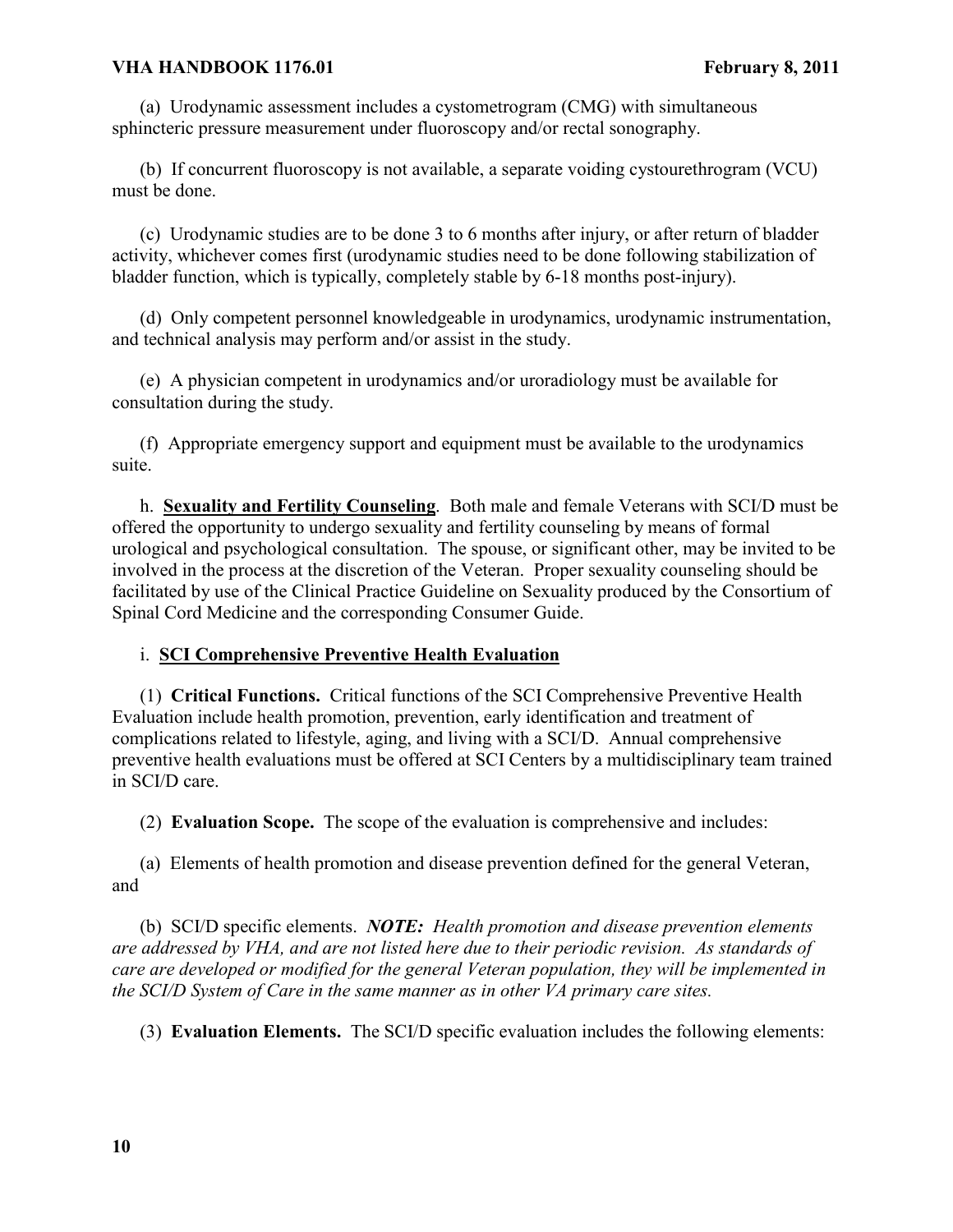(a) Urodynamic assessment includes a cystometrogram (CMG) with simultaneous sphincteric pressure measurement under fluoroscopy and/or rectal sonography.

(b) If concurrent fluoroscopy is not available, a separate voiding cystourethrogram (VCU) must be done.

(c) Urodynamic studies are to be done 3 to 6 months after injury, or after return of bladder activity, whichever comes first (urodynamic studies need to be done following stabilization of bladder function, which is typically, completely stable by 6-18 months post-injury).

(d) Only competent personnel knowledgeable in urodynamics, urodynamic instrumentation, and technical analysis may perform and/or assist in the study.

(e) A physician competent in urodynamics and/or uroradiology must be available for consultation during the study.

(f) Appropriate emergency support and equipment must be available to the urodynamics suite.

h. **Sexuality and Fertility Counseling**. Both male and female Veterans with SCI/D must be offered the opportunity to undergo sexuality and fertility counseling by means of formal urological and psychological consultation. The spouse, or significant other, may be invited to be involved in the process at the discretion of the Veteran. Proper sexuality counseling should be facilitated by use of the Clinical Practice Guideline on Sexuality produced by the Consortium of Spinal Cord Medicine and the corresponding Consumer Guide.

# i. **SCI Comprehensive Preventive Health Evaluation**

(1) **Critical Functions.** Critical functions of the SCI Comprehensive Preventive Health Evaluation include health promotion, prevention, early identification and treatment of complications related to lifestyle, aging, and living with a SCI/D. Annual comprehensive preventive health evaluations must be offered at SCI Centers by a multidisciplinary team trained in SCI/D care.

(2) **Evaluation Scope.** The scope of the evaluation is comprehensive and includes:

(a) Elements of health promotion and disease prevention defined for the general Veteran, and

(b) SCI/D specific elements. *NOTE: Health promotion and disease prevention elements are addressed by VHA, and are not listed here due to their periodic revision. As standards of care are developed or modified for the general Veteran population, they will be implemented in the SCI/D System of Care in the same manner as in other VA primary care sites.* 

(3) **Evaluation Elements.** The SCI/D specific evaluation includes the following elements: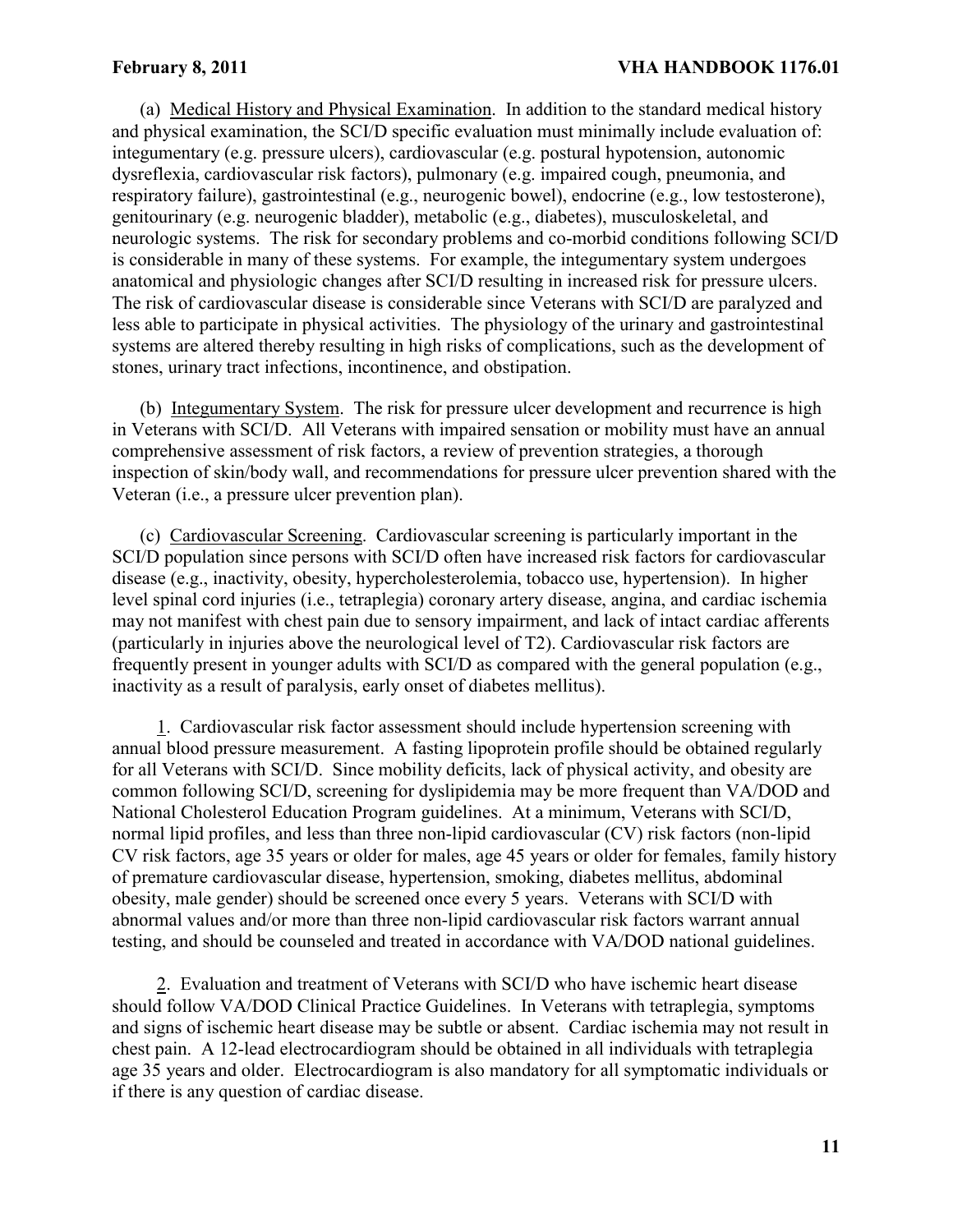(a) Medical History and Physical Examination. In addition to the standard medical history and physical examination, the SCI/D specific evaluation must minimally include evaluation of: integumentary (e.g. pressure ulcers), cardiovascular (e.g. postural hypotension, autonomic dysreflexia, cardiovascular risk factors), pulmonary (e.g. impaired cough, pneumonia, and respiratory failure), gastrointestinal (e.g., neurogenic bowel), endocrine (e.g., low testosterone), genitourinary (e.g. neurogenic bladder), metabolic (e.g., diabetes), musculoskeletal, and neurologic systems. The risk for secondary problems and co-morbid conditions following SCI/D is considerable in many of these systems. For example, the integumentary system undergoes anatomical and physiologic changes after SCI/D resulting in increased risk for pressure ulcers. The risk of cardiovascular disease is considerable since Veterans with SCI/D are paralyzed and less able to participate in physical activities. The physiology of the urinary and gastrointestinal systems are altered thereby resulting in high risks of complications, such as the development of stones, urinary tract infections, incontinence, and obstipation.

(b) Integumentary System. The risk for pressure ulcer development and recurrence is high in Veterans with SCI/D. All Veterans with impaired sensation or mobility must have an annual comprehensive assessment of risk factors, a review of prevention strategies, a thorough inspection of skin/body wall, and recommendations for pressure ulcer prevention shared with the Veteran (i.e., a pressure ulcer prevention plan).

(c) Cardiovascular Screening. Cardiovascular screening is particularly important in the SCI/D population since persons with SCI/D often have increased risk factors for cardiovascular disease (e.g., inactivity, obesity, hypercholesterolemia, tobacco use, hypertension). In higher level spinal cord injuries (i.e., tetraplegia) coronary artery disease, angina, and cardiac ischemia may not manifest with chest pain due to sensory impairment, and lack of intact cardiac afferents (particularly in injuries above the neurological level of T2). Cardiovascular risk factors are frequently present in younger adults with SCI/D as compared with the general population (e.g., inactivity as a result of paralysis, early onset of diabetes mellitus).

1. Cardiovascular risk factor assessment should include hypertension screening with annual blood pressure measurement. A fasting lipoprotein profile should be obtained regularly for all Veterans with SCI/D. Since mobility deficits, lack of physical activity, and obesity are common following SCI/D, screening for dyslipidemia may be more frequent than VA/DOD and National Cholesterol Education Program guidelines. At a minimum, Veterans with SCI/D, normal lipid profiles, and less than three non-lipid cardiovascular (CV) risk factors (non-lipid CV risk factors, age 35 years or older for males, age 45 years or older for females, family history of premature cardiovascular disease, hypertension, smoking, diabetes mellitus, abdominal obesity, male gender) should be screened once every 5 years. Veterans with SCI/D with abnormal values and/or more than three non-lipid cardiovascular risk factors warrant annual testing, and should be counseled and treated in accordance with VA/DOD national guidelines.

2. Evaluation and treatment of Veterans with SCI/D who have ischemic heart disease should follow VA/DOD Clinical Practice Guidelines. In Veterans with tetraplegia, symptoms and signs of ischemic heart disease may be subtle or absent. Cardiac ischemia may not result in chest pain. A 12-lead electrocardiogram should be obtained in all individuals with tetraplegia age 35 years and older. Electrocardiogram is also mandatory for all symptomatic individuals or if there is any question of cardiac disease.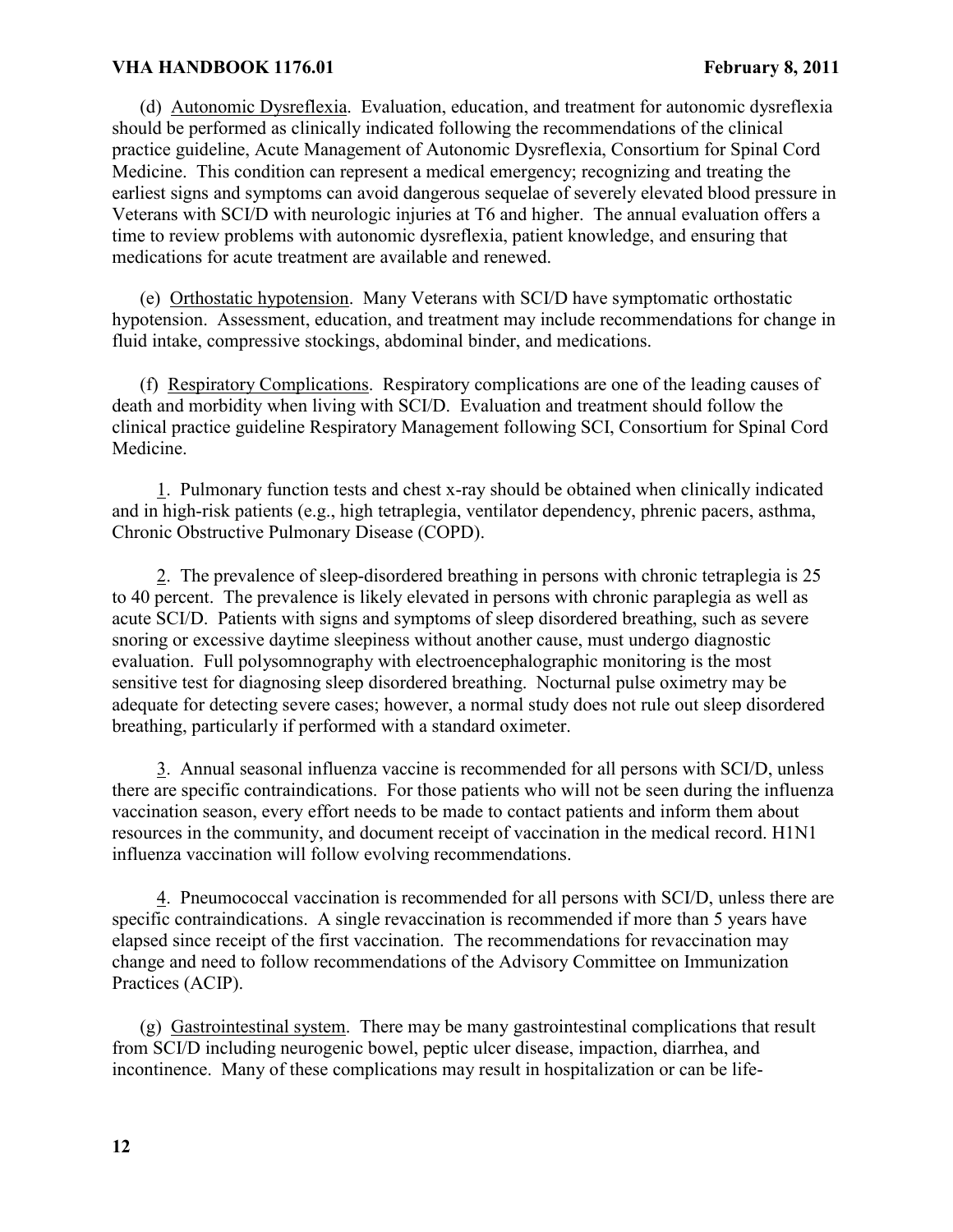(d) Autonomic Dysreflexia. Evaluation, education, and treatment for autonomic dysreflexia should be performed as clinically indicated following the recommendations of the clinical practice guideline, Acute Management of Autonomic Dysreflexia, Consortium for Spinal Cord Medicine. This condition can represent a medical emergency; recognizing and treating the earliest signs and symptoms can avoid dangerous sequelae of severely elevated blood pressure in Veterans with SCI/D with neurologic injuries at T6 and higher. The annual evaluation offers a time to review problems with autonomic dysreflexia, patient knowledge, and ensuring that medications for acute treatment are available and renewed.

(e) Orthostatic hypotension. Many Veterans with SCI/D have symptomatic orthostatic hypotension. Assessment, education, and treatment may include recommendations for change in fluid intake, compressive stockings, abdominal binder, and medications.

(f) Respiratory Complications. Respiratory complications are one of the leading causes of death and morbidity when living with SCI/D. Evaluation and treatment should follow the clinical practice guideline Respiratory Management following SCI, Consortium for Spinal Cord Medicine.

1. Pulmonary function tests and chest x-ray should be obtained when clinically indicated and in high-risk patients (e.g., high tetraplegia, ventilator dependency, phrenic pacers, asthma, Chronic Obstructive Pulmonary Disease (COPD).

2. The prevalence of sleep-disordered breathing in persons with chronic tetraplegia is 25 to 40 percent. The prevalence is likely elevated in persons with chronic paraplegia as well as acute SCI/D. Patients with signs and symptoms of sleep disordered breathing, such as severe snoring or excessive daytime sleepiness without another cause, must undergo diagnostic evaluation. Full polysomnography with electroencephalographic monitoring is the most sensitive test for diagnosing sleep disordered breathing. Nocturnal pulse oximetry may be adequate for detecting severe cases; however, a normal study does not rule out sleep disordered breathing, particularly if performed with a standard oximeter.

3. Annual seasonal influenza vaccine is recommended for all persons with SCI/D, unless there are specific contraindications. For those patients who will not be seen during the influenza vaccination season, every effort needs to be made to contact patients and inform them about resources in the community, and document receipt of vaccination in the medical record. H1N1 influenza vaccination will follow evolving recommendations.

4. Pneumococcal vaccination is recommended for all persons with SCI/D, unless there are specific contraindications. A single revaccination is recommended if more than 5 years have elapsed since receipt of the first vaccination. The recommendations for revaccination may change and need to follow recommendations of the Advisory Committee on Immunization Practices (ACIP).

(g) Gastrointestinal system. There may be many gastrointestinal complications that result from SCI/D including neurogenic bowel, peptic ulcer disease, impaction, diarrhea, and incontinence. Many of these complications may result in hospitalization or can be life-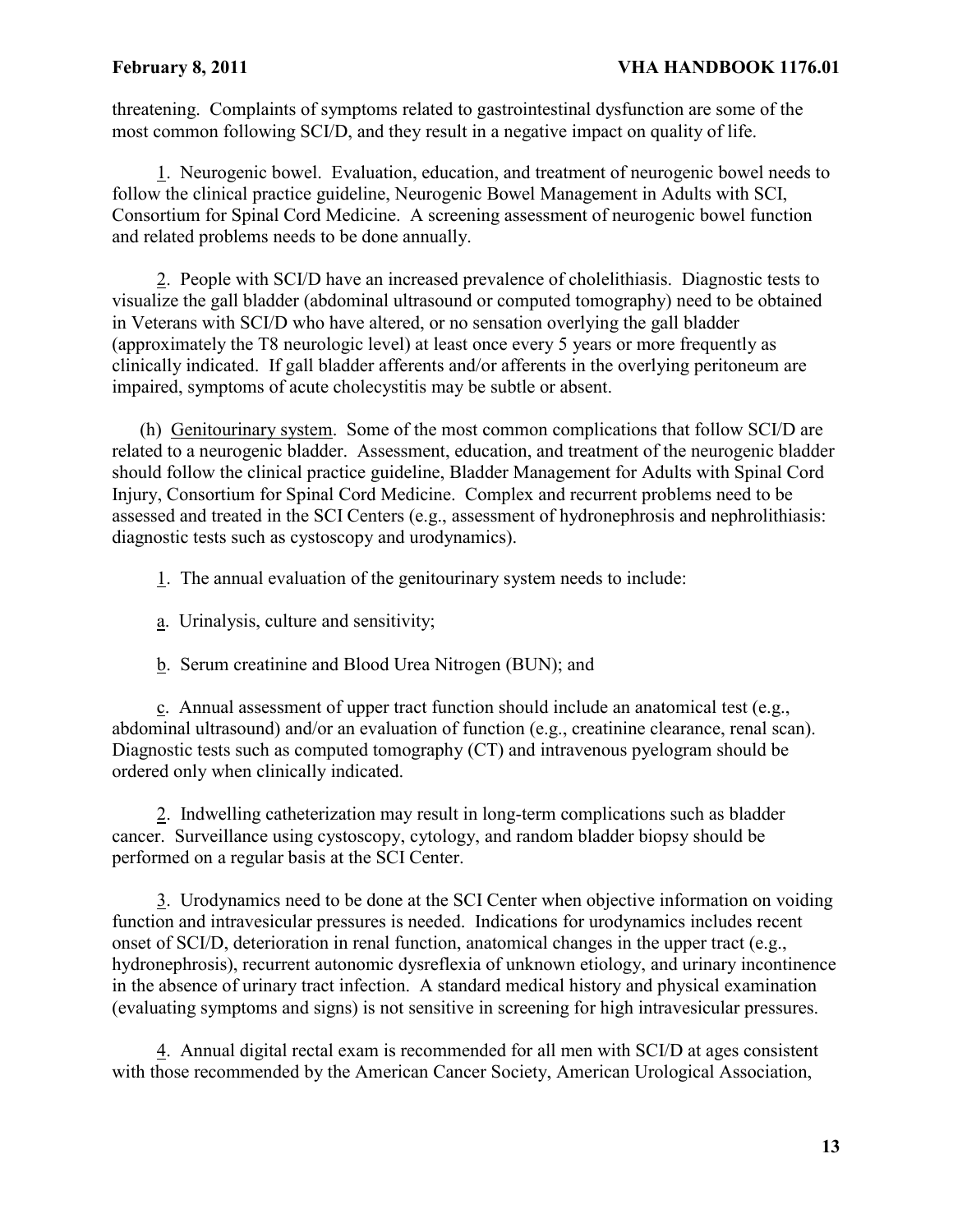threatening. Complaints of symptoms related to gastrointestinal dysfunction are some of the most common following SCI/D, and they result in a negative impact on quality of life.

1. Neurogenic bowel. Evaluation, education, and treatment of neurogenic bowel needs to follow the clinical practice guideline, Neurogenic Bowel Management in Adults with SCI, Consortium for Spinal Cord Medicine. A screening assessment of neurogenic bowel function and related problems needs to be done annually.

2. People with SCI/D have an increased prevalence of cholelithiasis. Diagnostic tests to visualize the gall bladder (abdominal ultrasound or computed tomography) need to be obtained in Veterans with SCI/D who have altered, or no sensation overlying the gall bladder (approximately the T8 neurologic level) at least once every 5 years or more frequently as clinically indicated. If gall bladder afferents and/or afferents in the overlying peritoneum are impaired, symptoms of acute cholecystitis may be subtle or absent.

(h) Genitourinary system. Some of the most common complications that follow SCI/D are related to a neurogenic bladder. Assessment, education, and treatment of the neurogenic bladder should follow the clinical practice guideline, Bladder Management for Adults with Spinal Cord Injury, Consortium for Spinal Cord Medicine. Complex and recurrent problems need to be assessed and treated in the SCI Centers (e.g., assessment of hydronephrosis and nephrolithiasis: diagnostic tests such as cystoscopy and urodynamics).

- 1. The annual evaluation of the genitourinary system needs to include:
- a. Urinalysis, culture and sensitivity;
- b. Serum creatinine and Blood Urea Nitrogen (BUN); and

c. Annual assessment of upper tract function should include an anatomical test (e.g., abdominal ultrasound) and/or an evaluation of function (e.g., creatinine clearance, renal scan). Diagnostic tests such as computed tomography (CT) and intravenous pyelogram should be ordered only when clinically indicated.

2. Indwelling catheterization may result in long-term complications such as bladder cancer. Surveillance using cystoscopy, cytology, and random bladder biopsy should be performed on a regular basis at the SCI Center.

3. Urodynamics need to be done at the SCI Center when objective information on voiding function and intravesicular pressures is needed. Indications for urodynamics includes recent onset of SCI/D, deterioration in renal function, anatomical changes in the upper tract (e.g., hydronephrosis), recurrent autonomic dysreflexia of unknown etiology, and urinary incontinence in the absence of urinary tract infection. A standard medical history and physical examination (evaluating symptoms and signs) is not sensitive in screening for high intravesicular pressures.

4. Annual digital rectal exam is recommended for all men with SCI/D at ages consistent with those recommended by the American Cancer Society, American Urological Association,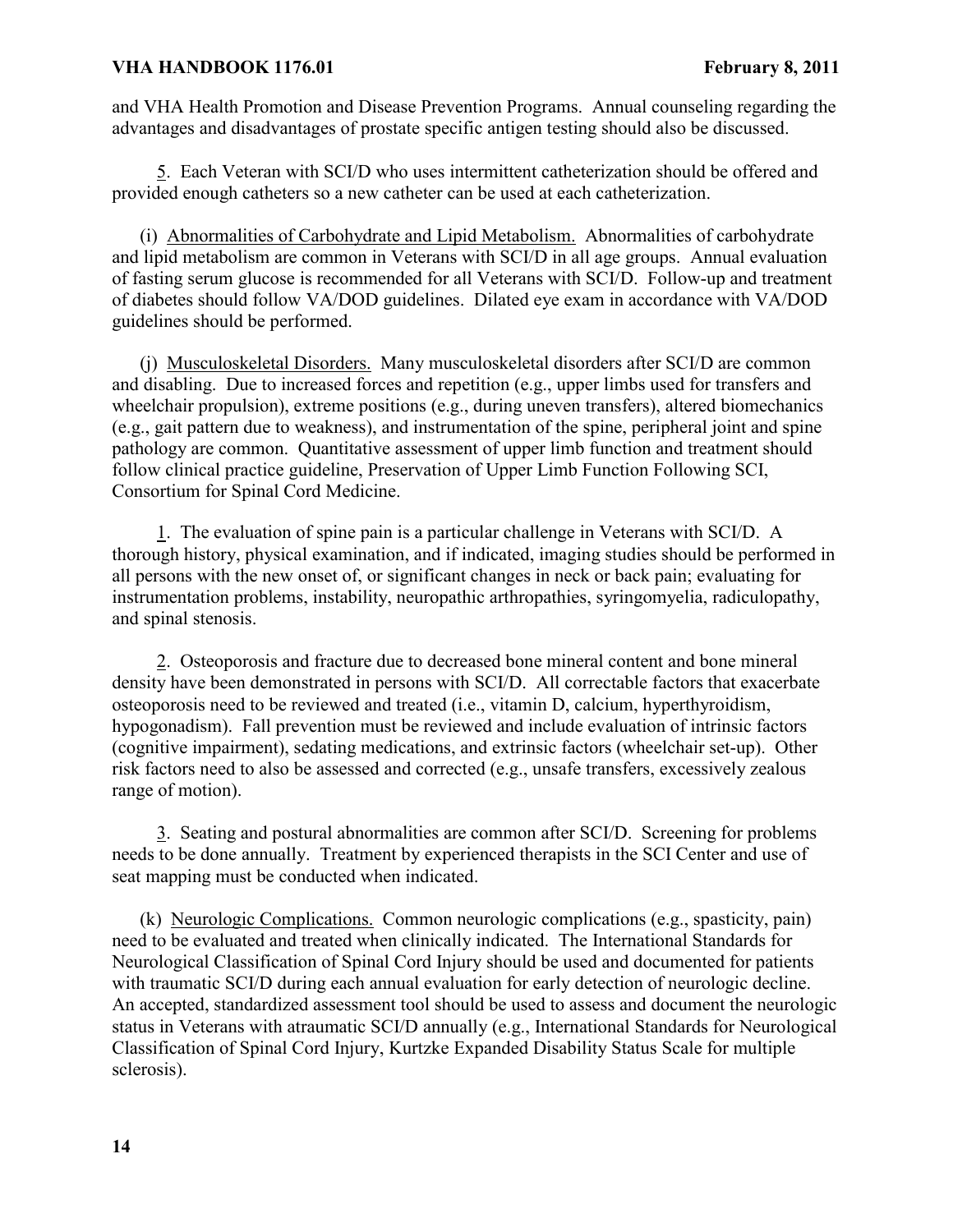and VHA Health Promotion and Disease Prevention Programs. Annual counseling regarding the advantages and disadvantages of prostate specific antigen testing should also be discussed.

5. Each Veteran with SCI/D who uses intermittent catheterization should be offered and provided enough catheters so a new catheter can be used at each catheterization.

(i) Abnormalities of Carbohydrate and Lipid Metabolism. Abnormalities of carbohydrate and lipid metabolism are common in Veterans with SCI/D in all age groups. Annual evaluation of fasting serum glucose is recommended for all Veterans with SCI/D. Follow-up and treatment of diabetes should follow VA/DOD guidelines. Dilated eye exam in accordance with VA/DOD guidelines should be performed.

(j) Musculoskeletal Disorders. Many musculoskeletal disorders after SCI/D are common and disabling. Due to increased forces and repetition (e.g., upper limbs used for transfers and wheelchair propulsion), extreme positions (e.g., during uneven transfers), altered biomechanics (e.g., gait pattern due to weakness), and instrumentation of the spine, peripheral joint and spine pathology are common. Quantitative assessment of upper limb function and treatment should follow clinical practice guideline, Preservation of Upper Limb Function Following SCI, Consortium for Spinal Cord Medicine.

1. The evaluation of spine pain is a particular challenge in Veterans with SCI/D. A thorough history, physical examination, and if indicated, imaging studies should be performed in all persons with the new onset of, or significant changes in neck or back pain; evaluating for instrumentation problems, instability, neuropathic arthropathies, syringomyelia, radiculopathy, and spinal stenosis.

2. Osteoporosis and fracture due to decreased bone mineral content and bone mineral density have been demonstrated in persons with SCI/D. All correctable factors that exacerbate osteoporosis need to be reviewed and treated (i.e., vitamin D, calcium, hyperthyroidism, hypogonadism). Fall prevention must be reviewed and include evaluation of intrinsic factors (cognitive impairment), sedating medications, and extrinsic factors (wheelchair set-up). Other risk factors need to also be assessed and corrected (e.g., unsafe transfers, excessively zealous range of motion).

3. Seating and postural abnormalities are common after SCI/D. Screening for problems needs to be done annually. Treatment by experienced therapists in the SCI Center and use of seat mapping must be conducted when indicated.

(k) Neurologic Complications. Common neurologic complications (e.g., spasticity, pain) need to be evaluated and treated when clinically indicated. The International Standards for Neurological Classification of Spinal Cord Injury should be used and documented for patients with traumatic SCI/D during each annual evaluation for early detection of neurologic decline. An accepted, standardized assessment tool should be used to assess and document the neurologic status in Veterans with atraumatic SCI/D annually (e.g., International Standards for Neurological Classification of Spinal Cord Injury, Kurtzke Expanded Disability Status Scale for multiple sclerosis).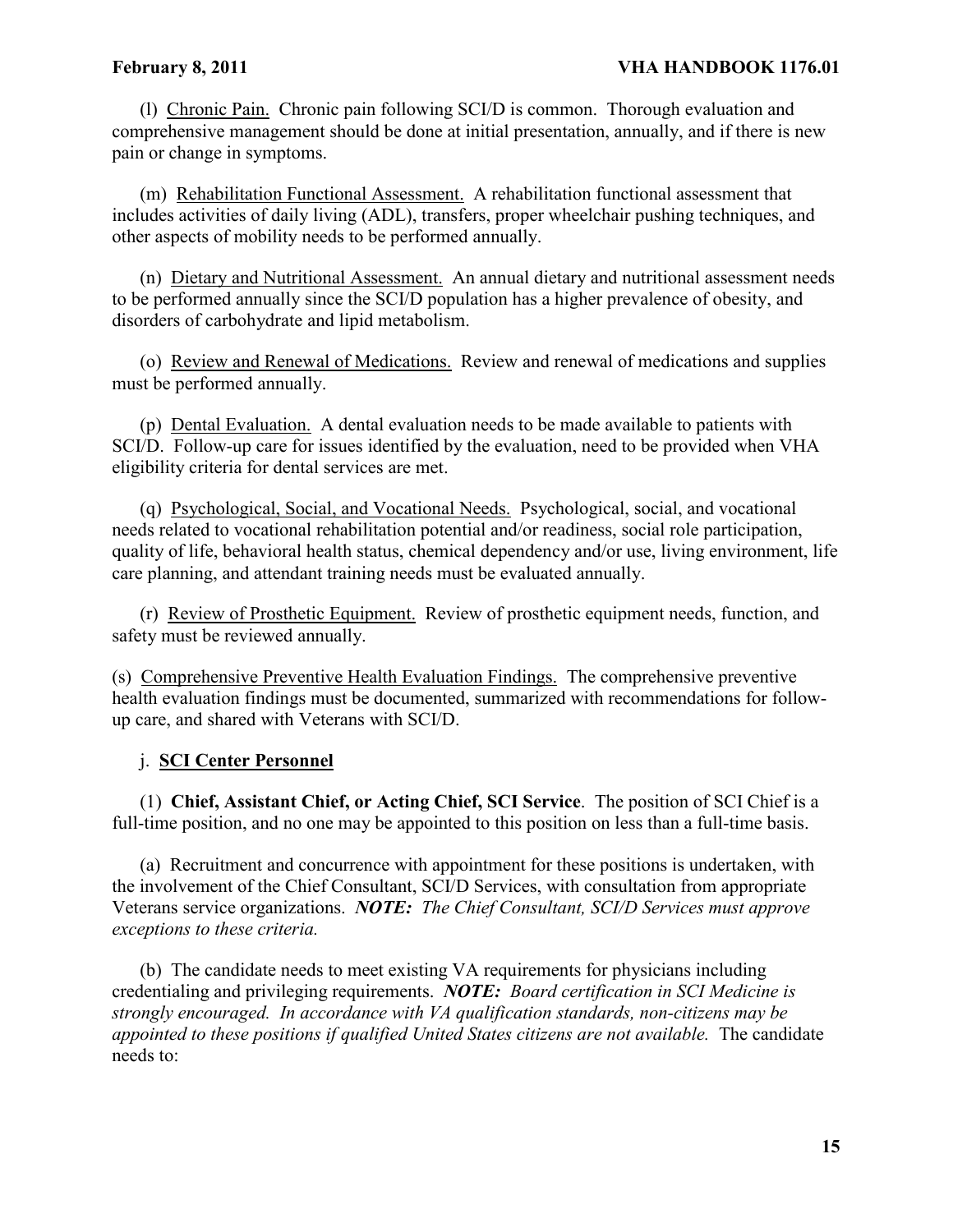(l) Chronic Pain. Chronic pain following SCI/D is common. Thorough evaluation and comprehensive management should be done at initial presentation, annually, and if there is new pain or change in symptoms.

(m) Rehabilitation Functional Assessment. A rehabilitation functional assessment that includes activities of daily living (ADL), transfers, proper wheelchair pushing techniques, and other aspects of mobility needs to be performed annually.

(n) Dietary and Nutritional Assessment. An annual dietary and nutritional assessment needs to be performed annually since the SCI/D population has a higher prevalence of obesity, and disorders of carbohydrate and lipid metabolism.

(o) Review and Renewal of Medications. Review and renewal of medications and supplies must be performed annually.

(p) Dental Evaluation. A dental evaluation needs to be made available to patients with SCI/D. Follow-up care for issues identified by the evaluation, need to be provided when VHA eligibility criteria for dental services are met.

(q) Psychological, Social, and Vocational Needs. Psychological, social, and vocational needs related to vocational rehabilitation potential and/or readiness, social role participation, quality of life, behavioral health status, chemical dependency and/or use, living environment, life care planning, and attendant training needs must be evaluated annually.

(r) Review of Prosthetic Equipment. Review of prosthetic equipment needs, function, and safety must be reviewed annually.

(s) Comprehensive Preventive Health Evaluation Findings. The comprehensive preventive health evaluation findings must be documented, summarized with recommendations for followup care, and shared with Veterans with SCI/D.

# j. **SCI Center Personnel**

(1) **Chief, Assistant Chief, or Acting Chief, SCI Service**. The position of SCI Chief is a full-time position, and no one may be appointed to this position on less than a full-time basis.

(a) Recruitment and concurrence with appointment for these positions is undertaken, with the involvement of the Chief Consultant, SCI/D Services, with consultation from appropriate Veterans service organizations. *NOTE: The Chief Consultant, SCI/D Services must approve exceptions to these criteria.*

(b) The candidate needs to meet existing VA requirements for physicians including credentialing and privileging requirements. *NOTE: Board certification in SCI Medicine is strongly encouraged. In accordance with VA qualification standards, non-citizens may be appointed to these positions if qualified United States citizens are not available.* The candidate needs to: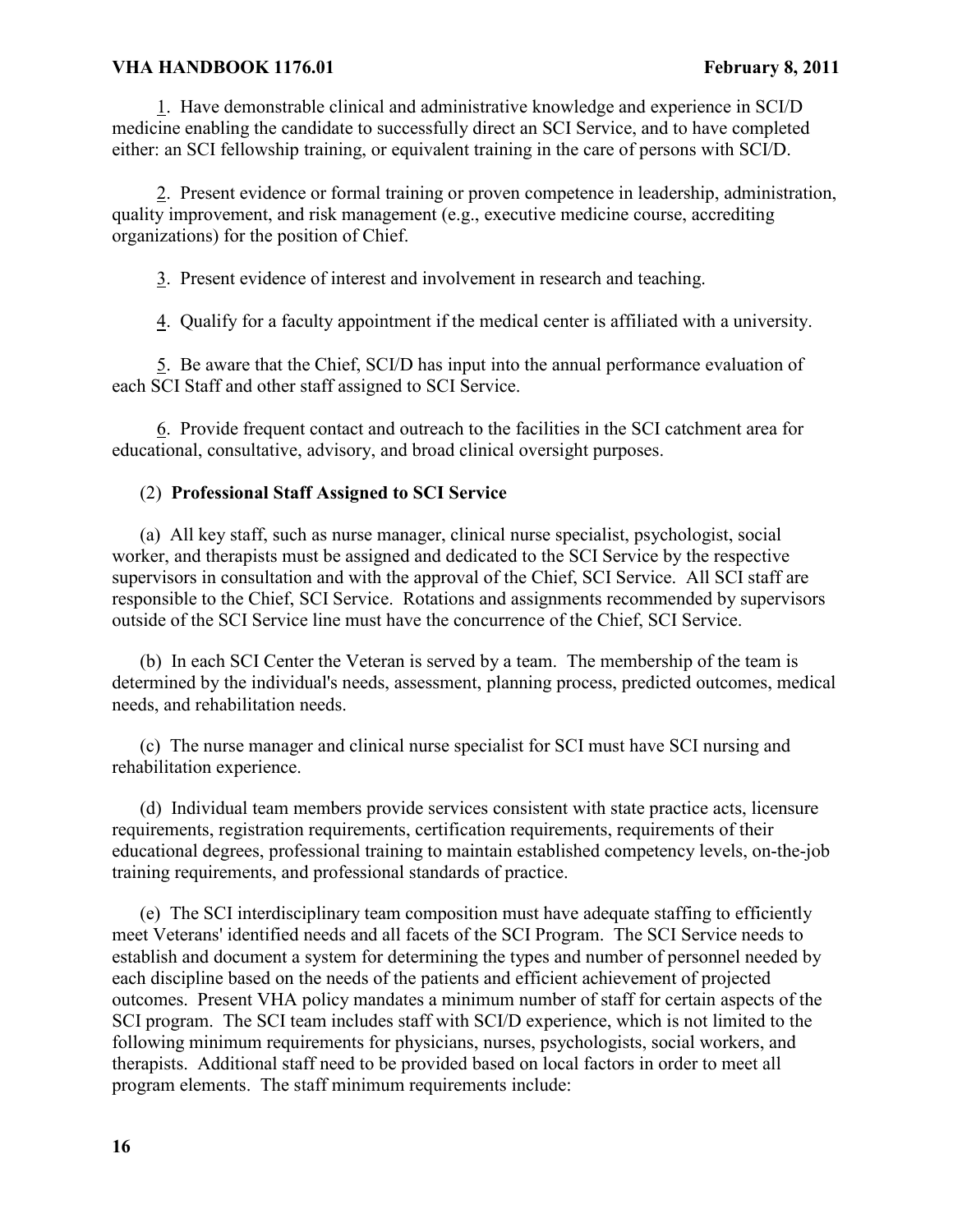1. Have demonstrable clinical and administrative knowledge and experience in SCI/D medicine enabling the candidate to successfully direct an SCI Service, and to have completed either: an SCI fellowship training, or equivalent training in the care of persons with SCI/D.

2. Present evidence or formal training or proven competence in leadership, administration, quality improvement, and risk management (e.g., executive medicine course, accrediting organizations) for the position of Chief.

3. Present evidence of interest and involvement in research and teaching.

4. Qualify for a faculty appointment if the medical center is affiliated with a university.

5. Be aware that the Chief, SCI/D has input into the annual performance evaluation of each SCI Staff and other staff assigned to SCI Service.

6. Provide frequent contact and outreach to the facilities in the SCI catchment area for educational, consultative, advisory, and broad clinical oversight purposes.

# (2) **Professional Staff Assigned to SCI Service**

(a) All key staff, such as nurse manager, clinical nurse specialist, psychologist, social worker, and therapists must be assigned and dedicated to the SCI Service by the respective supervisors in consultation and with the approval of the Chief, SCI Service. All SCI staff are responsible to the Chief, SCI Service. Rotations and assignments recommended by supervisors outside of the SCI Service line must have the concurrence of the Chief, SCI Service.

(b) In each SCI Center the Veteran is served by a team. The membership of the team is determined by the individual's needs, assessment, planning process, predicted outcomes, medical needs, and rehabilitation needs.

(c) The nurse manager and clinical nurse specialist for SCI must have SCI nursing and rehabilitation experience.

(d) Individual team members provide services consistent with state practice acts, licensure requirements, registration requirements, certification requirements, requirements of their educational degrees, professional training to maintain established competency levels, on-the-job training requirements, and professional standards of practice.

(e) The SCI interdisciplinary team composition must have adequate staffing to efficiently meet Veterans' identified needs and all facets of the SCI Program. The SCI Service needs to establish and document a system for determining the types and number of personnel needed by each discipline based on the needs of the patients and efficient achievement of projected outcomes. Present VHA policy mandates a minimum number of staff for certain aspects of the SCI program. The SCI team includes staff with SCI/D experience, which is not limited to the following minimum requirements for physicians, nurses, psychologists, social workers, and therapists. Additional staff need to be provided based on local factors in order to meet all program elements. The staff minimum requirements include: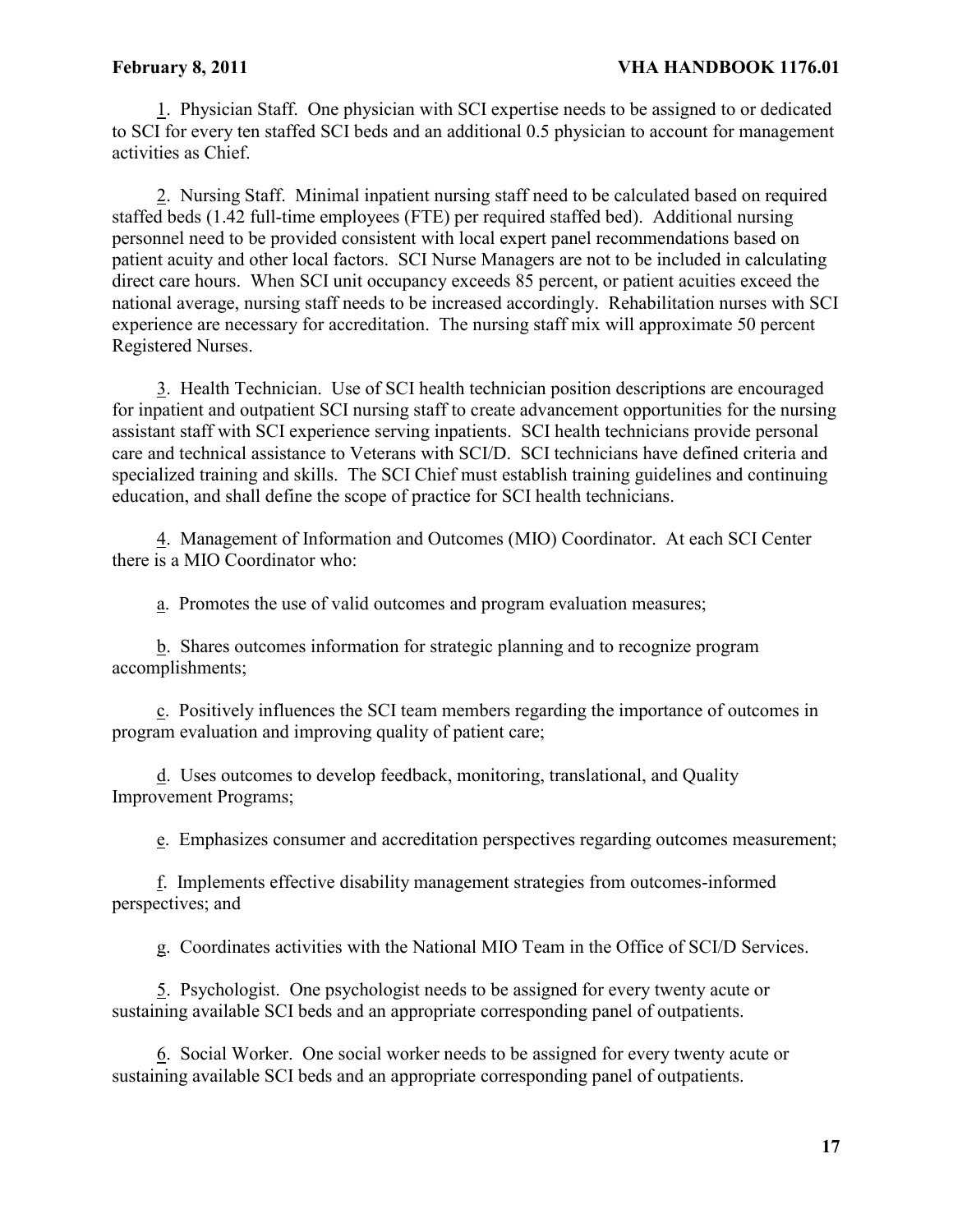1. Physician Staff. One physician with SCI expertise needs to be assigned to or dedicated to SCI for every ten staffed SCI beds and an additional 0.5 physician to account for management activities as Chief.

2. Nursing Staff. Minimal inpatient nursing staff need to be calculated based on required staffed beds (1.42 full-time employees (FTE) per required staffed bed). Additional nursing personnel need to be provided consistent with local expert panel recommendations based on patient acuity and other local factors. SCI Nurse Managers are not to be included in calculating direct care hours. When SCI unit occupancy exceeds 85 percent, or patient acuities exceed the national average, nursing staff needs to be increased accordingly. Rehabilitation nurses with SCI experience are necessary for accreditation. The nursing staff mix will approximate 50 percent Registered Nurses.

3. Health Technician. Use of SCI health technician position descriptions are encouraged for inpatient and outpatient SCI nursing staff to create advancement opportunities for the nursing assistant staff with SCI experience serving inpatients. SCI health technicians provide personal care and technical assistance to Veterans with SCI/D. SCI technicians have defined criteria and specialized training and skills. The SCI Chief must establish training guidelines and continuing education, and shall define the scope of practice for SCI health technicians.

4. Management of Information and Outcomes (MIO) Coordinator. At each SCI Center there is a MIO Coordinator who:

a. Promotes the use of valid outcomes and program evaluation measures;

b. Shares outcomes information for strategic planning and to recognize program accomplishments;

c. Positively influences the SCI team members regarding the importance of outcomes in program evaluation and improving quality of patient care;

d. Uses outcomes to develop feedback, monitoring, translational, and Quality Improvement Programs;

e. Emphasizes consumer and accreditation perspectives regarding outcomes measurement;

f. Implements effective disability management strategies from outcomes-informed perspectives; and

g. Coordinates activities with the National MIO Team in the Office of SCI/D Services.

5. Psychologist. One psychologist needs to be assigned for every twenty acute or sustaining available SCI beds and an appropriate corresponding panel of outpatients.

6. Social Worker. One social worker needs to be assigned for every twenty acute or sustaining available SCI beds and an appropriate corresponding panel of outpatients.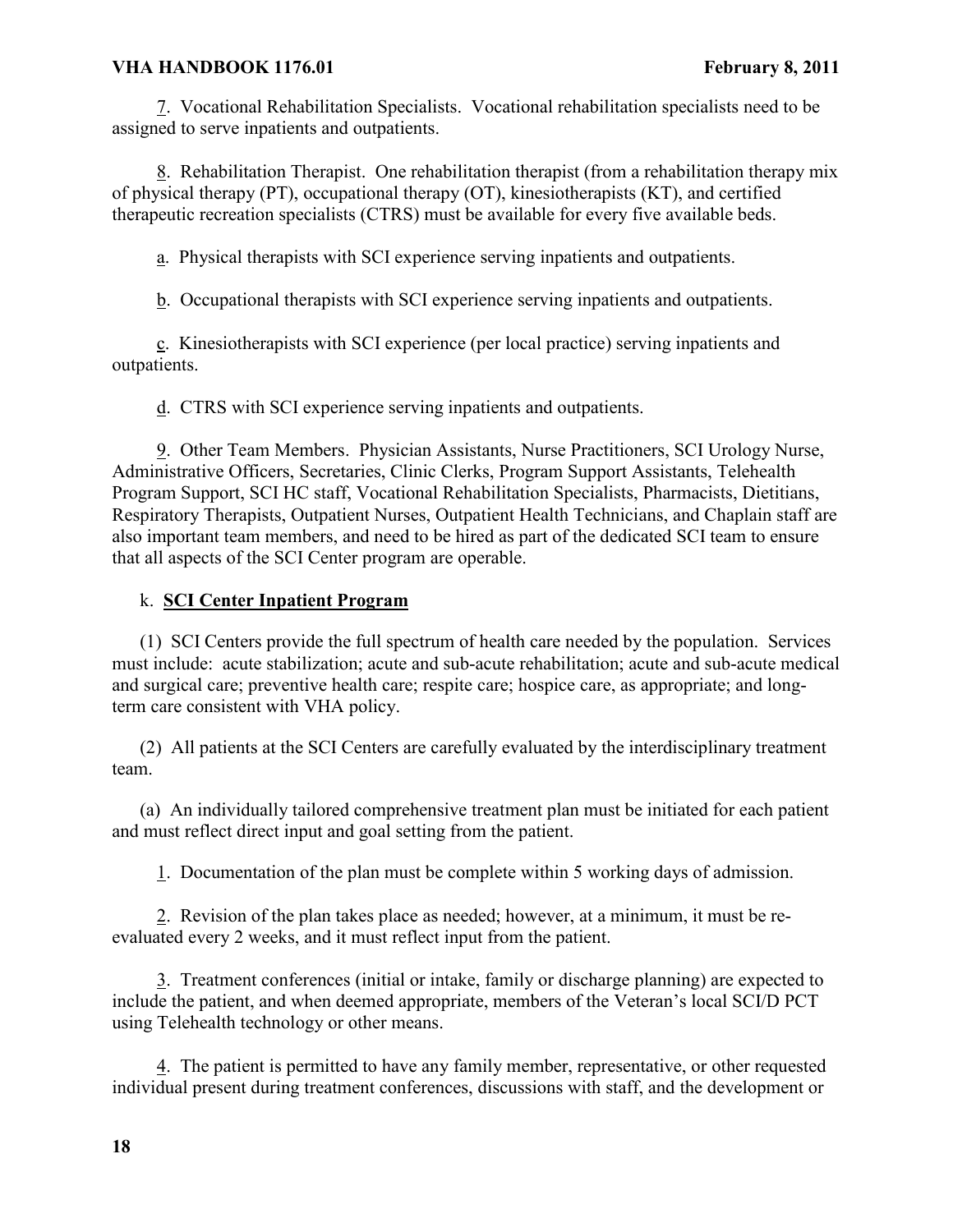7. Vocational Rehabilitation Specialists. Vocational rehabilitation specialists need to be assigned to serve inpatients and outpatients.

8. Rehabilitation Therapist. One rehabilitation therapist (from a rehabilitation therapy mix of physical therapy (PT), occupational therapy (OT), kinesiotherapists (KT), and certified therapeutic recreation specialists (CTRS) must be available for every five available beds.

a. Physical therapists with SCI experience serving inpatients and outpatients.

b. Occupational therapists with SCI experience serving inpatients and outpatients.

c. Kinesiotherapists with SCI experience (per local practice) serving inpatients and outpatients.

d. CTRS with SCI experience serving inpatients and outpatients.

9. Other Team Members. Physician Assistants, Nurse Practitioners, SCI Urology Nurse, Administrative Officers, Secretaries, Clinic Clerks, Program Support Assistants, Telehealth Program Support, SCI HC staff, Vocational Rehabilitation Specialists, Pharmacists, Dietitians, Respiratory Therapists, Outpatient Nurses, Outpatient Health Technicians, and Chaplain staff are also important team members, and need to be hired as part of the dedicated SCI team to ensure that all aspects of the SCI Center program are operable.

# k. **SCI Center Inpatient Program**

(1) SCI Centers provide the full spectrum of health care needed by the population. Services must include: acute stabilization; acute and sub-acute rehabilitation; acute and sub-acute medical and surgical care; preventive health care; respite care; hospice care, as appropriate; and longterm care consistent with VHA policy.

(2) All patients at the SCI Centers are carefully evaluated by the interdisciplinary treatment team.

(a) An individually tailored comprehensive treatment plan must be initiated for each patient and must reflect direct input and goal setting from the patient.

1. Documentation of the plan must be complete within 5 working days of admission.

2. Revision of the plan takes place as needed; however, at a minimum, it must be reevaluated every 2 weeks, and it must reflect input from the patient.

3. Treatment conferences (initial or intake, family or discharge planning) are expected to include the patient, and when deemed appropriate, members of the Veteran's local SCI/D PCT using Telehealth technology or other means.

4. The patient is permitted to have any family member, representative, or other requested individual present during treatment conferences, discussions with staff, and the development or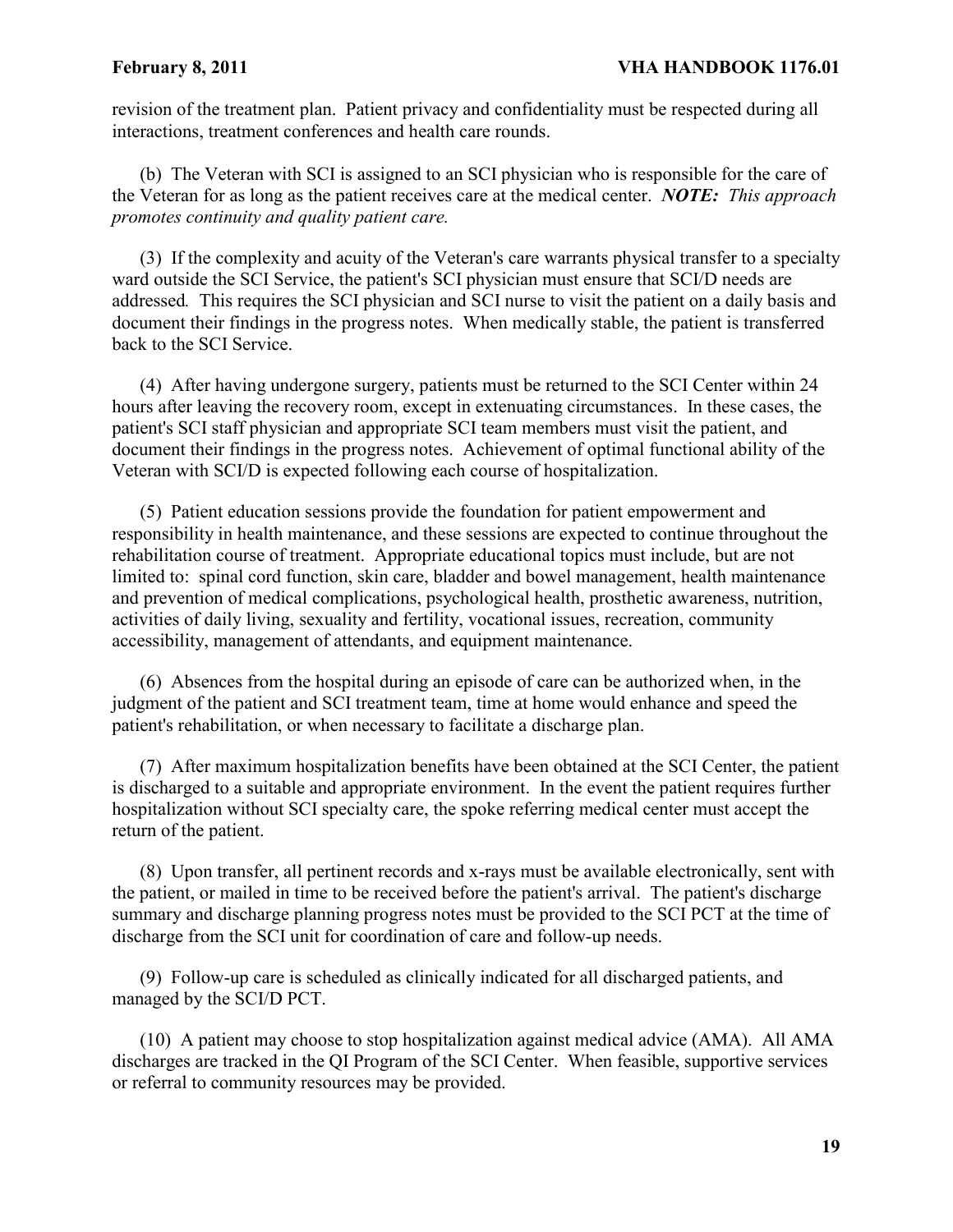revision of the treatment plan. Patient privacy and confidentiality must be respected during all interactions, treatment conferences and health care rounds.

(b) The Veteran with SCI is assigned to an SCI physician who is responsible for the care of the Veteran for as long as the patient receives care at the medical center. *NOTE: This approach promotes continuity and quality patient care.*

(3) If the complexity and acuity of the Veteran's care warrants physical transfer to a specialty ward outside the SCI Service, the patient's SCI physician must ensure that SCI/D needs are addressed*.* This requires the SCI physician and SCI nurse to visit the patient on a daily basis and document their findings in the progress notes. When medically stable, the patient is transferred back to the SCI Service.

(4) After having undergone surgery, patients must be returned to the SCI Center within 24 hours after leaving the recovery room, except in extenuating circumstances. In these cases, the patient's SCI staff physician and appropriate SCI team members must visit the patient, and document their findings in the progress notes. Achievement of optimal functional ability of the Veteran with SCI/D is expected following each course of hospitalization.

(5) Patient education sessions provide the foundation for patient empowerment and responsibility in health maintenance, and these sessions are expected to continue throughout the rehabilitation course of treatment. Appropriate educational topics must include, but are not limited to: spinal cord function, skin care, bladder and bowel management, health maintenance and prevention of medical complications, psychological health, prosthetic awareness, nutrition, activities of daily living, sexuality and fertility, vocational issues, recreation, community accessibility, management of attendants, and equipment maintenance.

(6) Absences from the hospital during an episode of care can be authorized when, in the judgment of the patient and SCI treatment team, time at home would enhance and speed the patient's rehabilitation, or when necessary to facilitate a discharge plan.

(7) After maximum hospitalization benefits have been obtained at the SCI Center, the patient is discharged to a suitable and appropriate environment. In the event the patient requires further hospitalization without SCI specialty care, the spoke referring medical center must accept the return of the patient.

(8) Upon transfer, all pertinent records and x-rays must be available electronically, sent with the patient, or mailed in time to be received before the patient's arrival. The patient's discharge summary and discharge planning progress notes must be provided to the SCI PCT at the time of discharge from the SCI unit for coordination of care and follow-up needs.

(9) Follow-up care is scheduled as clinically indicated for all discharged patients, and managed by the SCI/D PCT.

(10) A patient may choose to stop hospitalization against medical advice (AMA). All AMA discharges are tracked in the QI Program of the SCI Center. When feasible, supportive services or referral to community resources may be provided.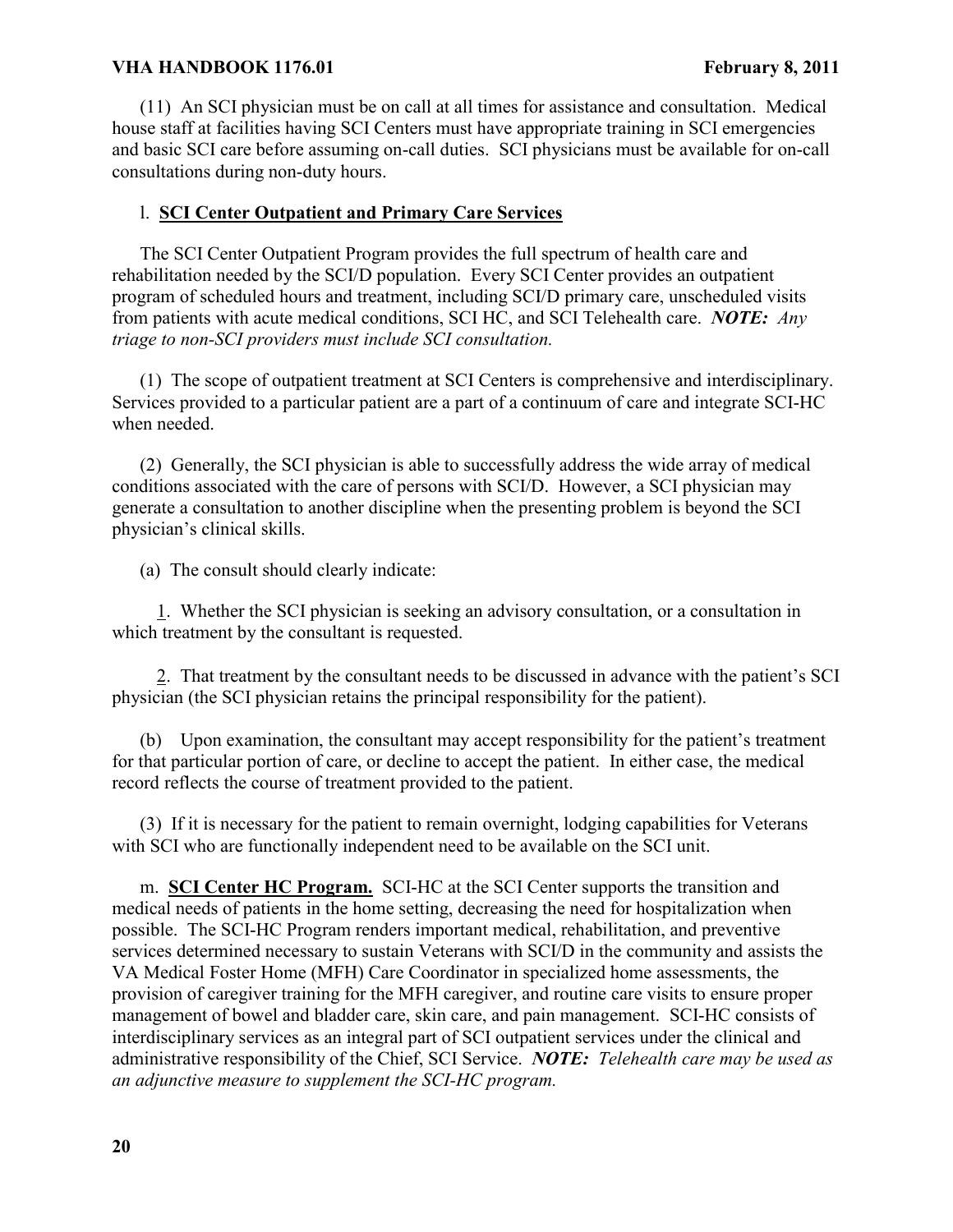(11) An SCI physician must be on call at all times for assistance and consultation. Medical house staff at facilities having SCI Centers must have appropriate training in SCI emergencies and basic SCI care before assuming on-call duties. SCI physicians must be available for on-call consultations during non-duty hours.

### l. **SCI Center Outpatient and Primary Care Services**

The SCI Center Outpatient Program provides the full spectrum of health care and rehabilitation needed by the SCI/D population. Every SCI Center provides an outpatient program of scheduled hours and treatment, including SCI/D primary care, unscheduled visits from patients with acute medical conditions, SCI HC, and SCI Telehealth care. *NOTE: Any triage to non-SCI providers must include SCI consultation.*

(1) The scope of outpatient treatment at SCI Centers is comprehensive and interdisciplinary. Services provided to a particular patient are a part of a continuum of care and integrate SCI-HC when needed.

(2) Generally, the SCI physician is able to successfully address the wide array of medical conditions associated with the care of persons with SCI/D. However, a SCI physician may generate a consultation to another discipline when the presenting problem is beyond the SCI physician's clinical skills.

(a) The consult should clearly indicate:

1. Whether the SCI physician is seeking an advisory consultation, or a consultation in which treatment by the consultant is requested.

2. That treatment by the consultant needs to be discussed in advance with the patient's SCI physician (the SCI physician retains the principal responsibility for the patient).

(b) Upon examination, the consultant may accept responsibility for the patient's treatment for that particular portion of care, or decline to accept the patient. In either case, the medical record reflects the course of treatment provided to the patient.

(3) If it is necessary for the patient to remain overnight, lodging capabilities for Veterans with SCI who are functionally independent need to be available on the SCI unit.

m. **SCI Center HC Program.** SCI-HC at the SCI Center supports the transition and medical needs of patients in the home setting, decreasing the need for hospitalization when possible. The SCI-HC Program renders important medical, rehabilitation, and preventive services determined necessary to sustain Veterans with SCI/D in the community and assists the VA Medical Foster Home (MFH) Care Coordinator in specialized home assessments, the provision of caregiver training for the MFH caregiver, and routine care visits to ensure proper management of bowel and bladder care, skin care, and pain management. SCI-HC consists of interdisciplinary services as an integral part of SCI outpatient services under the clinical and administrative responsibility of the Chief, SCI Service. *NOTE: Telehealth care may be used as an adjunctive measure to supplement the SCI-HC program.*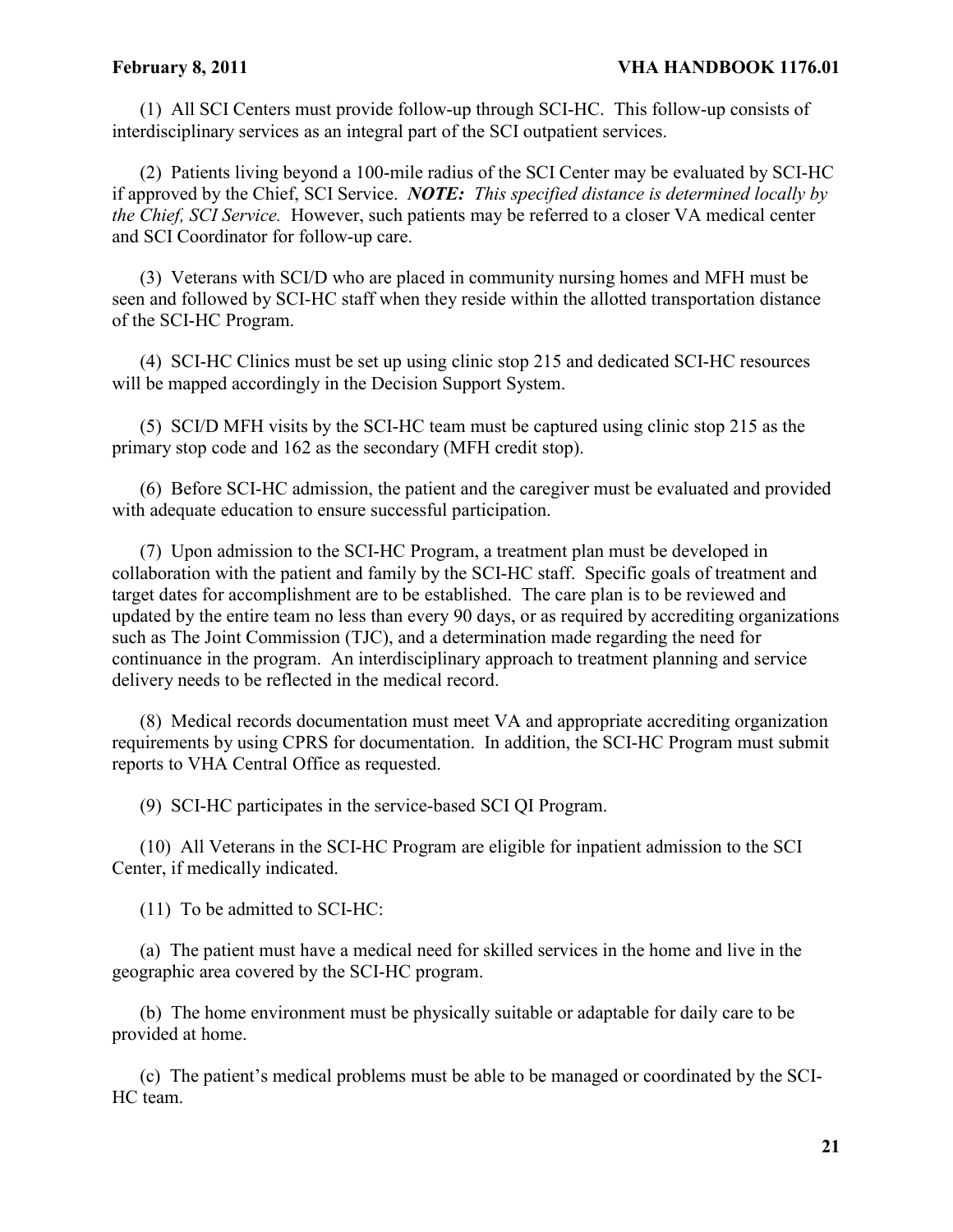(1) All SCI Centers must provide follow-up through SCI-HC. This follow-up consists of interdisciplinary services as an integral part of the SCI outpatient services.

(2) Patients living beyond a 100-mile radius of the SCI Center may be evaluated by SCI-HC if approved by the Chief, SCI Service. *NOTE: This specified distance is determined locally by the Chief, SCI Service.* However, such patients may be referred to a closer VA medical center and SCI Coordinator for follow-up care.

(3) Veterans with SCI/D who are placed in community nursing homes and MFH must be seen and followed by SCI-HC staff when they reside within the allotted transportation distance of the SCI-HC Program.

(4) SCI-HC Clinics must be set up using clinic stop 215 and dedicated SCI-HC resources will be mapped accordingly in the Decision Support System.

(5) SCI/D MFH visits by the SCI-HC team must be captured using clinic stop 215 as the primary stop code and 162 as the secondary (MFH credit stop).

(6) Before SCI-HC admission, the patient and the caregiver must be evaluated and provided with adequate education to ensure successful participation.

(7) Upon admission to the SCI-HC Program, a treatment plan must be developed in collaboration with the patient and family by the SCI-HC staff. Specific goals of treatment and target dates for accomplishment are to be established. The care plan is to be reviewed and updated by the entire team no less than every 90 days, or as required by accrediting organizations such as The Joint Commission (TJC), and a determination made regarding the need for continuance in the program. An interdisciplinary approach to treatment planning and service delivery needs to be reflected in the medical record.

(8) Medical records documentation must meet VA and appropriate accrediting organization requirements by using CPRS for documentation. In addition, the SCI-HC Program must submit reports to VHA Central Office as requested.

(9) SCI-HC participates in the service-based SCI QI Program.

(10) All Veterans in the SCI-HC Program are eligible for inpatient admission to the SCI Center, if medically indicated.

(11) To be admitted to SCI-HC:

(a) The patient must have a medical need for skilled services in the home and live in the geographic area covered by the SCI-HC program.

(b) The home environment must be physically suitable or adaptable for daily care to be provided at home.

(c) The patient's medical problems must be able to be managed or coordinated by the SCI-HC team.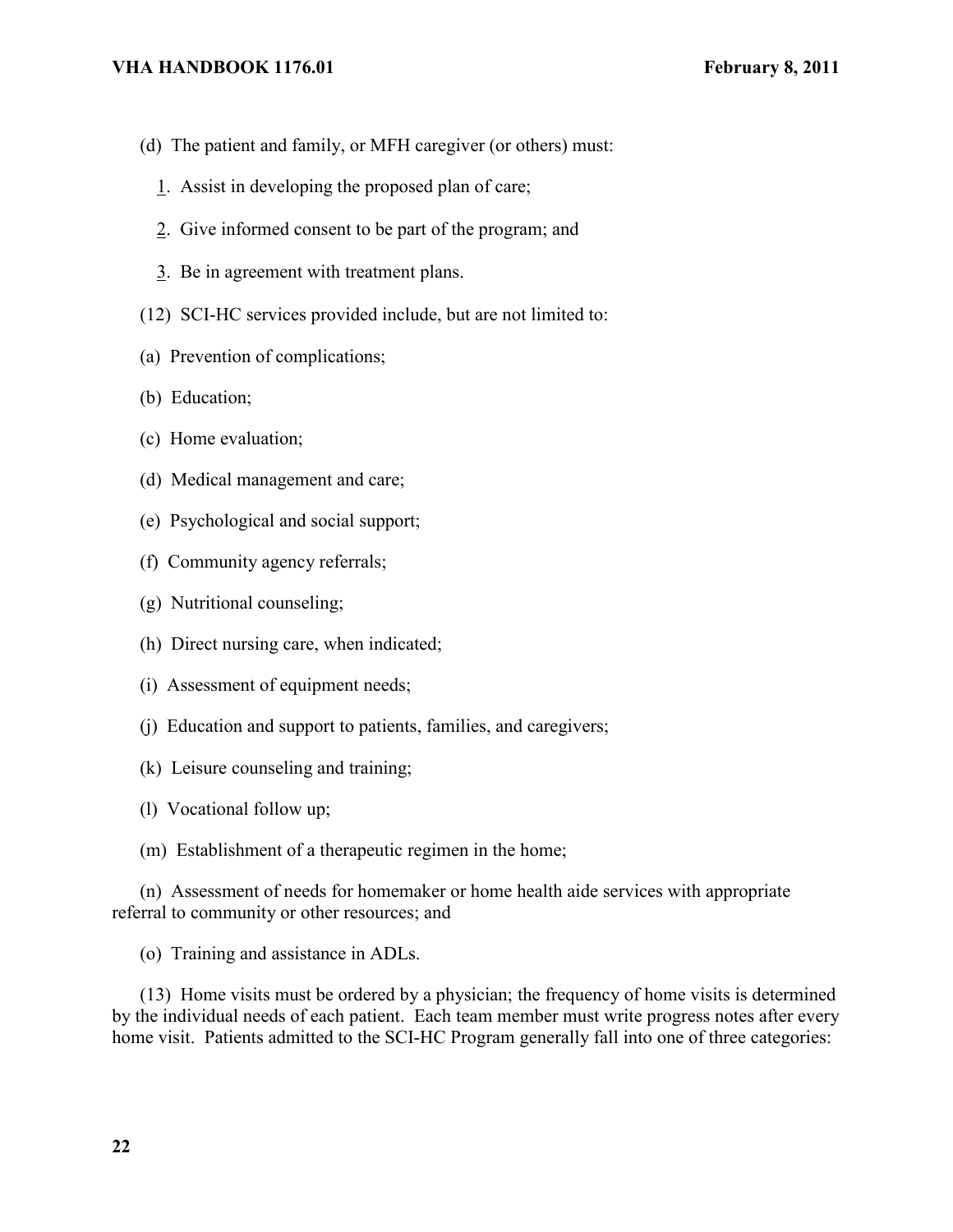- (d) The patient and family, or MFH caregiver (or others) must:
	- 1. Assist in developing the proposed plan of care;
	- 2. Give informed consent to be part of the program; and
	- 3. Be in agreement with treatment plans.
- (12) SCI-HC services provided include, but are not limited to:
- (a) Prevention of complications;
- (b) Education;
- (c) Home evaluation;
- (d) Medical management and care;
- (e) Psychological and social support;
- (f) Community agency referrals;
- (g) Nutritional counseling;
- (h) Direct nursing care, when indicated;
- (i) Assessment of equipment needs;
- (j) Education and support to patients, families, and caregivers;
- (k) Leisure counseling and training;
- (l) Vocational follow up;
- (m) Establishment of a therapeutic regimen in the home;

(n) Assessment of needs for homemaker or home health aide services with appropriate referral to community or other resources; and

(o) Training and assistance in ADLs.

(13) Home visits must be ordered by a physician; the frequency of home visits is determined by the individual needs of each patient. Each team member must write progress notes after every home visit. Patients admitted to the SCI-HC Program generally fall into one of three categories: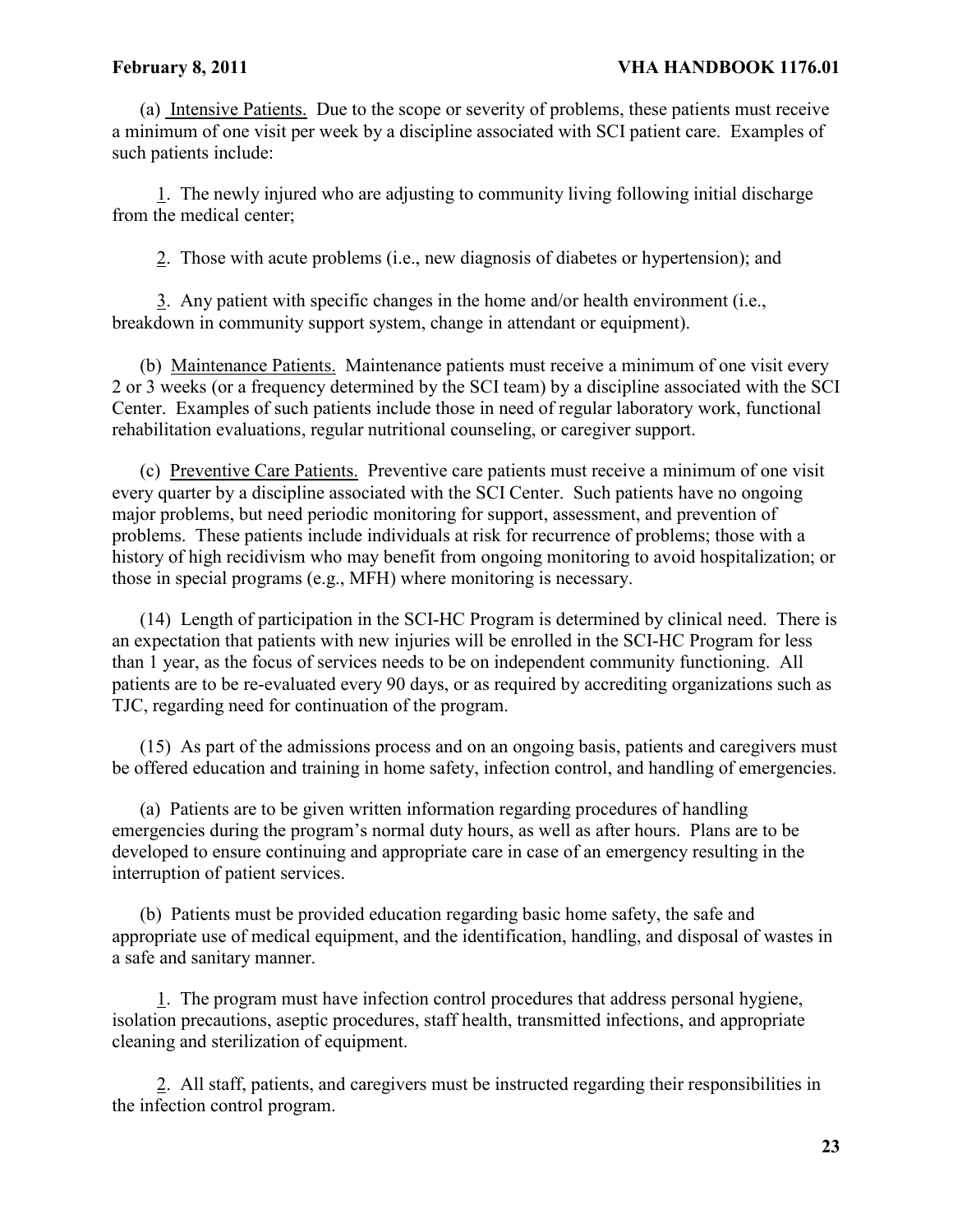#### February 8, 2011 **VHA HANDBOOK 1176.01**

(a) Intensive Patients. Due to the scope or severity of problems, these patients must receive a minimum of one visit per week by a discipline associated with SCI patient care. Examples of such patients include:

1. The newly injured who are adjusting to community living following initial discharge from the medical center;

2. Those with acute problems (i.e., new diagnosis of diabetes or hypertension); and

3. Any patient with specific changes in the home and/or health environment (i.e., breakdown in community support system, change in attendant or equipment).

(b) Maintenance Patients. Maintenance patients must receive a minimum of one visit every 2 or 3 weeks (or a frequency determined by the SCI team) by a discipline associated with the SCI Center. Examples of such patients include those in need of regular laboratory work, functional rehabilitation evaluations, regular nutritional counseling, or caregiver support.

(c) Preventive Care Patients. Preventive care patients must receive a minimum of one visit every quarter by a discipline associated with the SCI Center. Such patients have no ongoing major problems, but need periodic monitoring for support, assessment, and prevention of problems. These patients include individuals at risk for recurrence of problems; those with a history of high recidivism who may benefit from ongoing monitoring to avoid hospitalization; or those in special programs (e.g., MFH) where monitoring is necessary.

(14) Length of participation in the SCI-HC Program is determined by clinical need. There is an expectation that patients with new injuries will be enrolled in the SCI-HC Program for less than 1 year, as the focus of services needs to be on independent community functioning. All patients are to be re-evaluated every 90 days, or as required by accrediting organizations such as TJC, regarding need for continuation of the program.

(15) As part of the admissions process and on an ongoing basis, patients and caregivers must be offered education and training in home safety, infection control, and handling of emergencies.

(a) Patients are to be given written information regarding procedures of handling emergencies during the program's normal duty hours, as well as after hours. Plans are to be developed to ensure continuing and appropriate care in case of an emergency resulting in the interruption of patient services.

(b) Patients must be provided education regarding basic home safety, the safe and appropriate use of medical equipment, and the identification, handling, and disposal of wastes in a safe and sanitary manner.

1. The program must have infection control procedures that address personal hygiene, isolation precautions, aseptic procedures, staff health, transmitted infections, and appropriate cleaning and sterilization of equipment.

2. All staff, patients, and caregivers must be instructed regarding their responsibilities in the infection control program.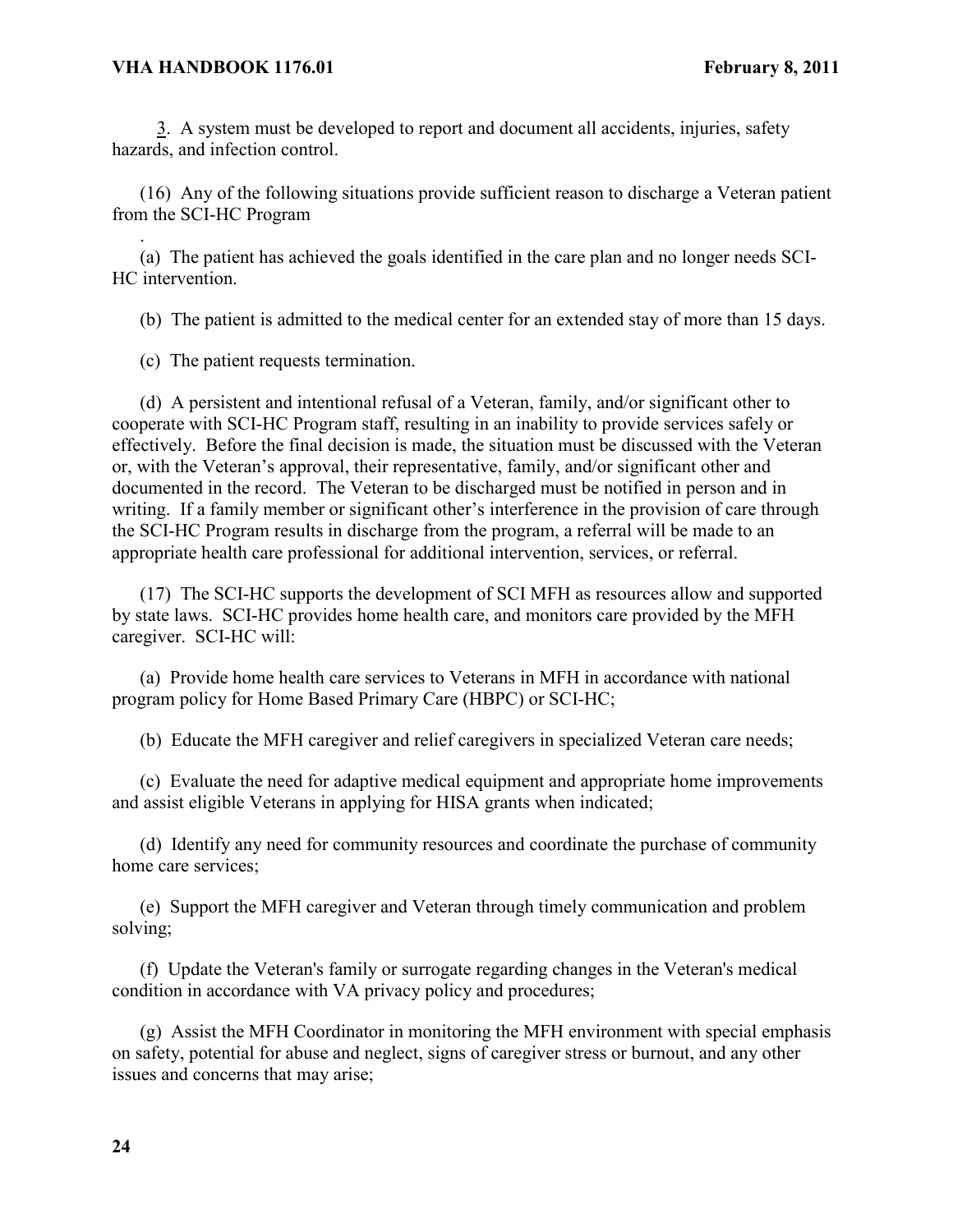.

3. A system must be developed to report and document all accidents, injuries, safety hazards, and infection control.

(16) Any of the following situations provide sufficient reason to discharge a Veteran patient from the SCI-HC Program

(a) The patient has achieved the goals identified in the care plan and no longer needs SCI-HC intervention.

(b) The patient is admitted to the medical center for an extended stay of more than 15 days.

(c) The patient requests termination.

(d) A persistent and intentional refusal of a Veteran, family, and/or significant other to cooperate with SCI-HC Program staff, resulting in an inability to provide services safely or effectively. Before the final decision is made, the situation must be discussed with the Veteran or, with the Veteran's approval, their representative, family, and/or significant other and documented in the record. The Veteran to be discharged must be notified in person and in writing. If a family member or significant other's interference in the provision of care through the SCI-HC Program results in discharge from the program, a referral will be made to an appropriate health care professional for additional intervention, services, or referral.

(17) The SCI-HC supports the development of SCI MFH as resources allow and supported by state laws. SCI-HC provides home health care, and monitors care provided by the MFH caregiver. SCI-HC will:

(a) Provide home health care services to Veterans in MFH in accordance with national program policy for Home Based Primary Care (HBPC) or SCI-HC;

(b) Educate the MFH caregiver and relief caregivers in specialized Veteran care needs;

(c) Evaluate the need for adaptive medical equipment and appropriate home improvements and assist eligible Veterans in applying for HISA grants when indicated;

(d) Identify any need for community resources and coordinate the purchase of community home care services;

(e) Support the MFH caregiver and Veteran through timely communication and problem solving;

(f) Update the Veteran's family or surrogate regarding changes in the Veteran's medical condition in accordance with VA privacy policy and procedures;

(g) Assist the MFH Coordinator in monitoring the MFH environment with special emphasis on safety, potential for abuse and neglect, signs of caregiver stress or burnout, and any other issues and concerns that may arise;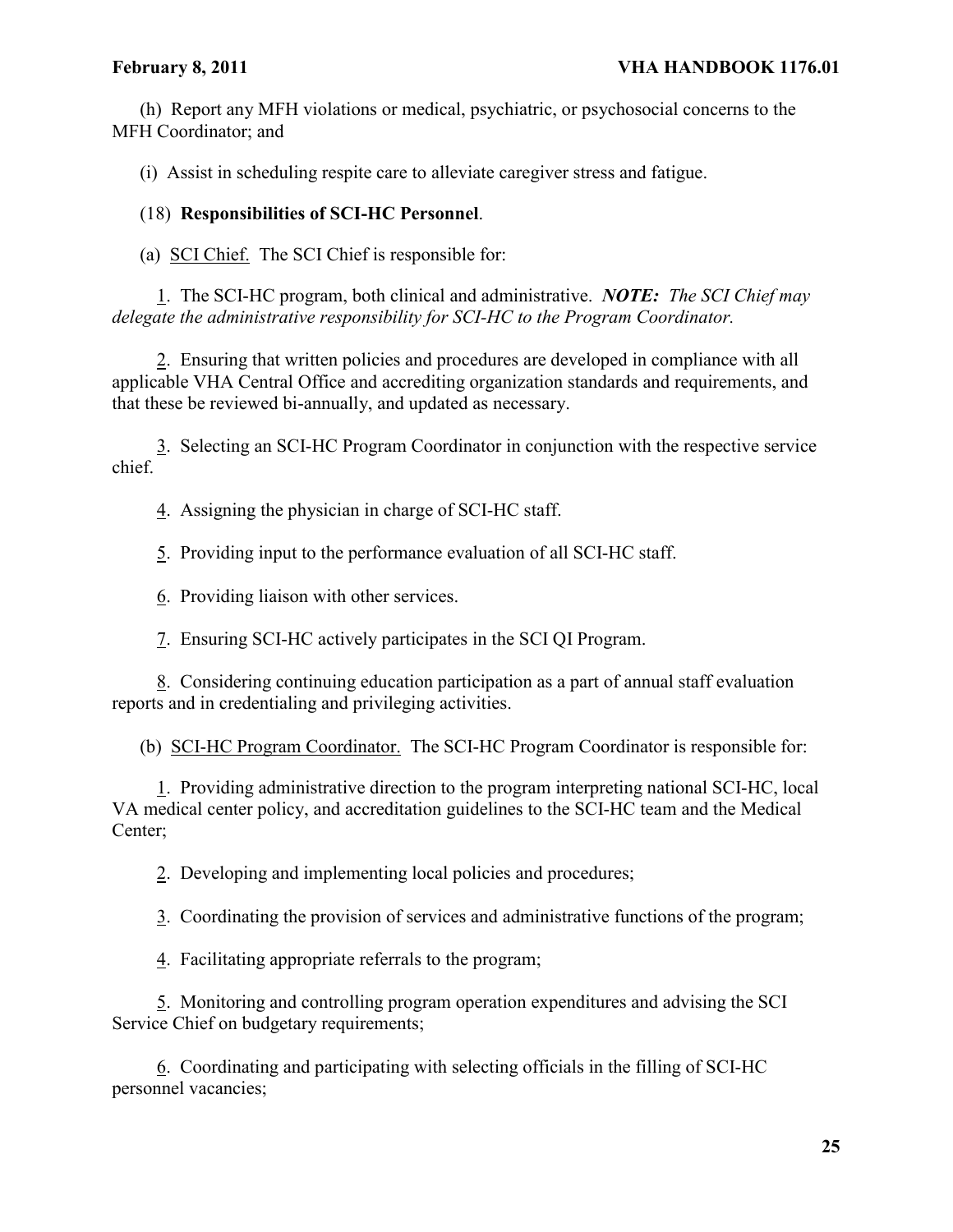(h) Report any MFH violations or medical, psychiatric, or psychosocial concerns to the MFH Coordinator; and

(i) Assist in scheduling respite care to alleviate caregiver stress and fatigue.

# (18) **Responsibilities of SCI-HC Personnel**.

(a) SCI Chief. The SCI Chief is responsible for:

1. The SCI-HC program, both clinical and administrative. *NOTE: The SCI Chief may delegate the administrative responsibility for SCI-HC to the Program Coordinator.*

2. Ensuring that written policies and procedures are developed in compliance with all applicable VHA Central Office and accrediting organization standards and requirements, and that these be reviewed bi-annually, and updated as necessary.

3. Selecting an SCI-HC Program Coordinator in conjunction with the respective service chief.

4. Assigning the physician in charge of SCI-HC staff.

5. Providing input to the performance evaluation of all SCI-HC staff.

6. Providing liaison with other services.

7. Ensuring SCI-HC actively participates in the SCI QI Program.

8. Considering continuing education participation as a part of annual staff evaluation reports and in credentialing and privileging activities.

(b) SCI-HC Program Coordinator. The SCI-HC Program Coordinator is responsible for:

1. Providing administrative direction to the program interpreting national SCI-HC, local VA medical center policy, and accreditation guidelines to the SCI-HC team and the Medical Center;

2. Developing and implementing local policies and procedures;

3. Coordinating the provision of services and administrative functions of the program;

4. Facilitating appropriate referrals to the program;

5. Monitoring and controlling program operation expenditures and advising the SCI Service Chief on budgetary requirements;

6. Coordinating and participating with selecting officials in the filling of SCI-HC personnel vacancies;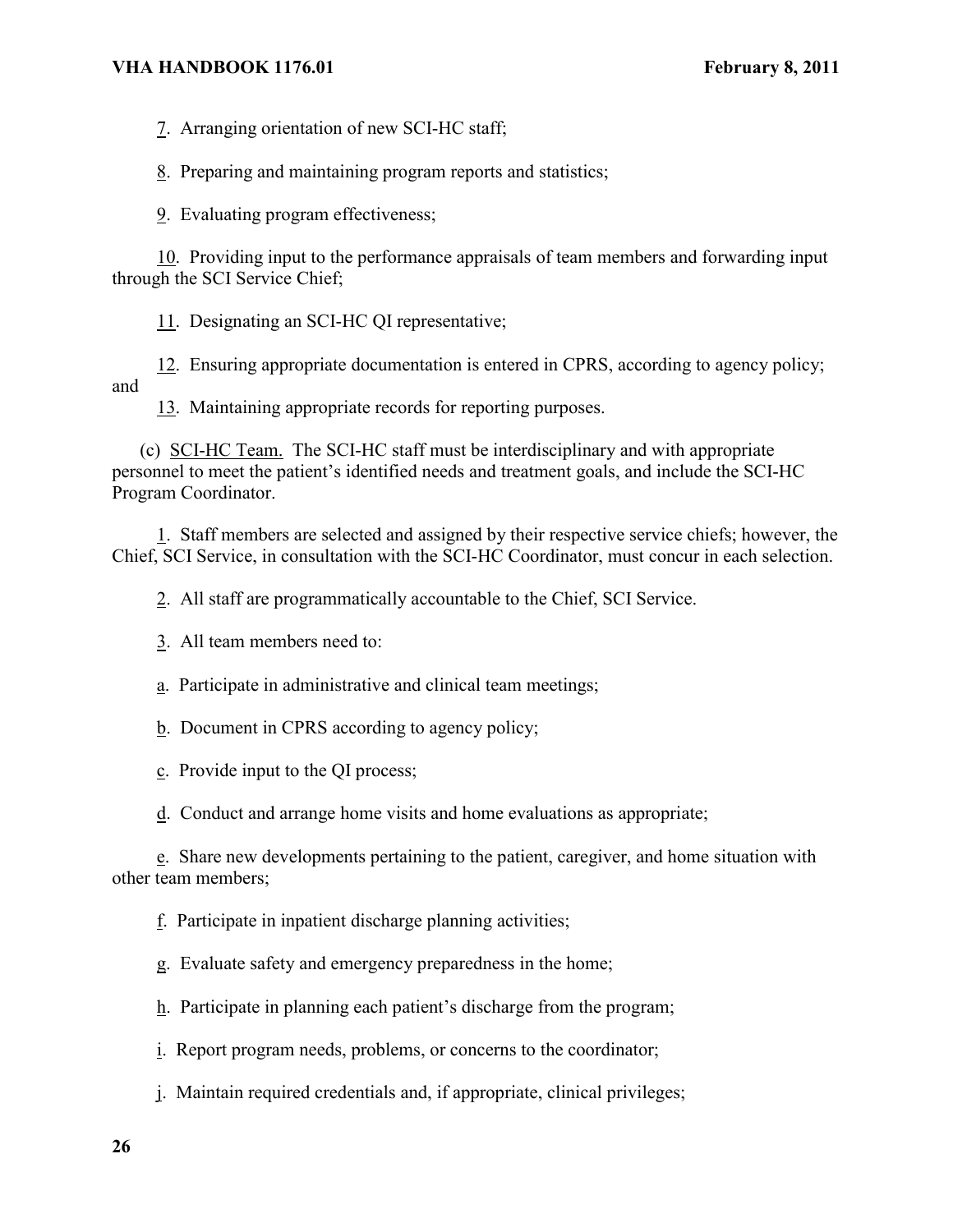7. Arranging orientation of new SCI-HC staff;

8. Preparing and maintaining program reports and statistics;

9. Evaluating program effectiveness;

10. Providing input to the performance appraisals of team members and forwarding input through the SCI Service Chief;

11. Designating an SCI-HC QI representative;

12. Ensuring appropriate documentation is entered in CPRS, according to agency policy; and

13. Maintaining appropriate records for reporting purposes.

(c) SCI-HC Team. The SCI-HC staff must be interdisciplinary and with appropriate personnel to meet the patient's identified needs and treatment goals, and include the SCI-HC Program Coordinator.

1. Staff members are selected and assigned by their respective service chiefs; however, the Chief, SCI Service, in consultation with the SCI-HC Coordinator, must concur in each selection.

2. All staff are programmatically accountable to the Chief, SCI Service.

3. All team members need to:

a. Participate in administrative and clinical team meetings;

b. Document in CPRS according to agency policy;

c. Provide input to the QI process;

d. Conduct and arrange home visits and home evaluations as appropriate;

e. Share new developments pertaining to the patient, caregiver, and home situation with other team members;

f. Participate in inpatient discharge planning activities;

g. Evaluate safety and emergency preparedness in the home;

h. Participate in planning each patient's discharge from the program;

i. Report program needs, problems, or concerns to the coordinator;

j. Maintain required credentials and, if appropriate, clinical privileges;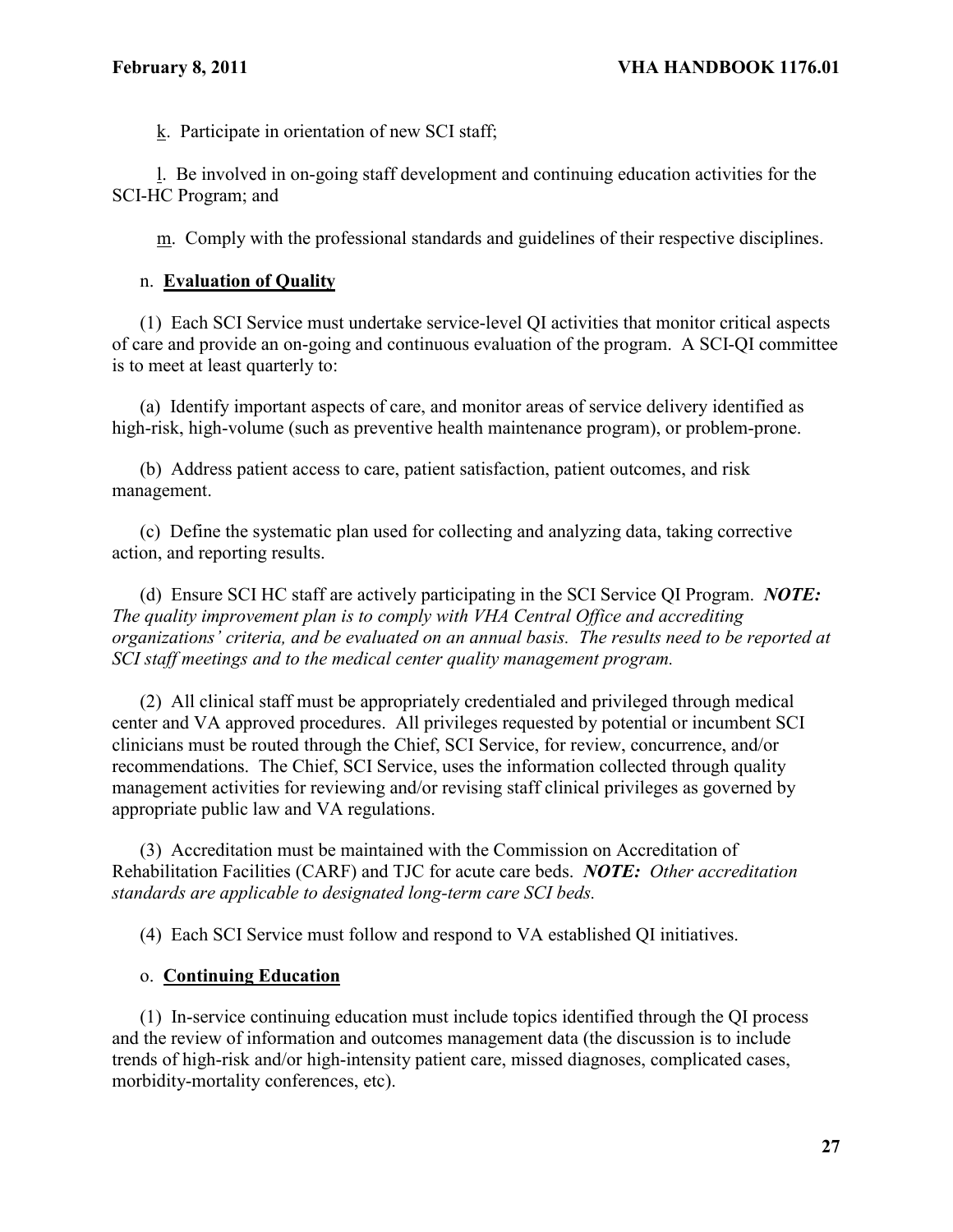k. Participate in orientation of new SCI staff;

l. Be involved in on-going staff development and continuing education activities for the SCI-HC Program; and

m. Comply with the professional standards and guidelines of their respective disciplines.

# n. **Evaluation of Quality**

(1) Each SCI Service must undertake service-level QI activities that monitor critical aspects of care and provide an on-going and continuous evaluation of the program. A SCI-QI committee is to meet at least quarterly to:

(a) Identify important aspects of care, and monitor areas of service delivery identified as high-risk, high-volume (such as preventive health maintenance program), or problem-prone.

(b) Address patient access to care, patient satisfaction, patient outcomes, and risk management.

(c) Define the systematic plan used for collecting and analyzing data, taking corrective action, and reporting results.

(d) Ensure SCI HC staff are actively participating in the SCI Service QI Program. *NOTE: The quality improvement plan is to comply with VHA Central Office and accrediting organizations' criteria, and be evaluated on an annual basis. The results need to be reported at SCI staff meetings and to the medical center quality management program.* 

(2) All clinical staff must be appropriately credentialed and privileged through medical center and VA approved procedures. All privileges requested by potential or incumbent SCI clinicians must be routed through the Chief, SCI Service, for review, concurrence, and/or recommendations. The Chief, SCI Service, uses the information collected through quality management activities for reviewing and/or revising staff clinical privileges as governed by appropriate public law and VA regulations.

(3) Accreditation must be maintained with the Commission on Accreditation of Rehabilitation Facilities (CARF) and TJC for acute care beds. *NOTE: Other accreditation standards are applicable to designated long-term care SCI beds.*

(4) Each SCI Service must follow and respond to VA established QI initiatives.

# o. **Continuing Education**

(1) In-service continuing education must include topics identified through the QI process and the review of information and outcomes management data (the discussion is to include trends of high-risk and/or high-intensity patient care, missed diagnoses, complicated cases, morbidity-mortality conferences, etc).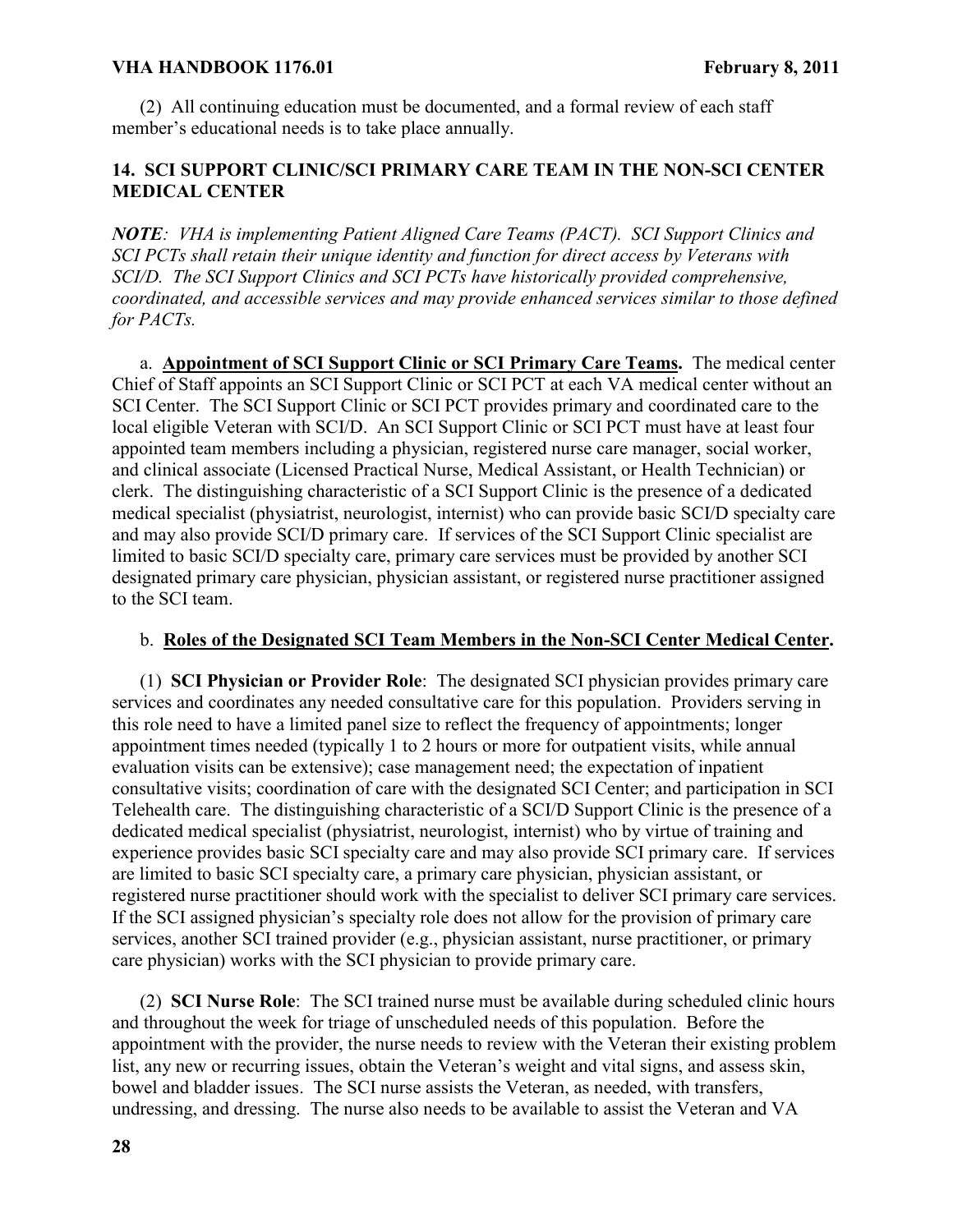(2) All continuing education must be documented, and a formal review of each staff member's educational needs is to take place annually.

# **14. SCI SUPPORT CLINIC/SCI PRIMARY CARE TEAM IN THE NON-SCI CENTER MEDICAL CENTER**

*NOTE: VHA is implementing Patient Aligned Care Teams (PACT). SCI Support Clinics and SCI PCTs shall retain their unique identity and function for direct access by Veterans with SCI/D. The SCI Support Clinics and SCI PCTs have historically provided comprehensive, coordinated, and accessible services and may provide enhanced services similar to those defined for PACTs.* 

a. **Appointment of SCI Support Clinic or SCI Primary Care Teams.** The medical center Chief of Staff appoints an SCI Support Clinic or SCI PCT at each VA medical center without an SCI Center. The SCI Support Clinic or SCI PCT provides primary and coordinated care to the local eligible Veteran with SCI/D. An SCI Support Clinic or SCI PCT must have at least four appointed team members including a physician, registered nurse care manager, social worker, and clinical associate (Licensed Practical Nurse, Medical Assistant, or Health Technician) or clerk. The distinguishing characteristic of a SCI Support Clinic is the presence of a dedicated medical specialist (physiatrist, neurologist, internist) who can provide basic SCI/D specialty care and may also provide SCI/D primary care. If services of the SCI Support Clinic specialist are limited to basic SCI/D specialty care, primary care services must be provided by another SCI designated primary care physician, physician assistant, or registered nurse practitioner assigned to the SCI team.

# b. **Roles of the Designated SCI Team Members in the Non-SCI Center Medical Center.**

(1) **SCI Physician or Provider Role**: The designated SCI physician provides primary care services and coordinates any needed consultative care for this population. Providers serving in this role need to have a limited panel size to reflect the frequency of appointments; longer appointment times needed (typically 1 to 2 hours or more for outpatient visits, while annual evaluation visits can be extensive); case management need; the expectation of inpatient consultative visits; coordination of care with the designated SCI Center; and participation in SCI Telehealth care. The distinguishing characteristic of a SCI/D Support Clinic is the presence of a dedicated medical specialist (physiatrist, neurologist, internist) who by virtue of training and experience provides basic SCI specialty care and may also provide SCI primary care. If services are limited to basic SCI specialty care, a primary care physician, physician assistant, or registered nurse practitioner should work with the specialist to deliver SCI primary care services. If the SCI assigned physician's specialty role does not allow for the provision of primary care services, another SCI trained provider (e.g., physician assistant, nurse practitioner, or primary care physician) works with the SCI physician to provide primary care.

(2) **SCI Nurse Role**: The SCI trained nurse must be available during scheduled clinic hours and throughout the week for triage of unscheduled needs of this population. Before the appointment with the provider, the nurse needs to review with the Veteran their existing problem list, any new or recurring issues, obtain the Veteran's weight and vital signs, and assess skin, bowel and bladder issues. The SCI nurse assists the Veteran, as needed, with transfers, undressing, and dressing. The nurse also needs to be available to assist the Veteran and VA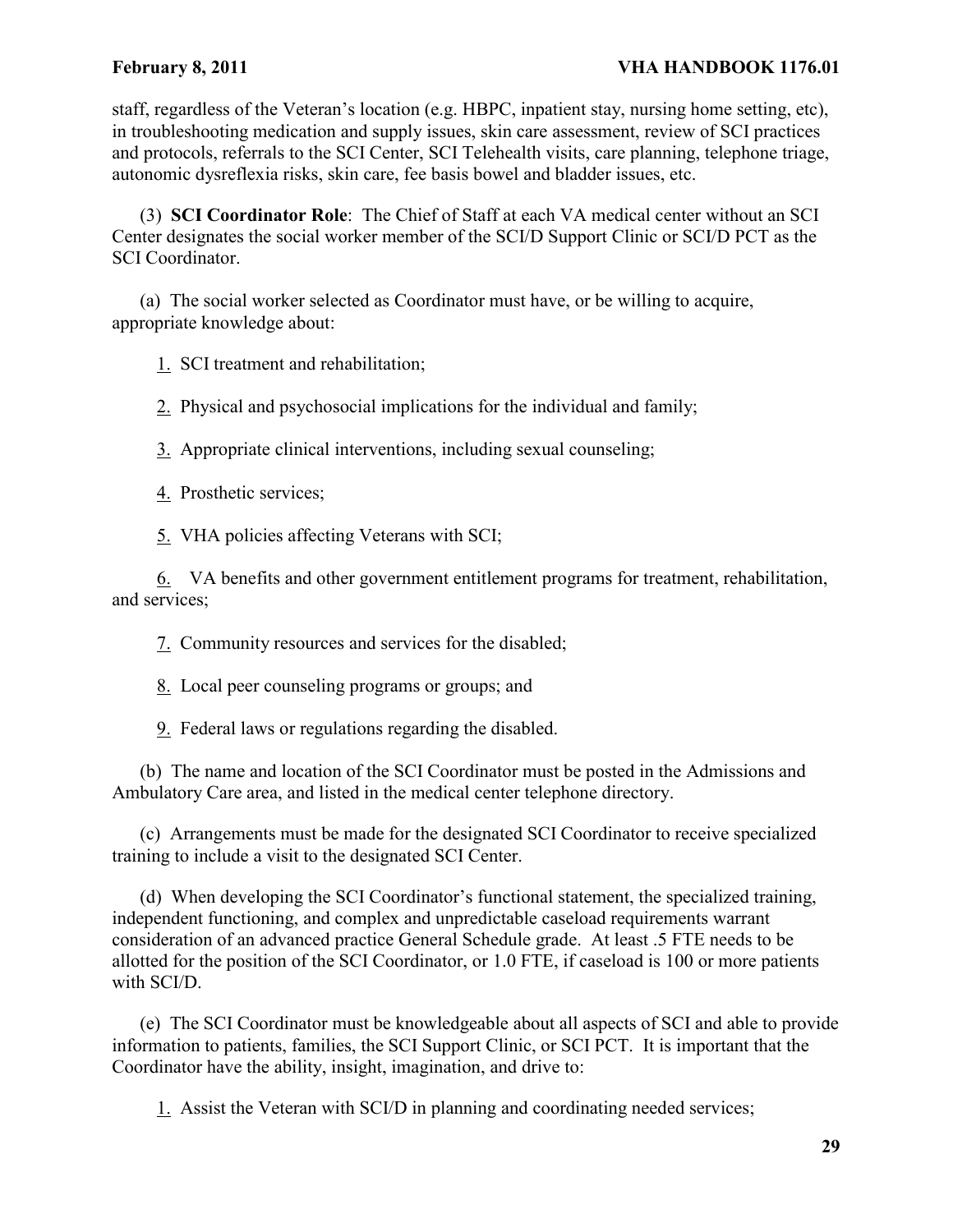staff, regardless of the Veteran's location (e.g. HBPC, inpatient stay, nursing home setting, etc), in troubleshooting medication and supply issues, skin care assessment, review of SCI practices and protocols, referrals to the SCI Center, SCI Telehealth visits, care planning, telephone triage, autonomic dysreflexia risks, skin care, fee basis bowel and bladder issues, etc.

(3) **SCI Coordinator Role**: The Chief of Staff at each VA medical center without an SCI Center designates the social worker member of the SCI/D Support Clinic or SCI/D PCT as the SCI Coordinator.

(a) The social worker selected as Coordinator must have, or be willing to acquire, appropriate knowledge about:

1. SCI treatment and rehabilitation;

2. Physical and psychosocial implications for the individual and family;

3. Appropriate clinical interventions, including sexual counseling;

4. Prosthetic services;

5. VHA policies affecting Veterans with SCI;

6. VA benefits and other government entitlement programs for treatment, rehabilitation, and services;

7. Community resources and services for the disabled;

8. Local peer counseling programs or groups; and

9. Federal laws or regulations regarding the disabled.

(b) The name and location of the SCI Coordinator must be posted in the Admissions and Ambulatory Care area, and listed in the medical center telephone directory.

(c) Arrangements must be made for the designated SCI Coordinator to receive specialized training to include a visit to the designated SCI Center.

(d) When developing the SCI Coordinator's functional statement, the specialized training, independent functioning, and complex and unpredictable caseload requirements warrant consideration of an advanced practice General Schedule grade. At least .5 FTE needs to be allotted for the position of the SCI Coordinator, or 1.0 FTE, if caseload is 100 or more patients with SCI/D.

(e) The SCI Coordinator must be knowledgeable about all aspects of SCI and able to provide information to patients, families, the SCI Support Clinic, or SCI PCT. It is important that the Coordinator have the ability, insight, imagination, and drive to:

1. Assist the Veteran with SCI/D in planning and coordinating needed services;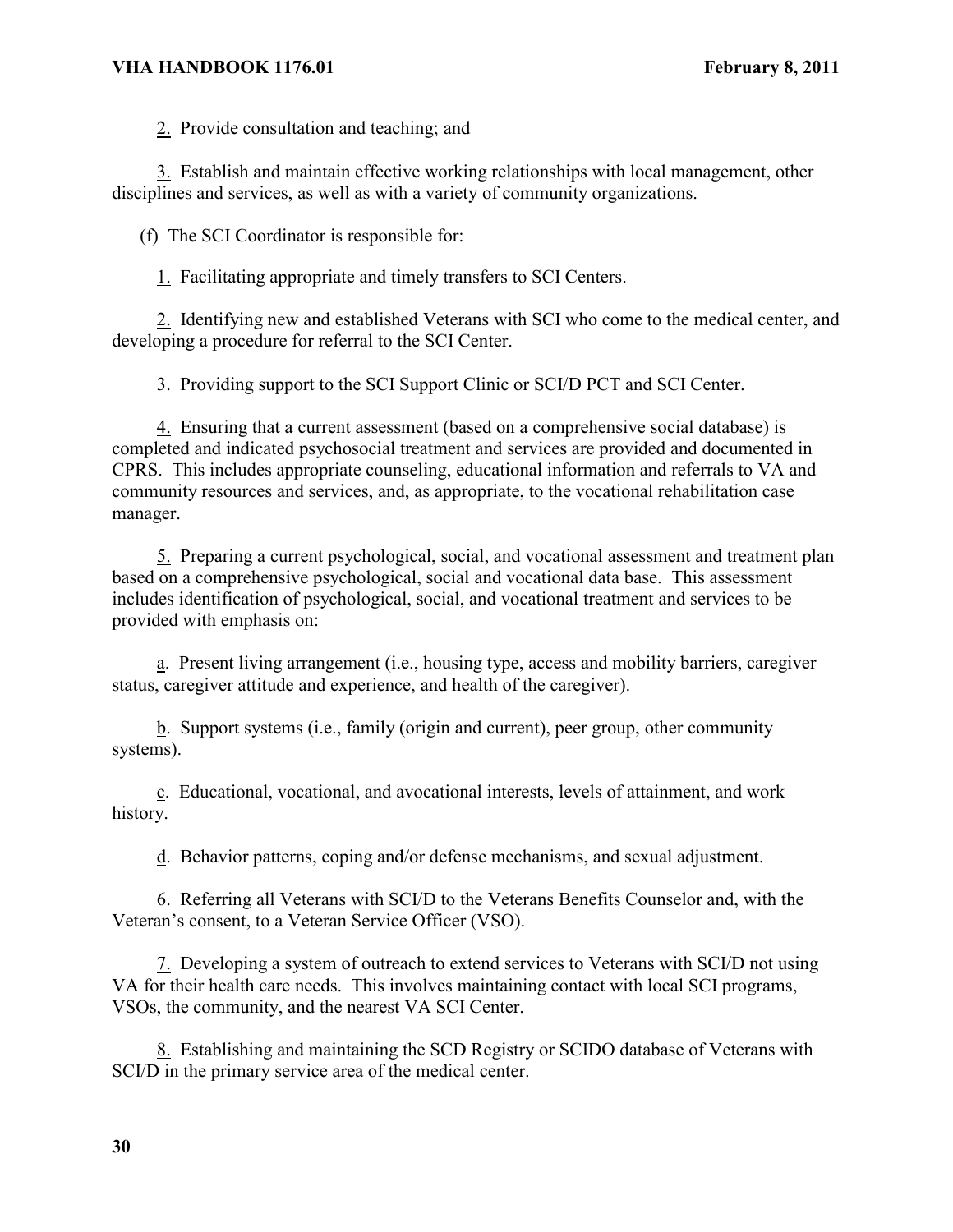2. Provide consultation and teaching; and

3. Establish and maintain effective working relationships with local management, other disciplines and services, as well as with a variety of community organizations.

(f) The SCI Coordinator is responsible for:

1. Facilitating appropriate and timely transfers to SCI Centers.

2. Identifying new and established Veterans with SCI who come to the medical center, and developing a procedure for referral to the SCI Center.

3. Providing support to the SCI Support Clinic or SCI/D PCT and SCI Center.

4. Ensuring that a current assessment (based on a comprehensive social database) is completed and indicated psychosocial treatment and services are provided and documented in CPRS. This includes appropriate counseling, educational information and referrals to VA and community resources and services, and, as appropriate, to the vocational rehabilitation case manager.

5. Preparing a current psychological, social, and vocational assessment and treatment plan based on a comprehensive psychological, social and vocational data base. This assessment includes identification of psychological, social, and vocational treatment and services to be provided with emphasis on:

a. Present living arrangement (i.e., housing type, access and mobility barriers, caregiver status, caregiver attitude and experience, and health of the caregiver).

b. Support systems (i.e., family (origin and current), peer group, other community systems).

c. Educational, vocational, and avocational interests, levels of attainment, and work history.

d. Behavior patterns, coping and/or defense mechanisms, and sexual adjustment.

6. Referring all Veterans with SCI/D to the Veterans Benefits Counselor and, with the Veteran's consent, to a Veteran Service Officer (VSO).

7. Developing a system of outreach to extend services to Veterans with SCI/D not using VA for their health care needs. This involves maintaining contact with local SCI programs, VSOs, the community, and the nearest VA SCI Center.

8. Establishing and maintaining the SCD Registry or SCIDO database of Veterans with SCI/D in the primary service area of the medical center.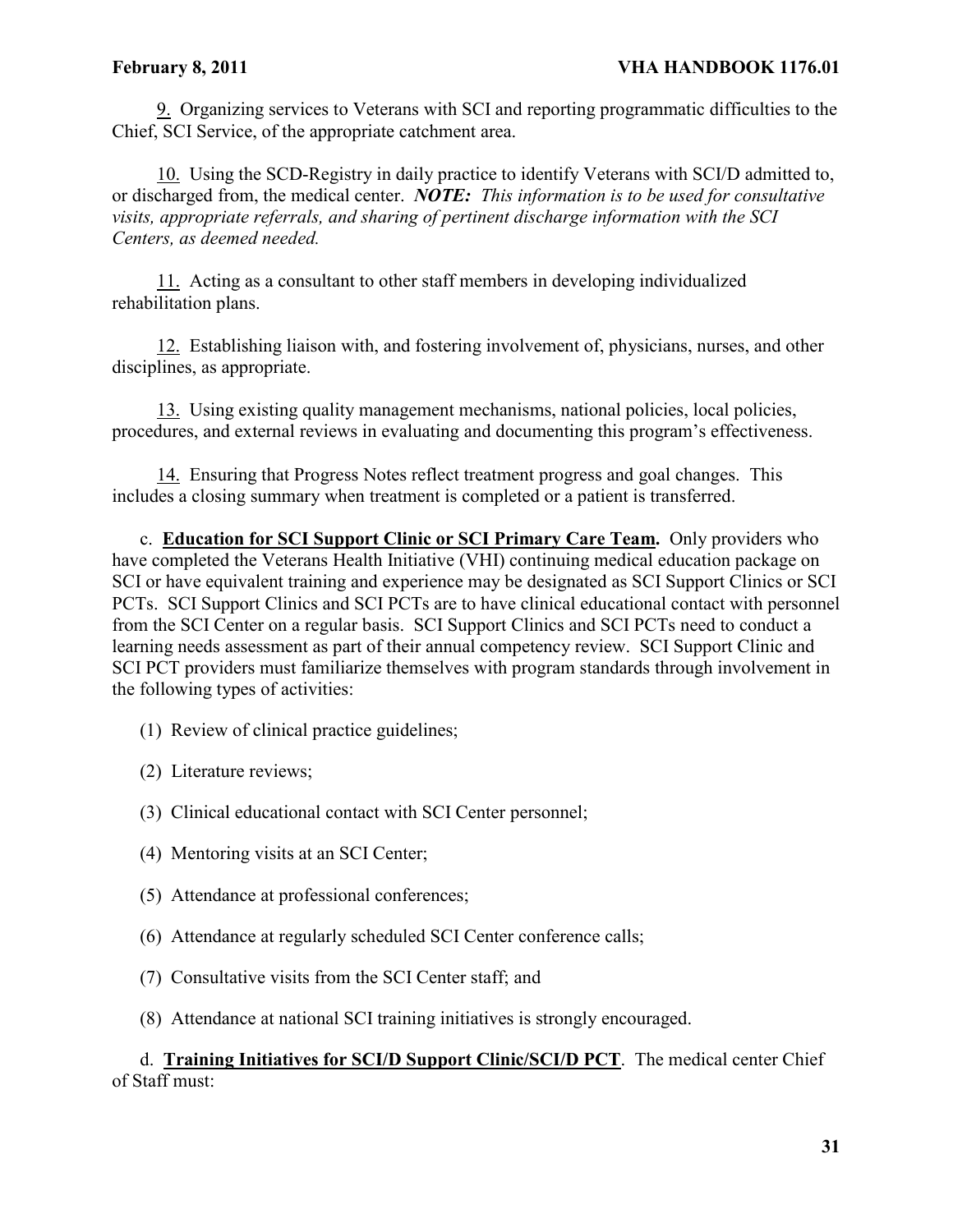9. Organizing services to Veterans with SCI and reporting programmatic difficulties to the Chief, SCI Service, of the appropriate catchment area.

10. Using the SCD-Registry in daily practice to identify Veterans with SCI/D admitted to, or discharged from, the medical center. *NOTE: This information is to be used for consultative visits, appropriate referrals, and sharing of pertinent discharge information with the SCI Centers, as deemed needed.*

11. Acting as a consultant to other staff members in developing individualized rehabilitation plans.

12. Establishing liaison with, and fostering involvement of, physicians, nurses, and other disciplines, as appropriate.

13. Using existing quality management mechanisms, national policies, local policies, procedures, and external reviews in evaluating and documenting this program's effectiveness.

14. Ensuring that Progress Notes reflect treatment progress and goal changes. This includes a closing summary when treatment is completed or a patient is transferred.

c. **Education for SCI Support Clinic or SCI Primary Care Team.** Only providers who have completed the Veterans Health Initiative (VHI) continuing medical education package on SCI or have equivalent training and experience may be designated as SCI Support Clinics or SCI PCTs. SCI Support Clinics and SCI PCTs are to have clinical educational contact with personnel from the SCI Center on a regular basis. SCI Support Clinics and SCI PCTs need to conduct a learning needs assessment as part of their annual competency review. SCI Support Clinic and SCI PCT providers must familiarize themselves with program standards through involvement in the following types of activities:

- (1) Review of clinical practice guidelines;
- (2) Literature reviews;
- (3) Clinical educational contact with SCI Center personnel;
- (4) Mentoring visits at an SCI Center;
- (5) Attendance at professional conferences;
- (6) Attendance at regularly scheduled SCI Center conference calls;
- (7) Consultative visits from the SCI Center staff; and
- (8) Attendance at national SCI training initiatives is strongly encouraged.

# d. **Training Initiatives for SCI/D Support Clinic/SCI/D PCT**. The medical center Chief of Staff must: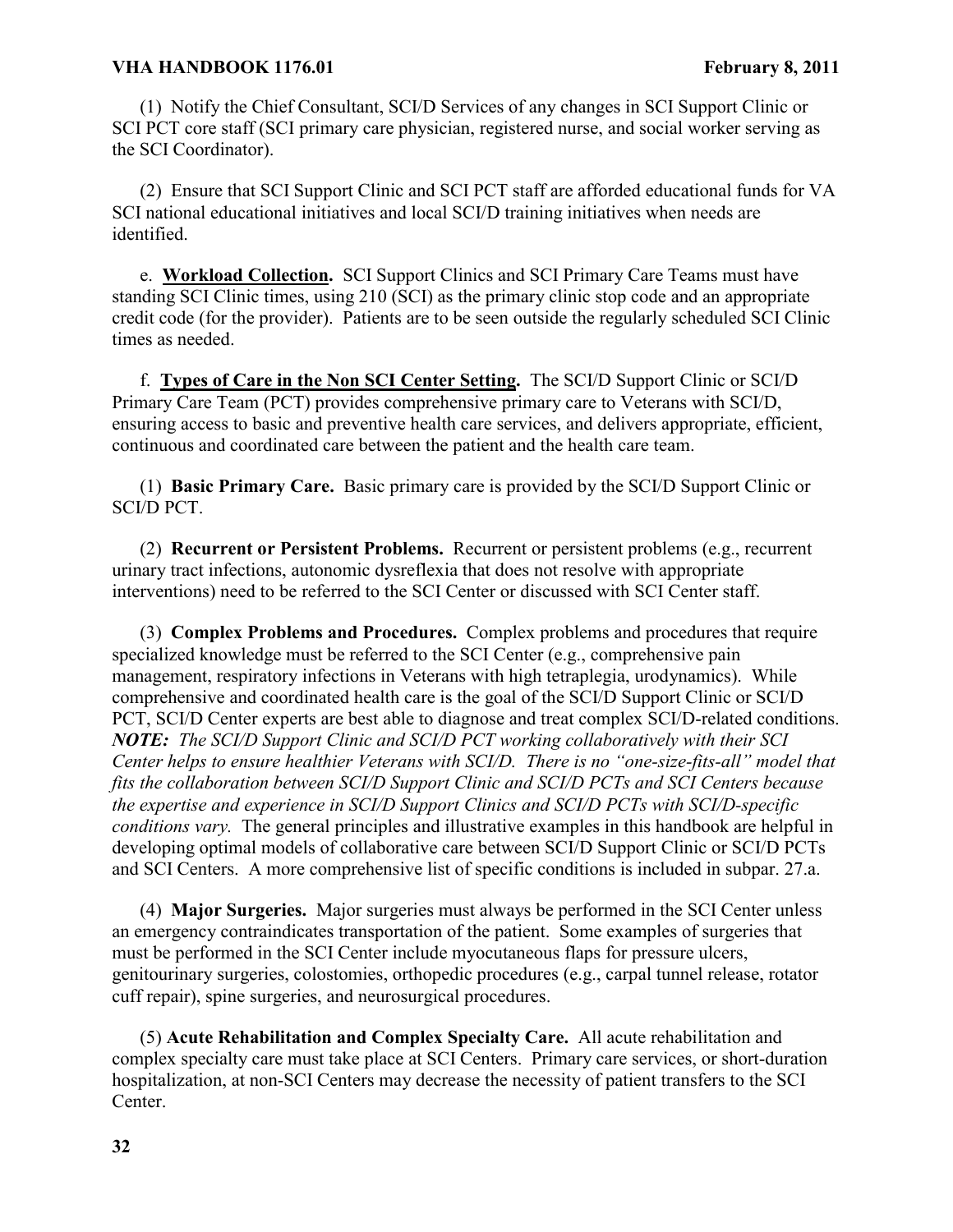(1) Notify the Chief Consultant, SCI/D Services of any changes in SCI Support Clinic or SCI PCT core staff (SCI primary care physician, registered nurse, and social worker serving as the SCI Coordinator).

(2) Ensure that SCI Support Clinic and SCI PCT staff are afforded educational funds for VA SCI national educational initiatives and local SCI/D training initiatives when needs are identified.

e. **Workload Collection.** SCI Support Clinics and SCI Primary Care Teams must have standing SCI Clinic times, using 210 (SCI) as the primary clinic stop code and an appropriate credit code (for the provider). Patients are to be seen outside the regularly scheduled SCI Clinic times as needed.

f. **Types of Care in the Non SCI Center Setting.** The SCI/D Support Clinic or SCI/D Primary Care Team (PCT) provides comprehensive primary care to Veterans with SCI/D, ensuring access to basic and preventive health care services, and delivers appropriate, efficient, continuous and coordinated care between the patient and the health care team.

(1) **Basic Primary Care.** Basic primary care is provided by the SCI/D Support Clinic or SCI/D PCT.

(2) **Recurrent or Persistent Problems.** Recurrent or persistent problems (e.g., recurrent urinary tract infections, autonomic dysreflexia that does not resolve with appropriate interventions) need to be referred to the SCI Center or discussed with SCI Center staff.

(3) **Complex Problems and Procedures.** Complex problems and procedures that require specialized knowledge must be referred to the SCI Center (e.g., comprehensive pain management, respiratory infections in Veterans with high tetraplegia, urodynamics). While comprehensive and coordinated health care is the goal of the SCI/D Support Clinic or SCI/D PCT, SCI/D Center experts are best able to diagnose and treat complex SCI/D-related conditions. *NOTE: The SCI/D Support Clinic and SCI/D PCT working collaboratively with their SCI Center helps to ensure healthier Veterans with SCI/D. There is no "one-size-fits-all" model that fits the collaboration between SCI/D Support Clinic and SCI/D PCTs and SCI Centers because the expertise and experience in SCI/D Support Clinics and SCI/D PCTs with SCI/D-specific conditions vary.* The general principles and illustrative examples in this handbook are helpful in developing optimal models of collaborative care between SCI/D Support Clinic or SCI/D PCTs and SCI Centers. A more comprehensive list of specific conditions is included in subpar. 27.a.

(4) **Major Surgeries.** Major surgeries must always be performed in the SCI Center unless an emergency contraindicates transportation of the patient. Some examples of surgeries that must be performed in the SCI Center include myocutaneous flaps for pressure ulcers, genitourinary surgeries, colostomies, orthopedic procedures (e.g., carpal tunnel release, rotator cuff repair), spine surgeries, and neurosurgical procedures.

(5) **Acute Rehabilitation and Complex Specialty Care.** All acute rehabilitation and complex specialty care must take place at SCI Centers. Primary care services, or short-duration hospitalization, at non-SCI Centers may decrease the necessity of patient transfers to the SCI Center.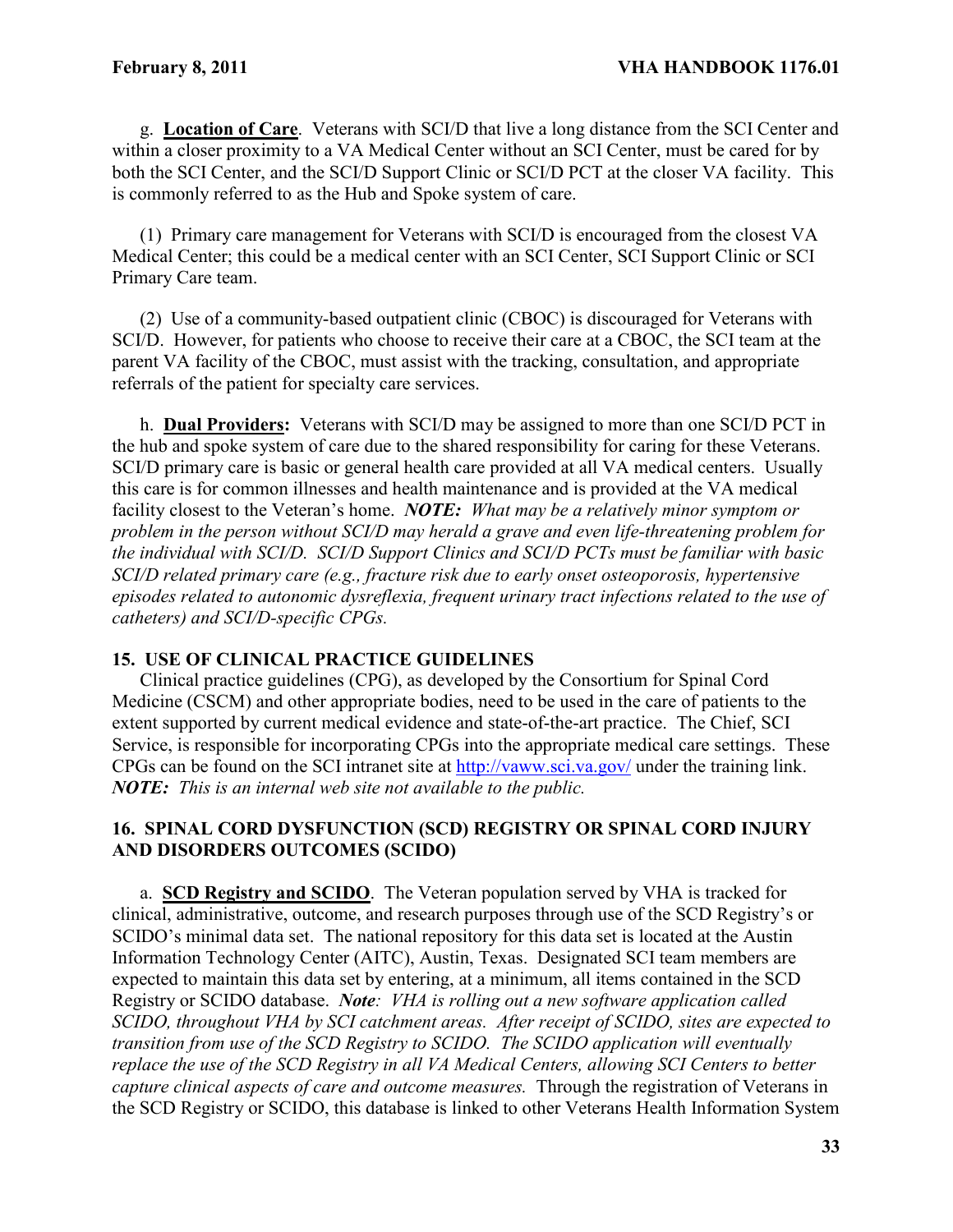g. **Location of Care**. Veterans with SCI/D that live a long distance from the SCI Center and within a closer proximity to a VA Medical Center without an SCI Center, must be cared for by both the SCI Center, and the SCI/D Support Clinic or SCI/D PCT at the closer VA facility. This is commonly referred to as the Hub and Spoke system of care.

(1) Primary care management for Veterans with SCI/D is encouraged from the closest VA Medical Center; this could be a medical center with an SCI Center, SCI Support Clinic or SCI Primary Care team.

(2) Use of a community-based outpatient clinic (CBOC) is discouraged for Veterans with SCI/D. However, for patients who choose to receive their care at a CBOC, the SCI team at the parent VA facility of the CBOC, must assist with the tracking, consultation, and appropriate referrals of the patient for specialty care services.

h. **Dual Providers:** Veterans with SCI/D may be assigned to more than one SCI/D PCT in the hub and spoke system of care due to the shared responsibility for caring for these Veterans. SCI/D primary care is basic or general health care provided at all VA medical centers. Usually this care is for common illnesses and health maintenance and is provided at the VA medical facility closest to the Veteran's home. *NOTE: What may be a relatively minor symptom or problem in the person without SCI/D may herald a grave and even life-threatening problem for the individual with SCI/D. SCI/D Support Clinics and SCI/D PCTs must be familiar with basic SCI/D related primary care (e.g., fracture risk due to early onset osteoporosis, hypertensive episodes related to autonomic dysreflexia, frequent urinary tract infections related to the use of catheters) and SCI/D-specific CPGs.*

### **15. USE OF CLINICAL PRACTICE GUIDELINES**

Clinical practice guidelines (CPG), as developed by the Consortium for Spinal Cord Medicine (CSCM) and other appropriate bodies, need to be used in the care of patients to the extent supported by current medical evidence and state-of-the-art practice. The Chief, SCI Service, is responsible for incorporating CPGs into the appropriate medical care settings. These CPGs can be found on the SCI intranet site at<http://vaww.sci.va.gov/> under the training link. *NOTE: This is an internal web site not available to the public.*

# **16. SPINAL CORD DYSFUNCTION (SCD) REGISTRY OR SPINAL CORD INJURY AND DISORDERS OUTCOMES (SCIDO)**

a. **SCD Registry and SCIDO**. The Veteran population served by VHA is tracked for clinical, administrative, outcome, and research purposes through use of the SCD Registry's or SCIDO's minimal data set. The national repository for this data set is located at the Austin Information Technology Center (AITC), Austin, Texas. Designated SCI team members are expected to maintain this data set by entering, at a minimum, all items contained in the SCD Registry or SCIDO database. *Note: VHA is rolling out a new software application called SCIDO, throughout VHA by SCI catchment areas. After receipt of SCIDO, sites are expected to transition from use of the SCD Registry to SCIDO. The SCIDO application will eventually replace the use of the SCD Registry in all VA Medical Centers, allowing SCI Centers to better capture clinical aspects of care and outcome measures.* Through the registration of Veterans in the SCD Registry or SCIDO, this database is linked to other Veterans Health Information System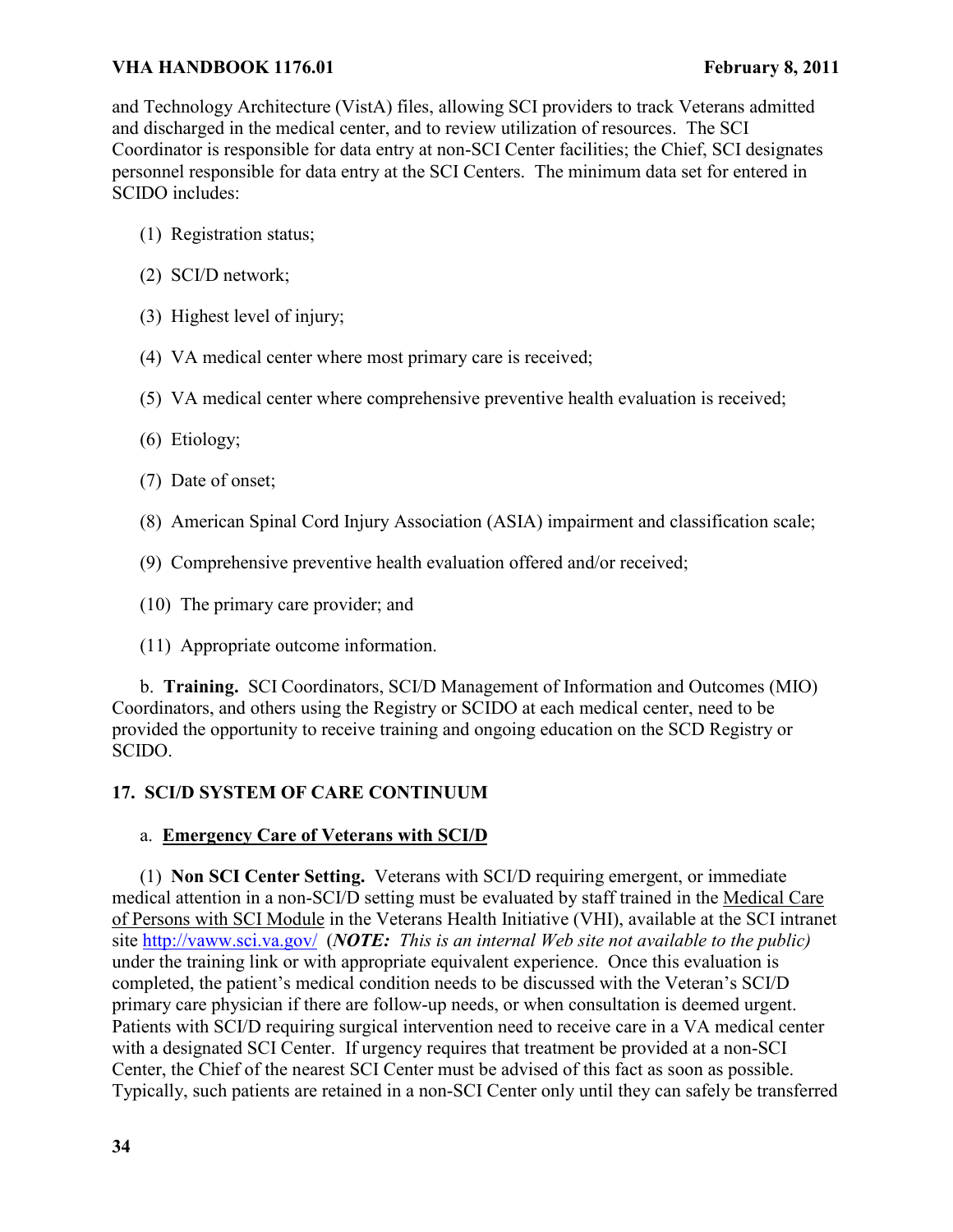and Technology Architecture (VistA) files, allowing SCI providers to track Veterans admitted and discharged in the medical center, and to review utilization of resources. The SCI Coordinator is responsible for data entry at non-SCI Center facilities; the Chief, SCI designates personnel responsible for data entry at the SCI Centers. The minimum data set for entered in SCIDO includes:

- (1) Registration status;
- (2) SCI/D network;
- (3) Highest level of injury;
- (4) VA medical center where most primary care is received;
- (5) VA medical center where comprehensive preventive health evaluation is received;
- (6) Etiology;
- (7) Date of onset;
- (8) American Spinal Cord Injury Association (ASIA) impairment and classification scale;
- (9) Comprehensive preventive health evaluation offered and/or received;
- (10) The primary care provider; and
- (11) Appropriate outcome information.

b. **Training.** SCI Coordinators, SCI/D Management of Information and Outcomes (MIO) Coordinators, and others using the Registry or SCIDO at each medical center, need to be provided the opportunity to receive training and ongoing education on the SCD Registry or SCIDO.

# **17. SCI/D SYSTEM OF CARE CONTINUUM**

# a. **Emergency Care of Veterans with SCI/D**

(1) **Non SCI Center Setting.** Veterans with SCI/D requiring emergent, or immediate medical attention in a non-SCI/D setting must be evaluated by staff trained in the Medical Care of Persons with SCI Module in the Veterans Health Initiative (VHI), available at the SCI intranet site<http://vaww.sci.va.gov/>(*NOTE: This is an internal Web site not available to the public)* under the training link or with appropriate equivalent experience. Once this evaluation is completed, the patient's medical condition needs to be discussed with the Veteran's SCI/D primary care physician if there are follow-up needs, or when consultation is deemed urgent. Patients with SCI/D requiring surgical intervention need to receive care in a VA medical center with a designated SCI Center. If urgency requires that treatment be provided at a non-SCI Center, the Chief of the nearest SCI Center must be advised of this fact as soon as possible. Typically, such patients are retained in a non-SCI Center only until they can safely be transferred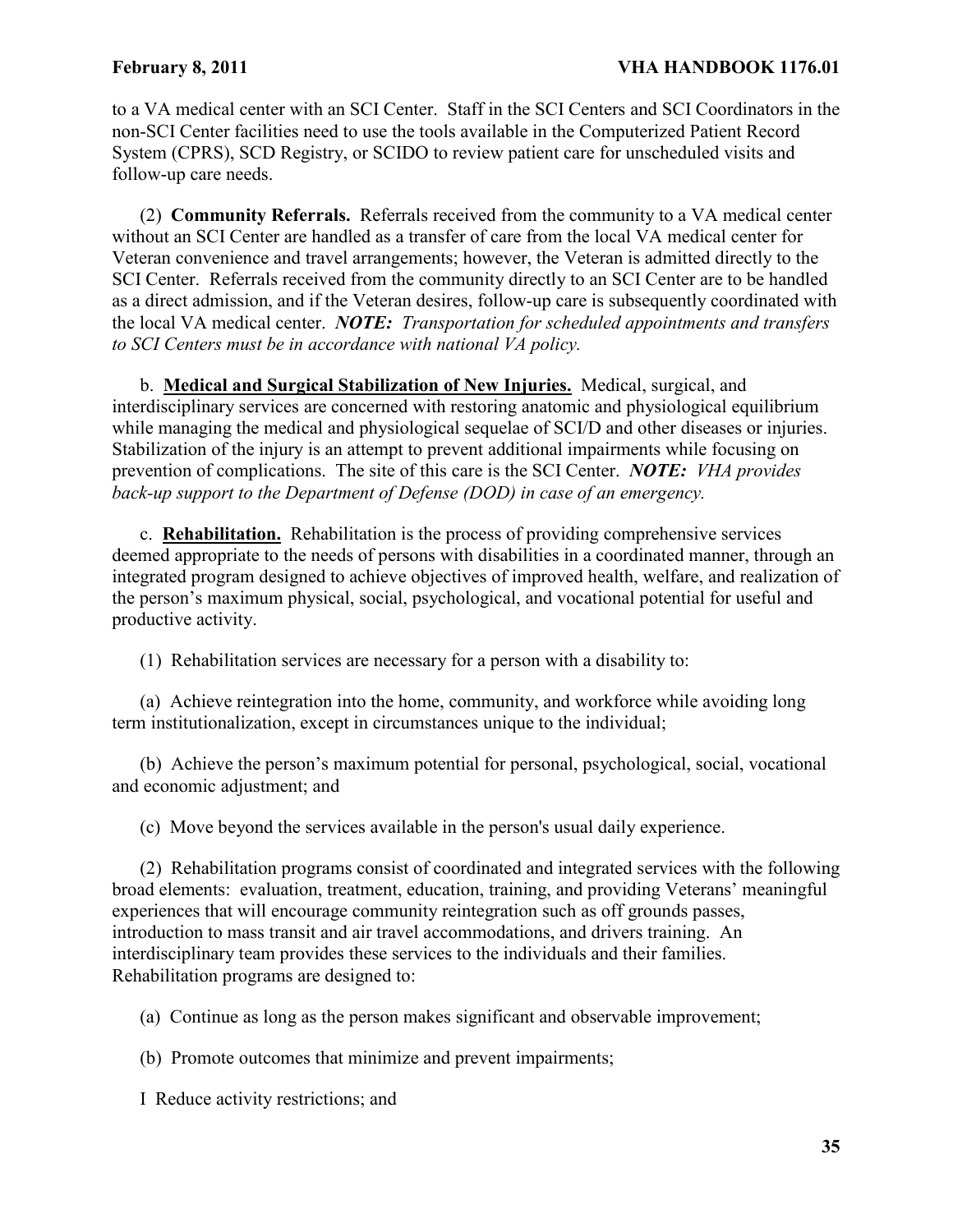to a VA medical center with an SCI Center. Staff in the SCI Centers and SCI Coordinators in the non-SCI Center facilities need to use the tools available in the Computerized Patient Record System (CPRS), SCD Registry, or SCIDO to review patient care for unscheduled visits and follow-up care needs.

(2) **Community Referrals.** Referrals received from the community to a VA medical center without an SCI Center are handled as a transfer of care from the local VA medical center for Veteran convenience and travel arrangements; however, the Veteran is admitted directly to the SCI Center. Referrals received from the community directly to an SCI Center are to be handled as a direct admission, and if the Veteran desires, follow-up care is subsequently coordinated with the local VA medical center. *NOTE: Transportation for scheduled appointments and transfers to SCI Centers must be in accordance with national VA policy.* 

b. **Medical and Surgical Stabilization of New Injuries.** Medical, surgical, and interdisciplinary services are concerned with restoring anatomic and physiological equilibrium while managing the medical and physiological sequelae of SCI/D and other diseases or injuries. Stabilization of the injury is an attempt to prevent additional impairments while focusing on prevention of complications. The site of this care is the SCI Center. *NOTE: VHA provides back-up support to the Department of Defense (DOD) in case of an emergency.*

c. **Rehabilitation.** Rehabilitation is the process of providing comprehensive services deemed appropriate to the needs of persons with disabilities in a coordinated manner, through an integrated program designed to achieve objectives of improved health, welfare, and realization of the person's maximum physical, social, psychological, and vocational potential for useful and productive activity.

(1) Rehabilitation services are necessary for a person with a disability to:

(a) Achieve reintegration into the home, community, and workforce while avoiding long term institutionalization, except in circumstances unique to the individual;

(b) Achieve the person's maximum potential for personal, psychological, social, vocational and economic adjustment; and

(c) Move beyond the services available in the person's usual daily experience.

(2) Rehabilitation programs consist of coordinated and integrated services with the following broad elements: evaluation, treatment, education, training, and providing Veterans' meaningful experiences that will encourage community reintegration such as off grounds passes, introduction to mass transit and air travel accommodations, and drivers training. An interdisciplinary team provides these services to the individuals and their families. Rehabilitation programs are designed to:

(a) Continue as long as the person makes significant and observable improvement;

(b) Promote outcomes that minimize and prevent impairments;

I Reduce activity restrictions; and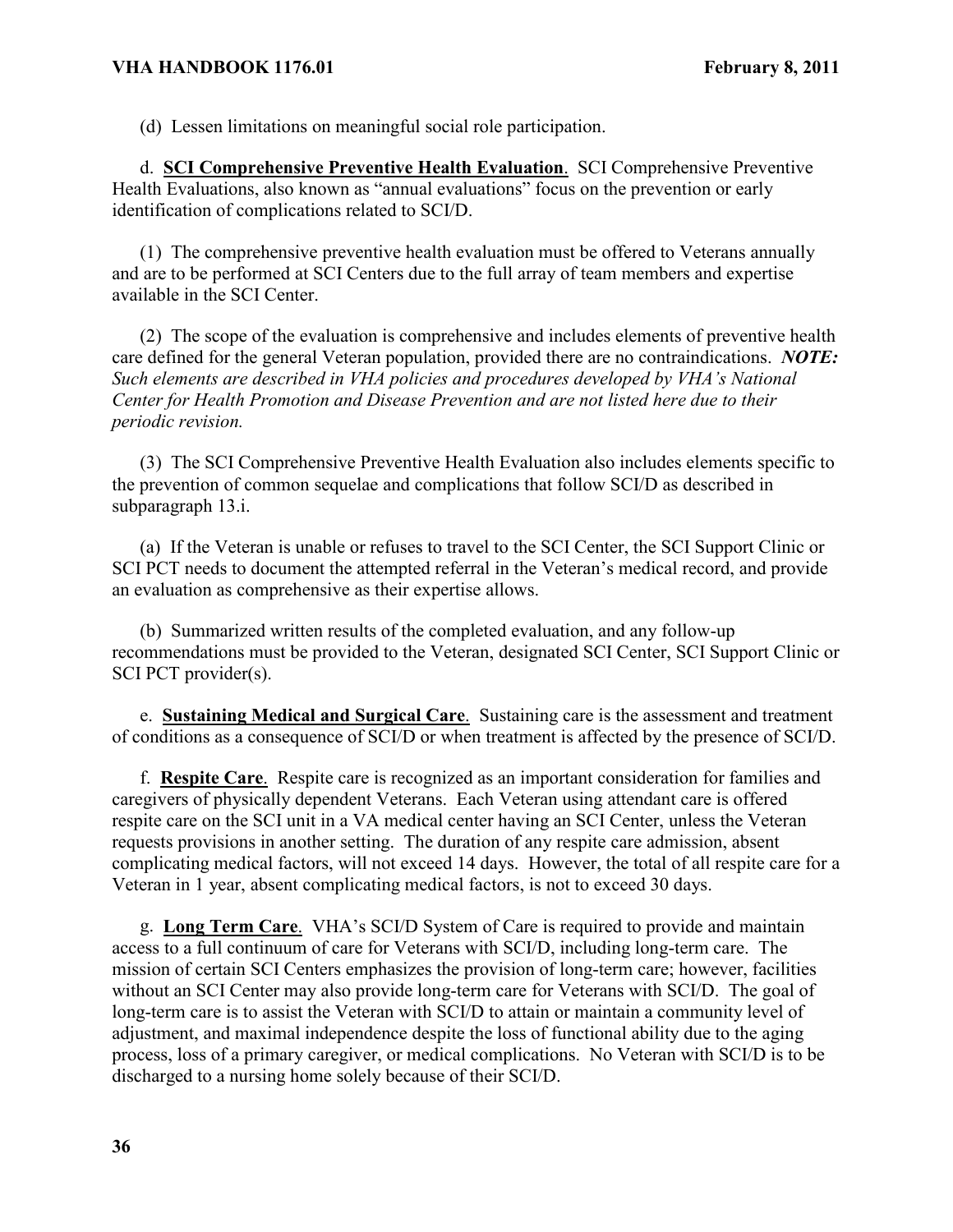(d) Lessen limitations on meaningful social role participation.

d. **SCI Comprehensive Preventive Health Evaluation**. SCI Comprehensive Preventive Health Evaluations, also known as "annual evaluations" focus on the prevention or early identification of complications related to SCI/D.

(1) The comprehensive preventive health evaluation must be offered to Veterans annually and are to be performed at SCI Centers due to the full array of team members and expertise available in the SCI Center.

(2) The scope of the evaluation is comprehensive and includes elements of preventive health care defined for the general Veteran population, provided there are no contraindications. *NOTE: Such elements are described in VHA policies and procedures developed by VHA's National Center for Health Promotion and Disease Prevention and are not listed here due to their periodic revision.*

(3) The SCI Comprehensive Preventive Health Evaluation also includes elements specific to the prevention of common sequelae and complications that follow SCI/D as described in subparagraph 13.i.

(a) If the Veteran is unable or refuses to travel to the SCI Center, the SCI Support Clinic or SCI PCT needs to document the attempted referral in the Veteran's medical record, and provide an evaluation as comprehensive as their expertise allows.

(b) Summarized written results of the completed evaluation, and any follow-up recommendations must be provided to the Veteran, designated SCI Center, SCI Support Clinic or SCI PCT provider(s).

e. **Sustaining Medical and Surgical Care**. Sustaining care is the assessment and treatment of conditions as a consequence of SCI/D or when treatment is affected by the presence of SCI/D.

f. **Respite Care**. Respite care is recognized as an important consideration for families and caregivers of physically dependent Veterans. Each Veteran using attendant care is offered respite care on the SCI unit in a VA medical center having an SCI Center, unless the Veteran requests provisions in another setting. The duration of any respite care admission, absent complicating medical factors, will not exceed 14 days. However, the total of all respite care for a Veteran in 1 year, absent complicating medical factors, is not to exceed 30 days.

g. **Long Term Care**. VHA's SCI/D System of Care is required to provide and maintain access to a full continuum of care for Veterans with SCI/D, including long-term care. The mission of certain SCI Centers emphasizes the provision of long-term care; however, facilities without an SCI Center may also provide long-term care for Veterans with SCI/D. The goal of long-term care is to assist the Veteran with SCI/D to attain or maintain a community level of adjustment, and maximal independence despite the loss of functional ability due to the aging process, loss of a primary caregiver, or medical complications. No Veteran with SCI/D is to be discharged to a nursing home solely because of their SCI/D.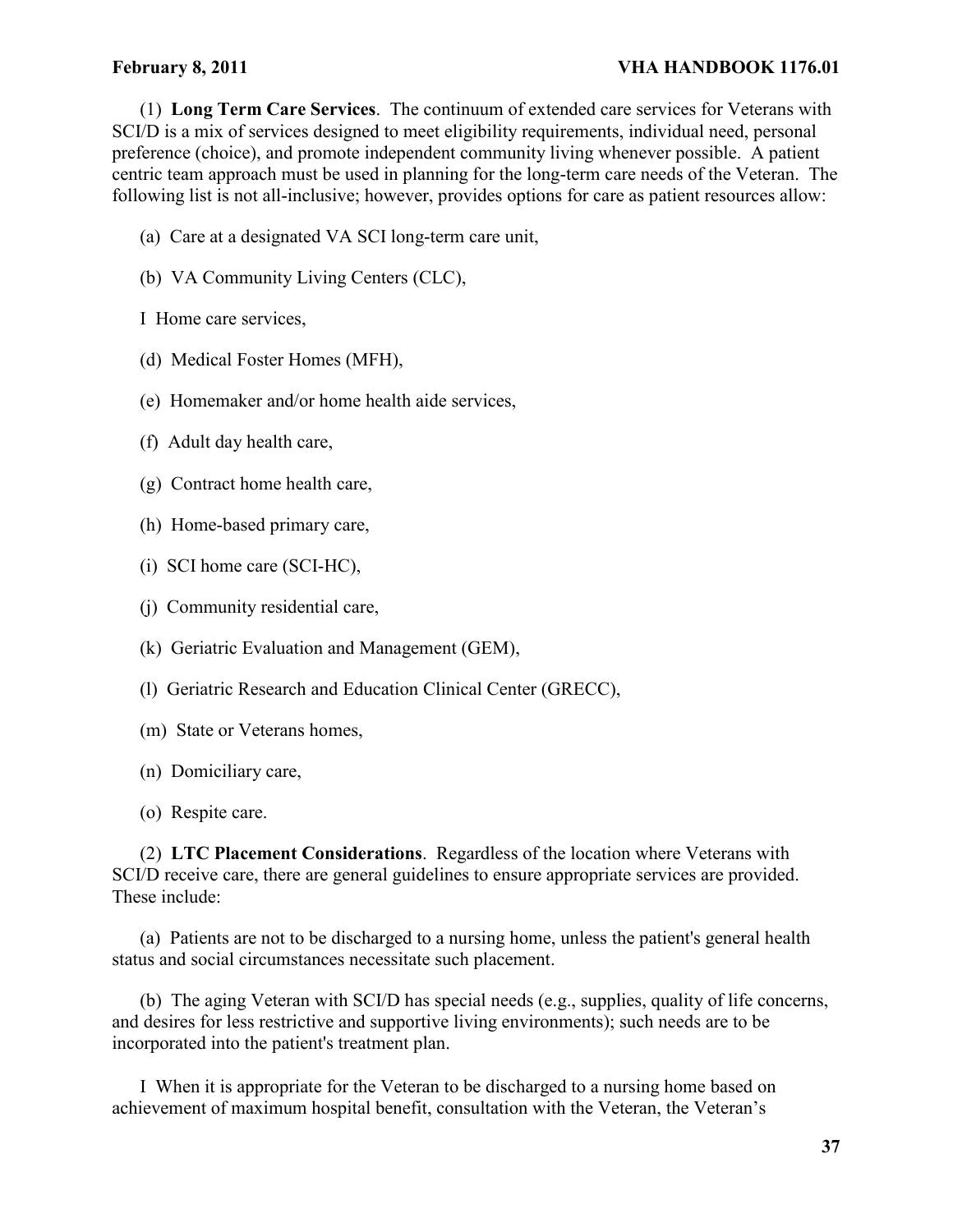### February 8, 2011 **VHA HANDBOOK 1176.01**

(1) **Long Term Care Services**. The continuum of extended care services for Veterans with SCI/D is a mix of services designed to meet eligibility requirements, individual need, personal preference (choice), and promote independent community living whenever possible. A patient centric team approach must be used in planning for the long-term care needs of the Veteran. The following list is not all-inclusive; however, provides options for care as patient resources allow:

- (a) Care at a designated VA SCI long-term care unit,
- (b) VA Community Living Centers (CLC),
- I Home care services,
- (d) Medical Foster Homes (MFH),
- (e) Homemaker and/or home health aide services,
- (f) Adult day health care,
- (g) Contract home health care,
- (h) Home-based primary care,
- (i) SCI home care (SCI-HC),
- (j) Community residential care,
- (k) Geriatric Evaluation and Management (GEM),
- (l) Geriatric Research and Education Clinical Center (GRECC),
- (m) State or Veterans homes,
- (n) Domiciliary care,
- (o) Respite care.

(2) **LTC Placement Considerations**.Regardless of the location where Veterans with SCI/D receive care, there are general guidelines to ensure appropriate services are provided. These include:

(a) Patients are not to be discharged to a nursing home, unless the patient's general health status and social circumstances necessitate such placement.

(b) The aging Veteran with SCI/D has special needs (e.g., supplies, quality of life concerns, and desires for less restrictive and supportive living environments); such needs are to be incorporated into the patient's treatment plan.

I When it is appropriate for the Veteran to be discharged to a nursing home based on achievement of maximum hospital benefit, consultation with the Veteran, the Veteran's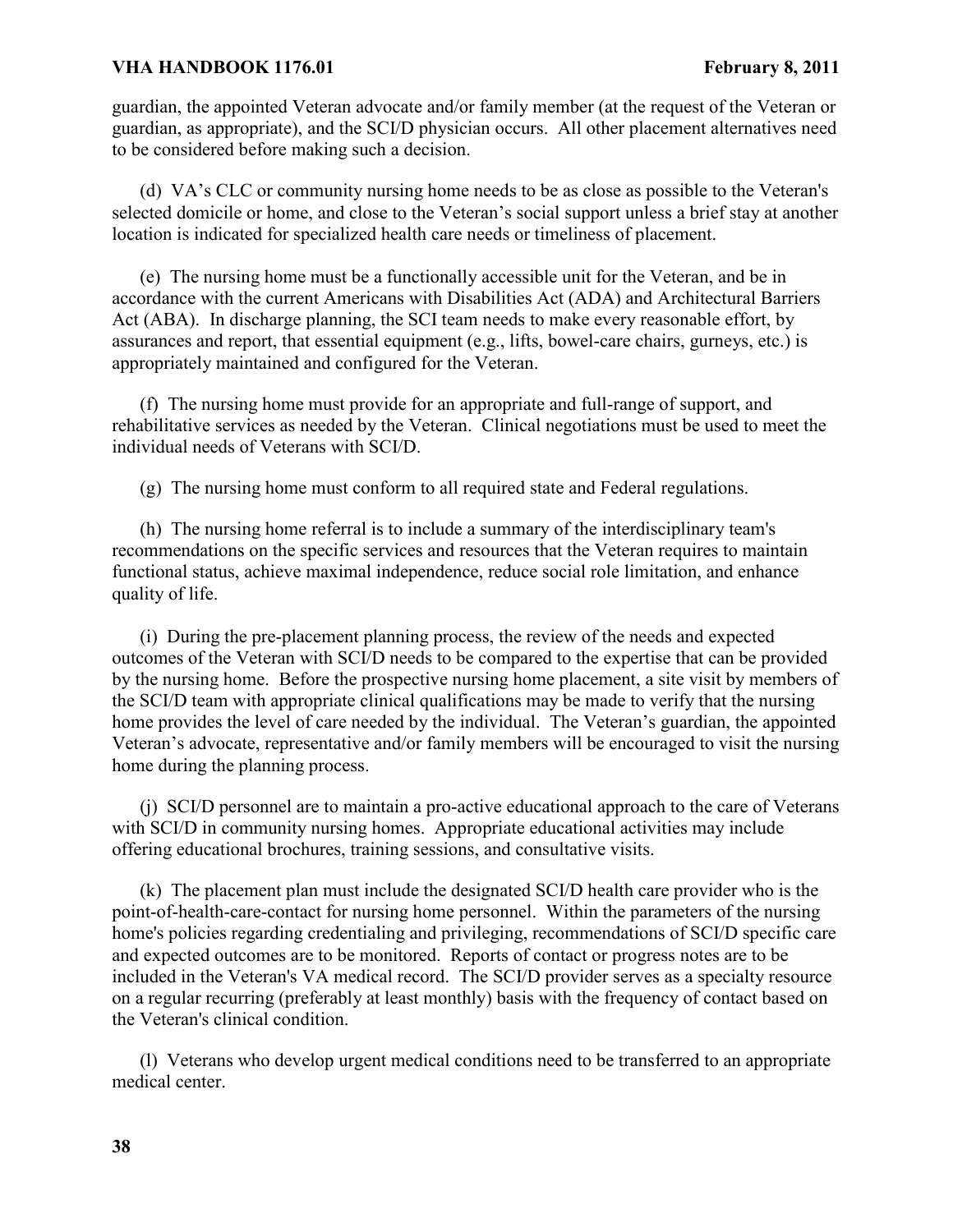guardian, the appointed Veteran advocate and/or family member (at the request of the Veteran or guardian, as appropriate), and the SCI/D physician occurs. All other placement alternatives need to be considered before making such a decision.

(d) VA's CLC or community nursing home needs to be as close as possible to the Veteran's selected domicile or home, and close to the Veteran's social support unless a brief stay at another location is indicated for specialized health care needs or timeliness of placement.

(e) The nursing home must be a functionally accessible unit for the Veteran, and be in accordance with the current Americans with Disabilities Act (ADA) and Architectural Barriers Act (ABA). In discharge planning, the SCI team needs to make every reasonable effort, by assurances and report, that essential equipment (e.g., lifts, bowel-care chairs, gurneys, etc.) is appropriately maintained and configured for the Veteran.

(f) The nursing home must provide for an appropriate and full-range of support, and rehabilitative services as needed by the Veteran. Clinical negotiations must be used to meet the individual needs of Veterans with SCI/D.

(g) The nursing home must conform to all required state and Federal regulations.

(h) The nursing home referral is to include a summary of the interdisciplinary team's recommendations on the specific services and resources that the Veteran requires to maintain functional status, achieve maximal independence, reduce social role limitation, and enhance quality of life.

(i) During the pre-placement planning process, the review of the needs and expected outcomes of the Veteran with SCI/D needs to be compared to the expertise that can be provided by the nursing home. Before the prospective nursing home placement, a site visit by members of the SCI/D team with appropriate clinical qualifications may be made to verify that the nursing home provides the level of care needed by the individual. The Veteran's guardian, the appointed Veteran's advocate, representative and/or family members will be encouraged to visit the nursing home during the planning process.

(j) SCI/D personnel are to maintain a pro-active educational approach to the care of Veterans with SCI/D in community nursing homes. Appropriate educational activities may include offering educational brochures, training sessions, and consultative visits.

(k) The placement plan must include the designated SCI/D health care provider who is the point-of-health-care-contact for nursing home personnel. Within the parameters of the nursing home's policies regarding credentialing and privileging, recommendations of SCI/D specific care and expected outcomes are to be monitored. Reports of contact or progress notes are to be included in the Veteran's VA medical record. The SCI/D provider serves as a specialty resource on a regular recurring (preferably at least monthly) basis with the frequency of contact based on the Veteran's clinical condition.

(l) Veterans who develop urgent medical conditions need to be transferred to an appropriate medical center.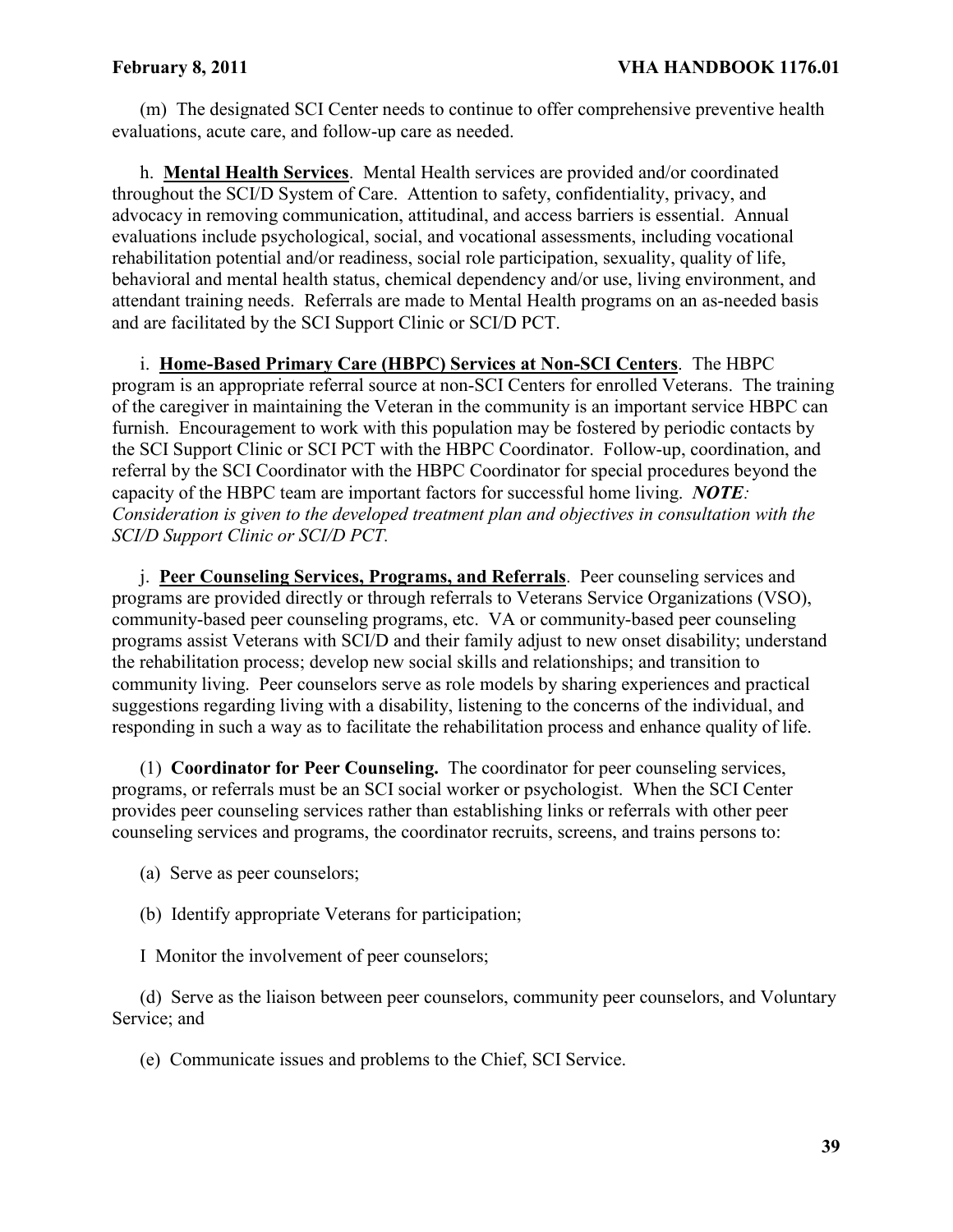(m) The designated SCI Center needs to continue to offer comprehensive preventive health evaluations, acute care, and follow-up care as needed.

h. **Mental Health Services**. Mental Health services are provided and/or coordinated throughout the SCI/D System of Care. Attention to safety, confidentiality, privacy, and advocacy in removing communication, attitudinal, and access barriers is essential. Annual evaluations include psychological, social, and vocational assessments, including vocational rehabilitation potential and/or readiness, social role participation, sexuality, quality of life, behavioral and mental health status, chemical dependency and/or use, living environment, and attendant training needs. Referrals are made to Mental Health programs on an as-needed basis and are facilitated by the SCI Support Clinic or SCI/D PCT.

i. **Home-Based Primary Care (HBPC) Services at Non-SCI Centers**. The HBPC program is an appropriate referral source at non-SCI Centers for enrolled Veterans. The training of the caregiver in maintaining the Veteran in the community is an important service HBPC can furnish. Encouragement to work with this population may be fostered by periodic contacts by the SCI Support Clinic or SCI PCT with the HBPC Coordinator. Follow-up, coordination, and referral by the SCI Coordinator with the HBPC Coordinator for special procedures beyond the capacity of the HBPC team are important factors for successful home living. *NOTE: Consideration is given to the developed treatment plan and objectives in consultation with the SCI/D Support Clinic or SCI/D PCT.*

j. **Peer Counseling Services, Programs, and Referrals**. Peer counseling services and programs are provided directly or through referrals to Veterans Service Organizations (VSO), community-based peer counseling programs, etc. VA or community-based peer counseling programs assist Veterans with SCI/D and their family adjust to new onset disability; understand the rehabilitation process; develop new social skills and relationships; and transition to community living. Peer counselors serve as role models by sharing experiences and practical suggestions regarding living with a disability, listening to the concerns of the individual, and responding in such a way as to facilitate the rehabilitation process and enhance quality of life.

(1) **Coordinator for Peer Counseling.** The coordinator for peer counseling services, programs, or referrals must be an SCI social worker or psychologist. When the SCI Center provides peer counseling services rather than establishing links or referrals with other peer counseling services and programs, the coordinator recruits, screens, and trains persons to:

- (a) Serve as peer counselors;
- (b) Identify appropriate Veterans for participation;

I Monitor the involvement of peer counselors;

(d) Serve as the liaison between peer counselors, community peer counselors, and Voluntary Service; and

(e) Communicate issues and problems to the Chief, SCI Service.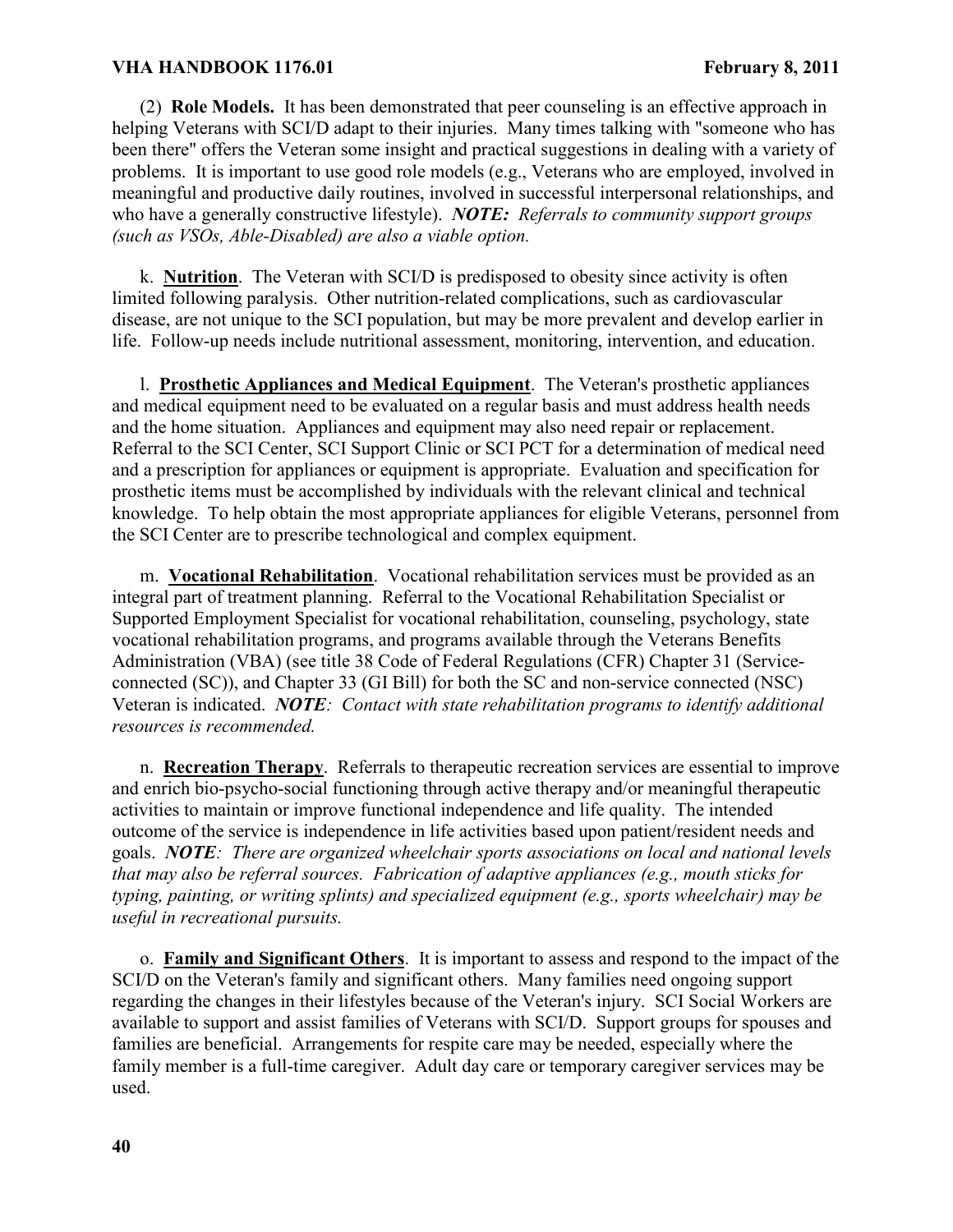(2) **Role Models.** It has been demonstrated that peer counseling is an effective approach in helping Veterans with SCI/D adapt to their injuries. Many times talking with "someone who has been there" offers the Veteran some insight and practical suggestions in dealing with a variety of problems. It is important to use good role models (e.g., Veterans who are employed, involved in meaningful and productive daily routines, involved in successful interpersonal relationships, and who have a generally constructive lifestyle). *NOTE: Referrals to community support groups (such as VSOs, Able-Disabled) are also a viable option.* 

k. **Nutrition**. The Veteran with SCI/D is predisposed to obesity since activity is often limited following paralysis. Other nutrition-related complications, such as cardiovascular disease, are not unique to the SCI population, but may be more prevalent and develop earlier in life. Follow-up needs include nutritional assessment, monitoring, intervention, and education.

l. **Prosthetic Appliances and Medical Equipment**. The Veteran's prosthetic appliances and medical equipment need to be evaluated on a regular basis and must address health needs and the home situation. Appliances and equipment may also need repair or replacement. Referral to the SCI Center, SCI Support Clinic or SCI PCT for a determination of medical need and a prescription for appliances or equipment is appropriate. Evaluation and specification for prosthetic items must be accomplished by individuals with the relevant clinical and technical knowledge. To help obtain the most appropriate appliances for eligible Veterans, personnel from the SCI Center are to prescribe technological and complex equipment.

m. **Vocational Rehabilitation**. Vocational rehabilitation services must be provided as an integral part of treatment planning. Referral to the Vocational Rehabilitation Specialist or Supported Employment Specialist for vocational rehabilitation, counseling, psychology, state vocational rehabilitation programs, and programs available through the Veterans Benefits Administration (VBA) (see title 38 Code of Federal Regulations (CFR) Chapter 31 (Serviceconnected (SC)), and Chapter 33 (GI Bill) for both the SC and non-service connected (NSC) Veteran is indicated. *NOTE: Contact with state rehabilitation programs to identify additional resources is recommended.* 

n. **Recreation Therapy**. Referrals to therapeutic recreation services are essential to improve and enrich bio-psycho-social functioning through active therapy and/or meaningful therapeutic activities to maintain or improve functional independence and life quality. The intended outcome of the service is independence in life activities based upon patient/resident needs and goals. *NOTE: There are organized wheelchair sports associations on local and national levels that may also be referral sources. Fabrication of adaptive appliances (e.g., mouth sticks for typing, painting, or writing splints) and specialized equipment (e.g., sports wheelchair) may be useful in recreational pursuits.* 

o. **Family and Significant Others**. It is important to assess and respond to the impact of the SCI/D on the Veteran's family and significant others. Many families need ongoing support regarding the changes in their lifestyles because of the Veteran's injury. SCI Social Workers are available to support and assist families of Veterans with SCI/D. Support groups for spouses and families are beneficial. Arrangements for respite care may be needed, especially where the family member is a full-time caregiver. Adult day care or temporary caregiver services may be used.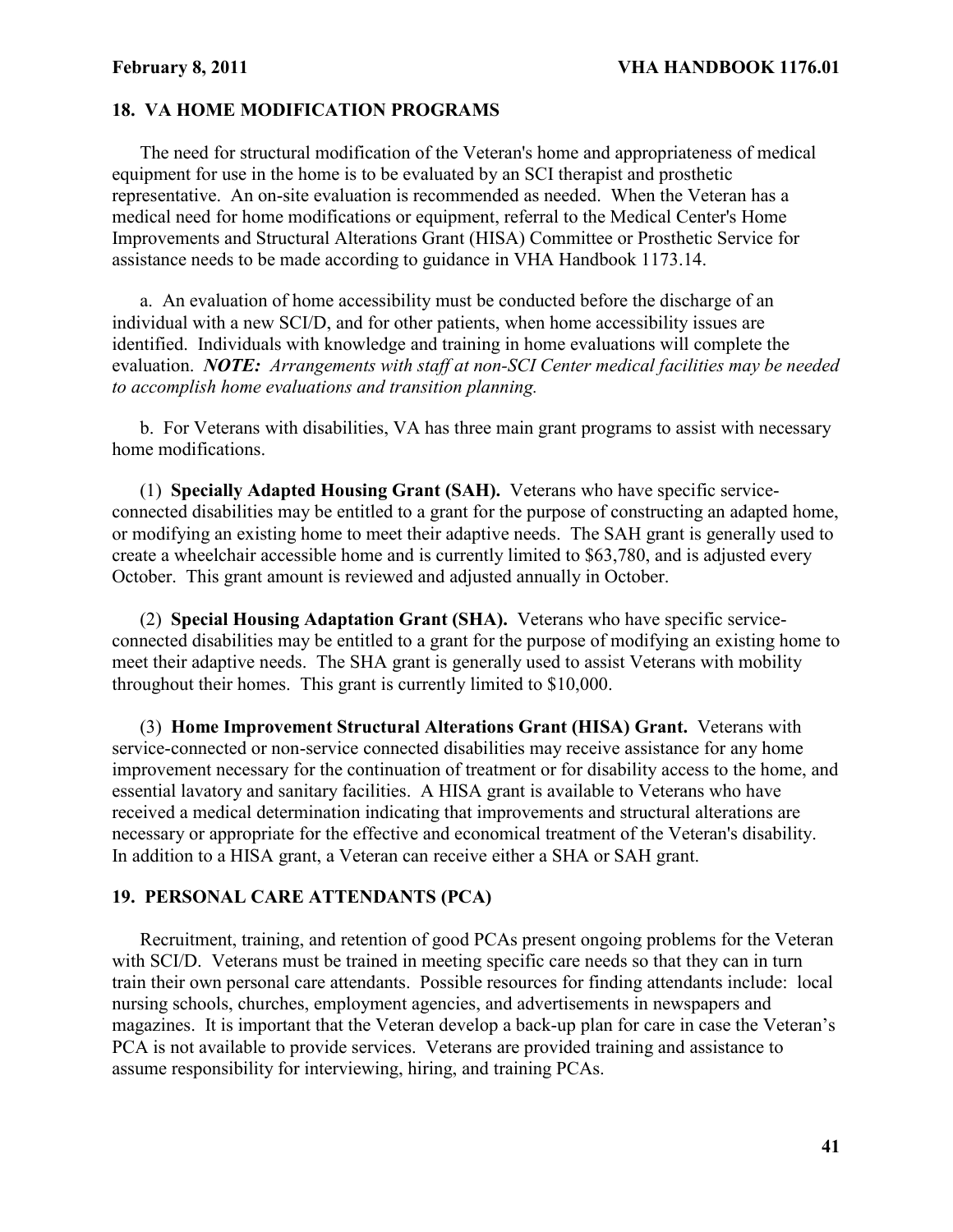### **18. VA HOME MODIFICATION PROGRAMS**

The need for structural modification of the Veteran's home and appropriateness of medical equipment for use in the home is to be evaluated by an SCI therapist and prosthetic representative. An on-site evaluation is recommended as needed. When the Veteran has a medical need for home modifications or equipment, referral to the Medical Center's Home Improvements and Structural Alterations Grant (HISA) Committee or Prosthetic Service for assistance needs to be made according to guidance in VHA Handbook 1173.14.

a. An evaluation of home accessibility must be conducted before the discharge of an individual with a new SCI/D, and for other patients, when home accessibility issues are identified. Individuals with knowledge and training in home evaluations will complete the evaluation. *NOTE: Arrangements with staff at non-SCI Center medical facilities may be needed to accomplish home evaluations and transition planning.*

b. For Veterans with disabilities, VA has three main grant programs to assist with necessary home modifications.

(1) **Specially Adapted Housing Grant (SAH).** Veterans who have specific serviceconnected disabilities may be entitled to a grant for the purpose of constructing an adapted home, or modifying an existing home to meet their adaptive needs. The SAH grant is generally used to create a wheelchair accessible home and is currently limited to \$63,780, and is adjusted every October. This grant amount is reviewed and adjusted annually in October.

(2) **Special Housing Adaptation Grant (SHA).** Veterans who have specific serviceconnected disabilities may be entitled to a grant for the purpose of modifying an existing home to meet their adaptive needs. The SHA grant is generally used to assist Veterans with mobility throughout their homes. This grant is currently limited to \$10,000.

(3) **Home Improvement Structural Alterations Grant (HISA) Grant.** Veterans with service-connected or non-service connected disabilities may receive assistance for any home improvement necessary for the continuation of treatment or for disability access to the home, and essential lavatory and sanitary facilities. A HISA grant is available to Veterans who have received a medical determination indicating that improvements and structural alterations are necessary or appropriate for the effective and economical treatment of the Veteran's disability. In addition to a HISA grant, a Veteran can receive either a SHA or SAH grant.

### **19. PERSONAL CARE ATTENDANTS (PCA)**

Recruitment, training, and retention of good PCAs present ongoing problems for the Veteran with SCI/D. Veterans must be trained in meeting specific care needs so that they can in turn train their own personal care attendants. Possible resources for finding attendants include: local nursing schools, churches, employment agencies, and advertisements in newspapers and magazines. It is important that the Veteran develop a back-up plan for care in case the Veteran's PCA is not available to provide services. Veterans are provided training and assistance to assume responsibility for interviewing, hiring, and training PCAs.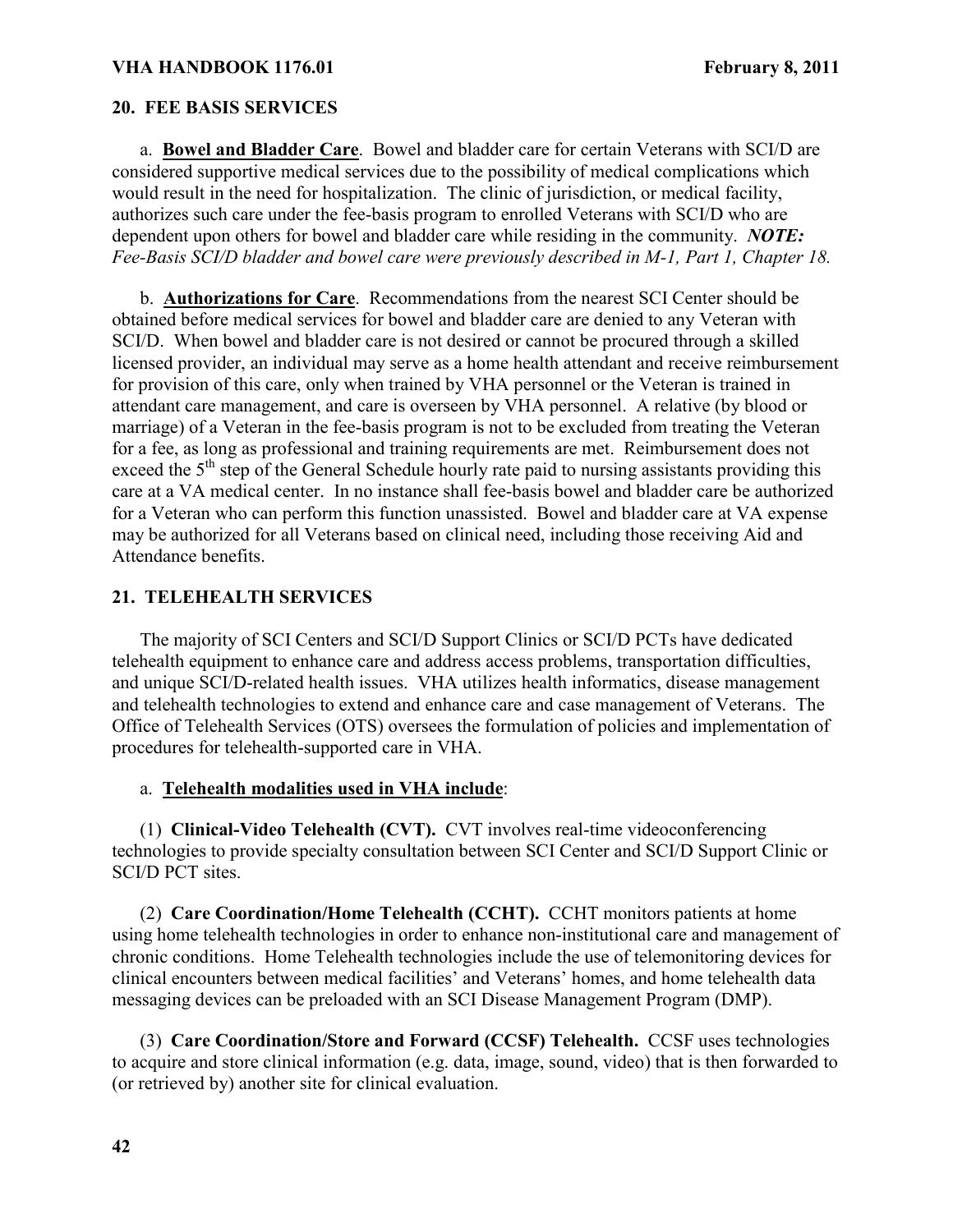### **20. FEE BASIS SERVICES**

a. **Bowel and Bladder Care**. Bowel and bladder care for certain Veterans with SCI/D are considered supportive medical services due to the possibility of medical complications which would result in the need for hospitalization. The clinic of jurisdiction, or medical facility, authorizes such care under the fee-basis program to enrolled Veterans with SCI/D who are dependent upon others for bowel and bladder care while residing in the community. *NOTE: Fee-Basis SCI/D bladder and bowel care were previously described in M-1, Part 1, Chapter 18.* 

b. **Authorizations for Care**. Recommendations from the nearest SCI Center should be obtained before medical services for bowel and bladder care are denied to any Veteran with SCI/D. When bowel and bladder care is not desired or cannot be procured through a skilled licensed provider, an individual may serve as a home health attendant and receive reimbursement for provision of this care, only when trained by VHA personnel or the Veteran is trained in attendant care management, and care is overseen by VHA personnel. A relative (by blood or marriage) of a Veteran in the fee-basis program is not to be excluded from treating the Veteran for a fee, as long as professional and training requirements are met. Reimbursement does not exceed the  $5<sup>th</sup>$  step of the General Schedule hourly rate paid to nursing assistants providing this care at a VA medical center. In no instance shall fee-basis bowel and bladder care be authorized for a Veteran who can perform this function unassisted. Bowel and bladder care at VA expense may be authorized for all Veterans based on clinical need, including those receiving Aid and Attendance benefits.

### **21. TELEHEALTH SERVICES**

The majority of SCI Centers and SCI/D Support Clinics or SCI/D PCTs have dedicated telehealth equipment to enhance care and address access problems, transportation difficulties, and unique SCI/D-related health issues. VHA utilizes health informatics, disease management and telehealth technologies to extend and enhance care and case management of Veterans. The Office of Telehealth Services (OTS) oversees the formulation of policies and implementation of procedures for telehealth-supported care in VHA.

#### a. **Telehealth modalities used in VHA include**:

(1) **Clinical-Video Telehealth (CVT).** CVT involves real-time videoconferencing technologies to provide specialty consultation between SCI Center and SCI/D Support Clinic or SCI/D PCT sites.

(2) **Care Coordination/Home Telehealth (CCHT).** CCHT monitors patients at home using home telehealth technologies in order to enhance non-institutional care and management of chronic conditions. Home Telehealth technologies include the use of telemonitoring devices for clinical encounters between medical facilities' and Veterans' homes, and home telehealth data messaging devices can be preloaded with an SCI Disease Management Program (DMP).

(3) **Care Coordination/Store and Forward (CCSF) Telehealth.** CCSF uses technologies to acquire and store clinical information (e.g. data, image, sound, video) that is then forwarded to (or retrieved by) another site for clinical evaluation.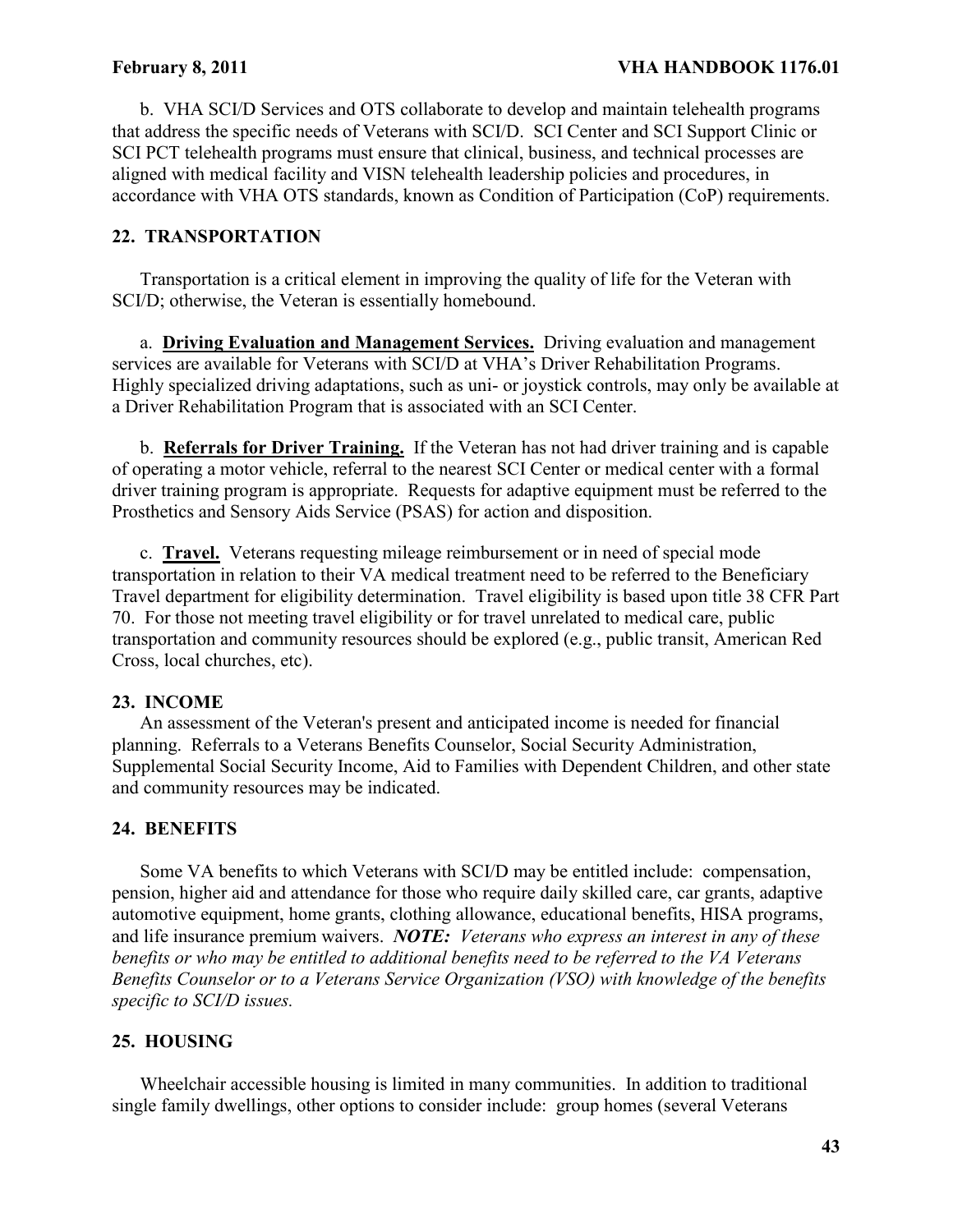b. VHA SCI/D Services and OTS collaborate to develop and maintain telehealth programs that address the specific needs of Veterans with SCI/D. SCI Center and SCI Support Clinic or SCI PCT telehealth programs must ensure that clinical, business, and technical processes are aligned with medical facility and VISN telehealth leadership policies and procedures, in accordance with VHA OTS standards, known as Condition of Participation (CoP) requirements.

# **22. TRANSPORTATION**

Transportation is a critical element in improving the quality of life for the Veteran with SCI/D; otherwise, the Veteran is essentially homebound.

a. **Driving Evaluation and Management Services.** Driving evaluation and management services are available for Veterans with SCI/D at VHA's Driver Rehabilitation Programs. Highly specialized driving adaptations, such as uni- or joystick controls, may only be available at a Driver Rehabilitation Program that is associated with an SCI Center.

b. **Referrals for Driver Training.** If the Veteran has not had driver training and is capable of operating a motor vehicle, referral to the nearest SCI Center or medical center with a formal driver training program is appropriate. Requests for adaptive equipment must be referred to the Prosthetics and Sensory Aids Service (PSAS) for action and disposition.

c. **Travel.** Veterans requesting mileage reimbursement or in need of special mode transportation in relation to their VA medical treatment need to be referred to the Beneficiary Travel department for eligibility determination. Travel eligibility is based upon title 38 CFR Part 70. For those not meeting travel eligibility or for travel unrelated to medical care, public transportation and community resources should be explored (e.g., public transit, American Red Cross, local churches, etc).

# **23. INCOME**

An assessment of the Veteran's present and anticipated income is needed for financial planning. Referrals to a Veterans Benefits Counselor, Social Security Administration, Supplemental Social Security Income, Aid to Families with Dependent Children, and other state and community resources may be indicated.

# **24. BENEFITS**

Some VA benefits to which Veterans with SCI/D may be entitled include: compensation, pension, higher aid and attendance for those who require daily skilled care, car grants, adaptive automotive equipment, home grants, clothing allowance, educational benefits, HISA programs, and life insurance premium waivers. *NOTE: Veterans who express an interest in any of these benefits or who may be entitled to additional benefits need to be referred to the VA Veterans Benefits Counselor or to a Veterans Service Organization (VSO) with knowledge of the benefits specific to SCI/D issues.*

# **25. HOUSING**

Wheelchair accessible housing is limited in many communities. In addition to traditional single family dwellings, other options to consider include: group homes (several Veterans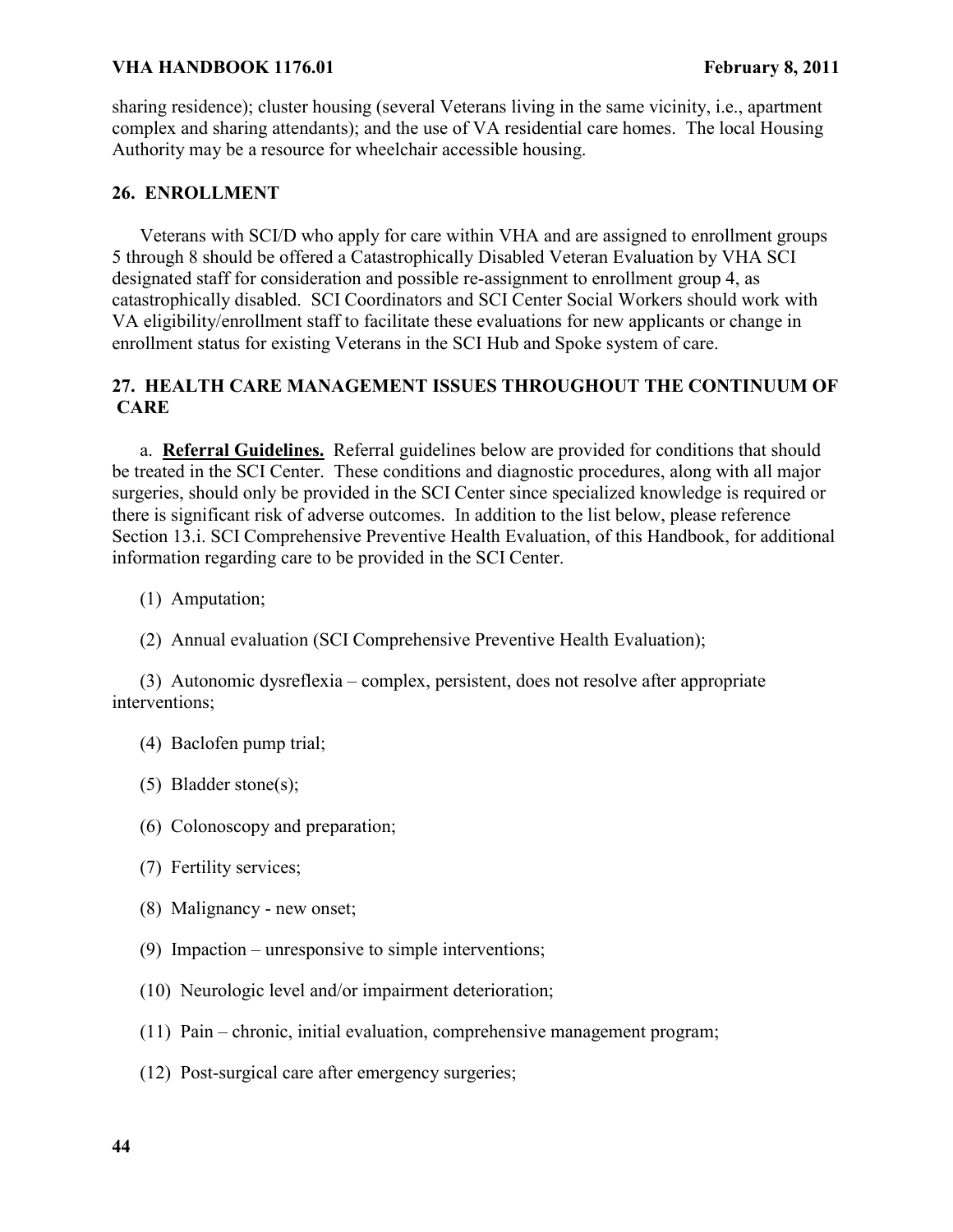sharing residence); cluster housing (several Veterans living in the same vicinity, i.e., apartment complex and sharing attendants); and the use of VA residential care homes. The local Housing Authority may be a resource for wheelchair accessible housing.

# **26. ENROLLMENT**

Veterans with SCI/D who apply for care within VHA and are assigned to enrollment groups 5 through 8 should be offered a Catastrophically Disabled Veteran Evaluation by VHA SCI designated staff for consideration and possible re-assignment to enrollment group 4, as catastrophically disabled. SCI Coordinators and SCI Center Social Workers should work with VA eligibility/enrollment staff to facilitate these evaluations for new applicants or change in enrollment status for existing Veterans in the SCI Hub and Spoke system of care.

# **27. HEALTH CARE MANAGEMENT ISSUES THROUGHOUT THE CONTINUUM OF CARE**

a. **Referral Guidelines.** Referral guidelines below are provided for conditions that should be treated in the SCI Center. These conditions and diagnostic procedures, along with all major surgeries, should only be provided in the SCI Center since specialized knowledge is required or there is significant risk of adverse outcomes. In addition to the list below, please reference Section 13.i. SCI Comprehensive Preventive Health Evaluation, of this Handbook, for additional information regarding care to be provided in the SCI Center.

- (1) Amputation;
- (2) Annual evaluation (SCI Comprehensive Preventive Health Evaluation);

(3) Autonomic dysreflexia – complex, persistent, does not resolve after appropriate interventions;

- (4) Baclofen pump trial;
- (5) Bladder stone(s);
- (6) Colonoscopy and preparation;
- (7) Fertility services;
- (8) Malignancy new onset;
- (9) Impaction unresponsive to simple interventions;
- (10) Neurologic level and/or impairment deterioration;
- (11) Pain chronic, initial evaluation, comprehensive management program;
- (12) Post-surgical care after emergency surgeries;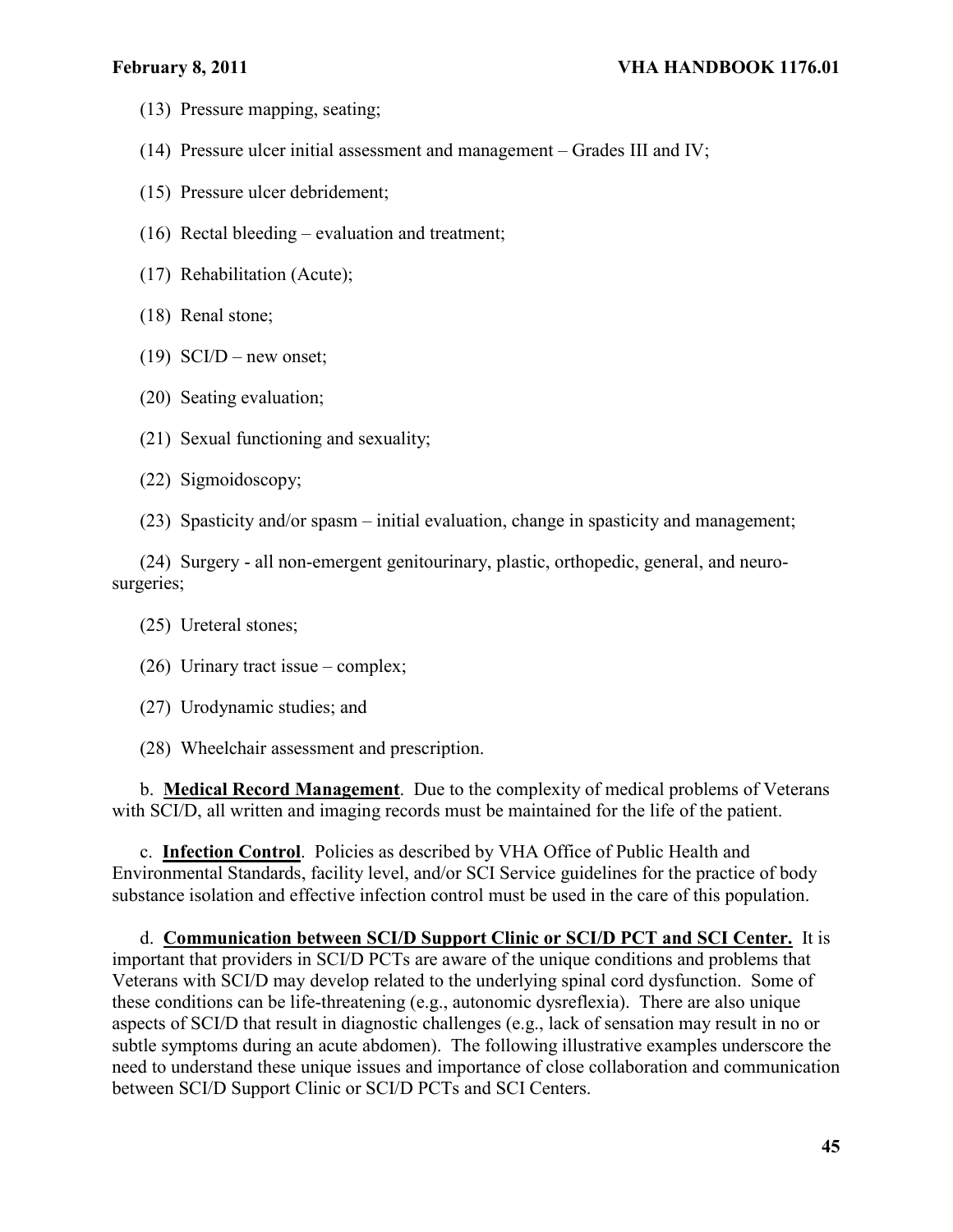- (13) Pressure mapping, seating;
- (14) Pressure ulcer initial assessment and management Grades III and IV;
- (15) Pressure ulcer debridement;
- (16) Rectal bleeding evaluation and treatment;
- (17) Rehabilitation (Acute);
- (18) Renal stone;
- $(19)$  SCI/D new onset;
- (20) Seating evaluation;
- (21) Sexual functioning and sexuality;
- (22) Sigmoidoscopy;
- (23) Spasticity and/or spasm initial evaluation, change in spasticity and management;

(24) Surgery - all non-emergent genitourinary, plastic, orthopedic, general, and neurosurgeries;

- (25) Ureteral stones;
- (26) Urinary tract issue complex;
- (27) Urodynamic studies; and
- (28) Wheelchair assessment and prescription.

b. **Medical Record Management**.Due to the complexity of medical problems of Veterans with SCI/D, all written and imaging records must be maintained for the life of the patient.

c. **Infection Control**.Policies as described by VHA Office of Public Health and Environmental Standards, facility level, and/or SCI Service guidelines for the practice of body substance isolation and effective infection control must be used in the care of this population.

d. **Communication between SCI/D Support Clinic or SCI/D PCT and SCI Center.** It is important that providers in SCI/D PCTs are aware of the unique conditions and problems that Veterans with SCI/D may develop related to the underlying spinal cord dysfunction. Some of these conditions can be life-threatening (e.g., autonomic dysreflexia). There are also unique aspects of SCI/D that result in diagnostic challenges (e.g., lack of sensation may result in no or subtle symptoms during an acute abdomen). The following illustrative examples underscore the need to understand these unique issues and importance of close collaboration and communication between SCI/D Support Clinic or SCI/D PCTs and SCI Centers.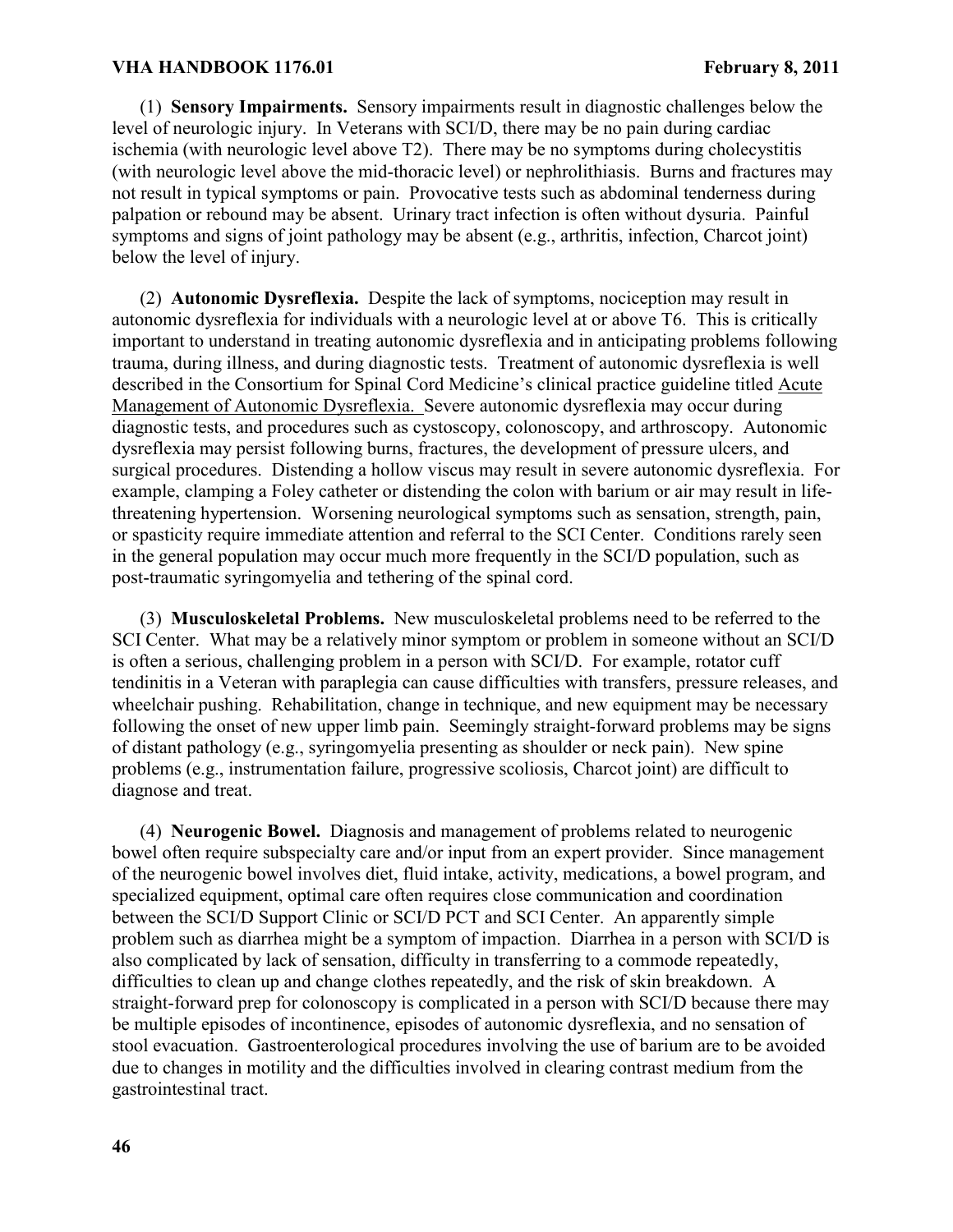(1) **Sensory Impairments.** Sensory impairments result in diagnostic challenges below the level of neurologic injury. In Veterans with SCI/D, there may be no pain during cardiac ischemia (with neurologic level above T2). There may be no symptoms during cholecystitis (with neurologic level above the mid-thoracic level) or nephrolithiasis. Burns and fractures may not result in typical symptoms or pain. Provocative tests such as abdominal tenderness during palpation or rebound may be absent. Urinary tract infection is often without dysuria. Painful symptoms and signs of joint pathology may be absent (e.g., arthritis, infection, Charcot joint) below the level of injury.

(2) **Autonomic Dysreflexia.** Despite the lack of symptoms, nociception may result in autonomic dysreflexia for individuals with a neurologic level at or above T6. This is critically important to understand in treating autonomic dysreflexia and in anticipating problems following trauma, during illness, and during diagnostic tests. Treatment of autonomic dysreflexia is well described in the Consortium for Spinal Cord Medicine's clinical practice guideline titled Acute Management of Autonomic Dysreflexia. Severe autonomic dysreflexia may occur during diagnostic tests, and procedures such as cystoscopy, colonoscopy, and arthroscopy. Autonomic dysreflexia may persist following burns, fractures, the development of pressure ulcers, and surgical procedures. Distending a hollow viscus may result in severe autonomic dysreflexia. For example, clamping a Foley catheter or distending the colon with barium or air may result in lifethreatening hypertension. Worsening neurological symptoms such as sensation, strength, pain, or spasticity require immediate attention and referral to the SCI Center. Conditions rarely seen in the general population may occur much more frequently in the SCI/D population, such as post-traumatic syringomyelia and tethering of the spinal cord.

(3) **Musculoskeletal Problems.** New musculoskeletal problems need to be referred to the SCI Center. What may be a relatively minor symptom or problem in someone without an SCI/D is often a serious, challenging problem in a person with SCI/D. For example, rotator cuff tendinitis in a Veteran with paraplegia can cause difficulties with transfers, pressure releases, and wheelchair pushing. Rehabilitation, change in technique, and new equipment may be necessary following the onset of new upper limb pain. Seemingly straight-forward problems may be signs of distant pathology (e.g., syringomyelia presenting as shoulder or neck pain). New spine problems (e.g., instrumentation failure, progressive scoliosis, Charcot joint) are difficult to diagnose and treat.

(4) **Neurogenic Bowel.** Diagnosis and management of problems related to neurogenic bowel often require subspecialty care and/or input from an expert provider. Since management of the neurogenic bowel involves diet, fluid intake, activity, medications, a bowel program, and specialized equipment, optimal care often requires close communication and coordination between the SCI/D Support Clinic or SCI/D PCT and SCI Center. An apparently simple problem such as diarrhea might be a symptom of impaction. Diarrhea in a person with SCI/D is also complicated by lack of sensation, difficulty in transferring to a commode repeatedly, difficulties to clean up and change clothes repeatedly, and the risk of skin breakdown. A straight-forward prep for colonoscopy is complicated in a person with SCI/D because there may be multiple episodes of incontinence, episodes of autonomic dysreflexia, and no sensation of stool evacuation. Gastroenterological procedures involving the use of barium are to be avoided due to changes in motility and the difficulties involved in clearing contrast medium from the gastrointestinal tract.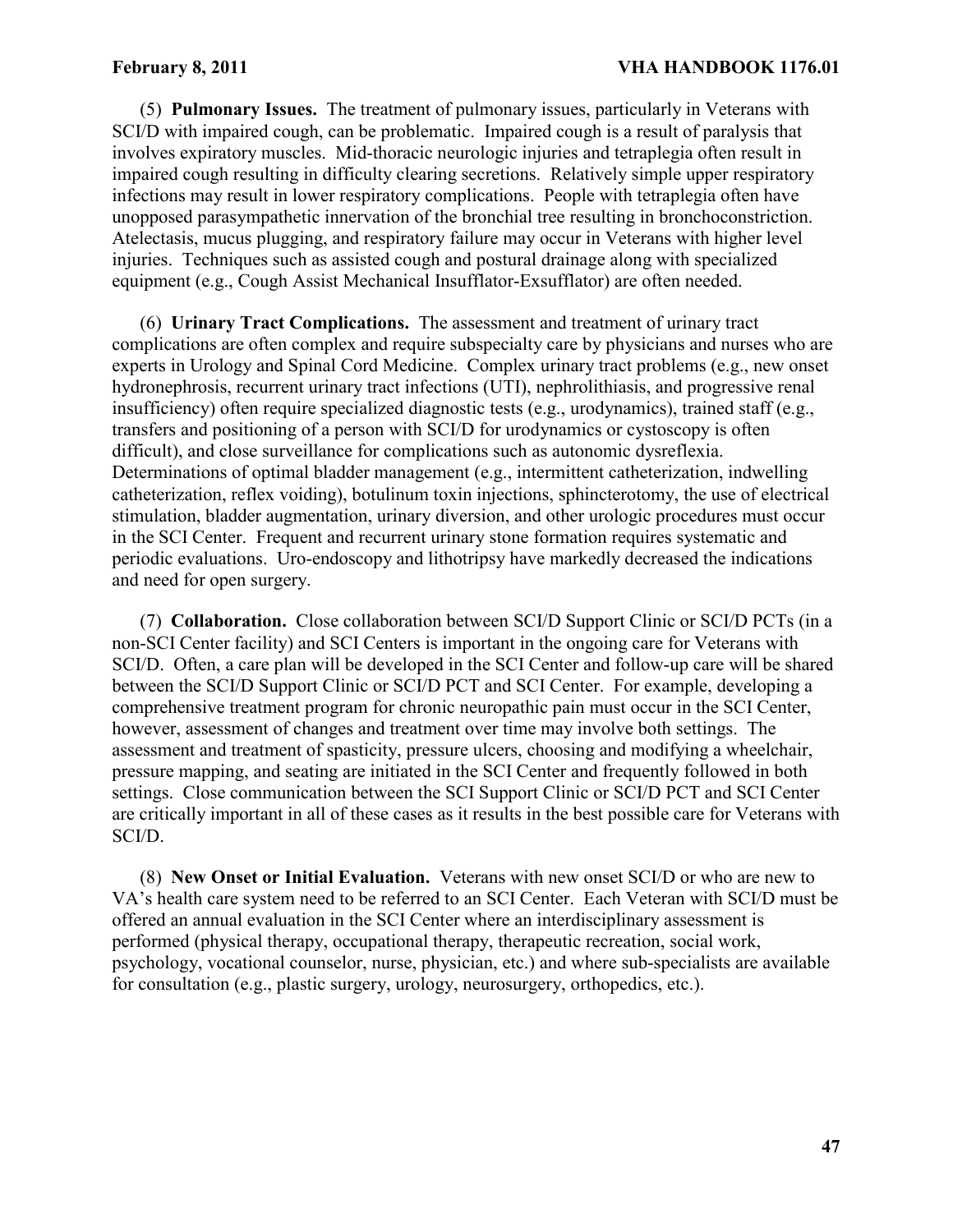(5) **Pulmonary Issues.** The treatment of pulmonary issues, particularly in Veterans with SCI/D with impaired cough, can be problematic. Impaired cough is a result of paralysis that involves expiratory muscles. Mid-thoracic neurologic injuries and tetraplegia often result in impaired cough resulting in difficulty clearing secretions. Relatively simple upper respiratory infections may result in lower respiratory complications. People with tetraplegia often have unopposed parasympathetic innervation of the bronchial tree resulting in bronchoconstriction. Atelectasis, mucus plugging, and respiratory failure may occur in Veterans with higher level injuries. Techniques such as assisted cough and postural drainage along with specialized equipment (e.g., Cough Assist Mechanical Insufflator-Exsufflator) are often needed.

(6) **Urinary Tract Complications.** The assessment and treatment of urinary tract complications are often complex and require subspecialty care by physicians and nurses who are experts in Urology and Spinal Cord Medicine. Complex urinary tract problems (e.g., new onset hydronephrosis, recurrent urinary tract infections (UTI), nephrolithiasis, and progressive renal insufficiency) often require specialized diagnostic tests (e.g., urodynamics), trained staff (e.g., transfers and positioning of a person with SCI/D for urodynamics or cystoscopy is often difficult), and close surveillance for complications such as autonomic dysreflexia. Determinations of optimal bladder management (e.g., intermittent catheterization, indwelling catheterization, reflex voiding), botulinum toxin injections, sphincterotomy, the use of electrical stimulation, bladder augmentation, urinary diversion, and other urologic procedures must occur in the SCI Center. Frequent and recurrent urinary stone formation requires systematic and periodic evaluations. Uro-endoscopy and lithotripsy have markedly decreased the indications and need for open surgery.

(7) **Collaboration.** Close collaboration between SCI/D Support Clinic or SCI/D PCTs (in a non-SCI Center facility) and SCI Centers is important in the ongoing care for Veterans with SCI/D. Often, a care plan will be developed in the SCI Center and follow-up care will be shared between the SCI/D Support Clinic or SCI/D PCT and SCI Center. For example, developing a comprehensive treatment program for chronic neuropathic pain must occur in the SCI Center, however, assessment of changes and treatment over time may involve both settings. The assessment and treatment of spasticity, pressure ulcers, choosing and modifying a wheelchair, pressure mapping, and seating are initiated in the SCI Center and frequently followed in both settings. Close communication between the SCI Support Clinic or SCI/D PCT and SCI Center are critically important in all of these cases as it results in the best possible care for Veterans with SCI/D.

(8) **New Onset or Initial Evaluation.** Veterans with new onset SCI/D or who are new to VA's health care system need to be referred to an SCI Center. Each Veteran with SCI/D must be offered an annual evaluation in the SCI Center where an interdisciplinary assessment is performed (physical therapy, occupational therapy, therapeutic recreation, social work, psychology, vocational counselor, nurse, physician, etc.) and where sub-specialists are available for consultation (e.g., plastic surgery, urology, neurosurgery, orthopedics, etc.).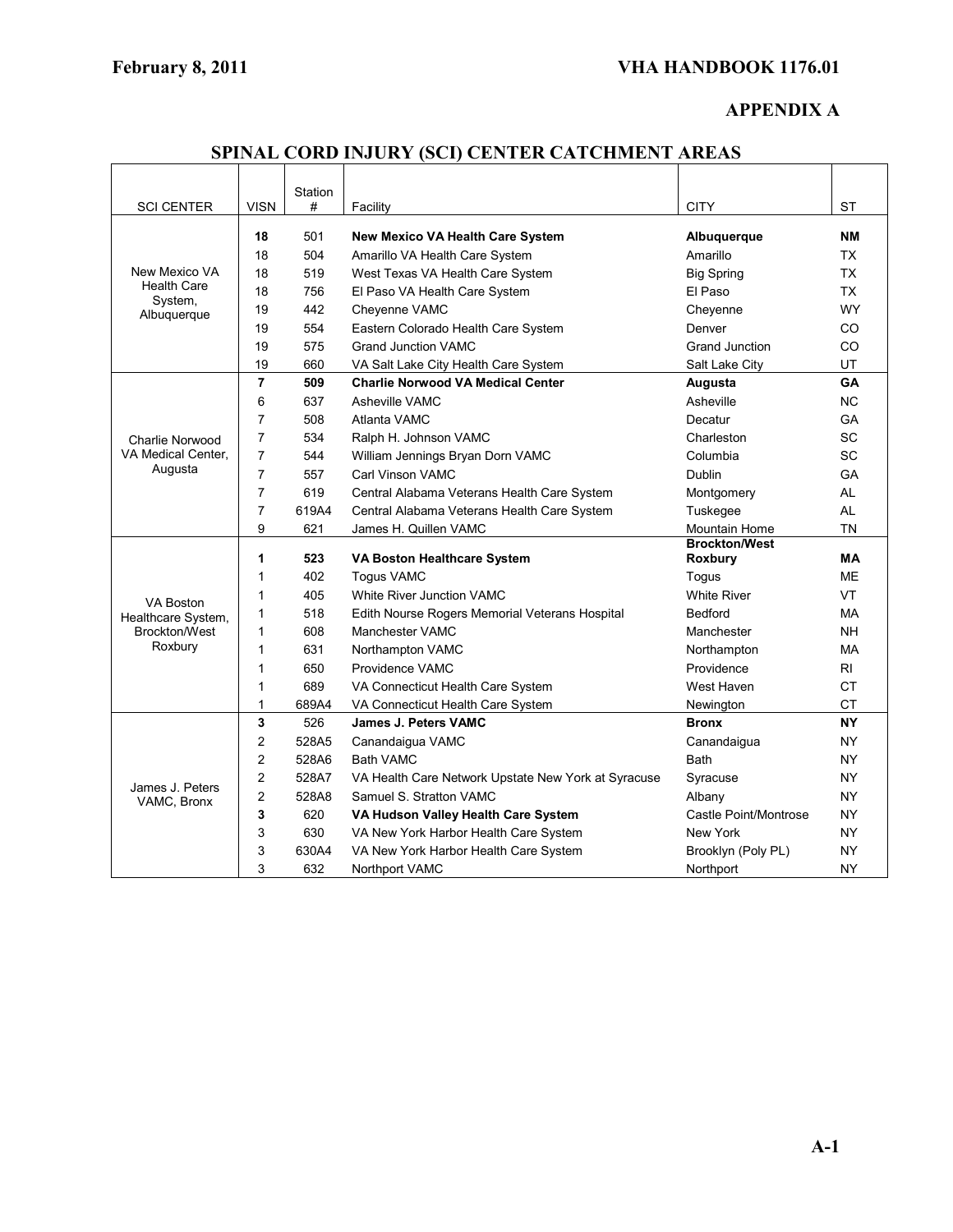# **APPENDIX A**

| SPINAL CORD INJURY (SCI) CENTER CATCHMENT AREAS |  |  |  |  |
|-------------------------------------------------|--|--|--|--|
|-------------------------------------------------|--|--|--|--|

| <b>SCI CENTER</b>                   | <b>VISN</b>    | Station<br># | Facility                                            | <b>CITY</b>           | <b>ST</b> |
|-------------------------------------|----------------|--------------|-----------------------------------------------------|-----------------------|-----------|
|                                     |                |              |                                                     |                       |           |
|                                     | 18             | 501          | <b>New Mexico VA Health Care System</b>             | Albuquerque           | NΜ        |
|                                     | 18             | 504          | Amarillo VA Health Care System                      | Amarillo              | <b>TX</b> |
| New Mexico VA<br><b>Health Care</b> | 18             | 519          | West Texas VA Health Care System                    | <b>Big Spring</b>     | <b>TX</b> |
| System,                             | 18             | 756          | El Paso VA Health Care System                       | El Paso               | <b>TX</b> |
| Albuquerque                         | 19             | 442          | Cheyenne VAMC                                       | Cheyenne              | <b>WY</b> |
|                                     | 19             | 554          | Eastern Colorado Health Care System                 | Denver                | <b>CO</b> |
|                                     | 19             | 575          | <b>Grand Junction VAMC</b>                          | <b>Grand Junction</b> | CO        |
|                                     | 19             | 660          | VA Salt Lake City Health Care System                | Salt Lake City        | UT        |
|                                     | $\overline{7}$ | 509          | <b>Charlie Norwood VA Medical Center</b>            | Augusta               | <b>GA</b> |
|                                     | 6              | 637          | Asheville VAMC                                      | Asheville             | <b>NC</b> |
|                                     | 7              | 508          | Atlanta VAMC                                        | Decatur               | GA        |
| Charlie Norwood                     | $\overline{7}$ | 534          | Ralph H. Johnson VAMC                               | Charleston            | SC        |
| VA Medical Center.                  | $\overline{7}$ | 544          | William Jennings Bryan Dorn VAMC                    | Columbia              | <b>SC</b> |
| Augusta                             | $\overline{7}$ | 557          | Carl Vinson VAMC                                    | <b>Dublin</b>         | <b>GA</b> |
|                                     | $\overline{7}$ | 619          | Central Alabama Veterans Health Care System         | Montgomery            | AL        |
|                                     | $\overline{7}$ | 619A4        | Central Alabama Veterans Health Care System         | Tuskegee              | <b>AL</b> |
|                                     | 9              | 621          | James H. Quillen VAMC                               | <b>Mountain Home</b>  | <b>TN</b> |
|                                     |                |              |                                                     | <b>Brockton/West</b>  |           |
|                                     | 1              | 523          | VA Boston Healthcare System                         | Roxbury               | <b>MA</b> |
|                                     | $\mathbf{1}$   | 402          | <b>Togus VAMC</b>                                   | Togus                 | <b>ME</b> |
| VA Boston                           | 1              | 405          | <b>White River Junction VAMC</b>                    | <b>White River</b>    | VT        |
| Healthcare System,                  | 1              | 518          | Edith Nourse Rogers Memorial Veterans Hospital      | <b>Bedford</b>        | <b>MA</b> |
| Brockton/West                       | 1              | 608          | <b>Manchester VAMC</b>                              | Manchester            | <b>NH</b> |
| Roxbury                             | 1              | 631          | Northampton VAMC                                    | Northampton           | МA        |
|                                     | 1              | 650          | Providence VAMC                                     | Providence            | RI        |
|                                     | 1              | 689          | VA Connecticut Health Care System                   | West Haven            | <b>CT</b> |
|                                     | $\mathbf{1}$   | 689A4        | VA Connecticut Health Care System                   | Newington             | <b>CT</b> |
|                                     | 3              | 526          | <b>James J. Peters VAMC</b>                         | <b>Bronx</b>          | <b>NY</b> |
|                                     | 2              | 528A5        | Canandaigua VAMC                                    | Canandaigua           | <b>NY</b> |
|                                     | $\overline{2}$ | 528A6        | <b>Bath VAMC</b>                                    | <b>Bath</b>           | <b>NY</b> |
| James J. Peters<br>VAMC, Bronx      | $\overline{2}$ | 528A7        | VA Health Care Network Upstate New York at Syracuse | Syracuse              | <b>NY</b> |
|                                     | $\overline{c}$ | 528A8        | Samuel S. Stratton VAMC                             | Albany                | <b>NY</b> |
|                                     | 3              | 620          | VA Hudson Valley Health Care System                 | Castle Point/Montrose | <b>NY</b> |
|                                     | 3              | 630          | VA New York Harbor Health Care System               | New York              | <b>NY</b> |
|                                     | 3              | 630A4        | VA New York Harbor Health Care System               | Brooklyn (Poly PL)    | <b>NY</b> |
|                                     | 3              | 632          | Northport VAMC                                      | Northport             | <b>NY</b> |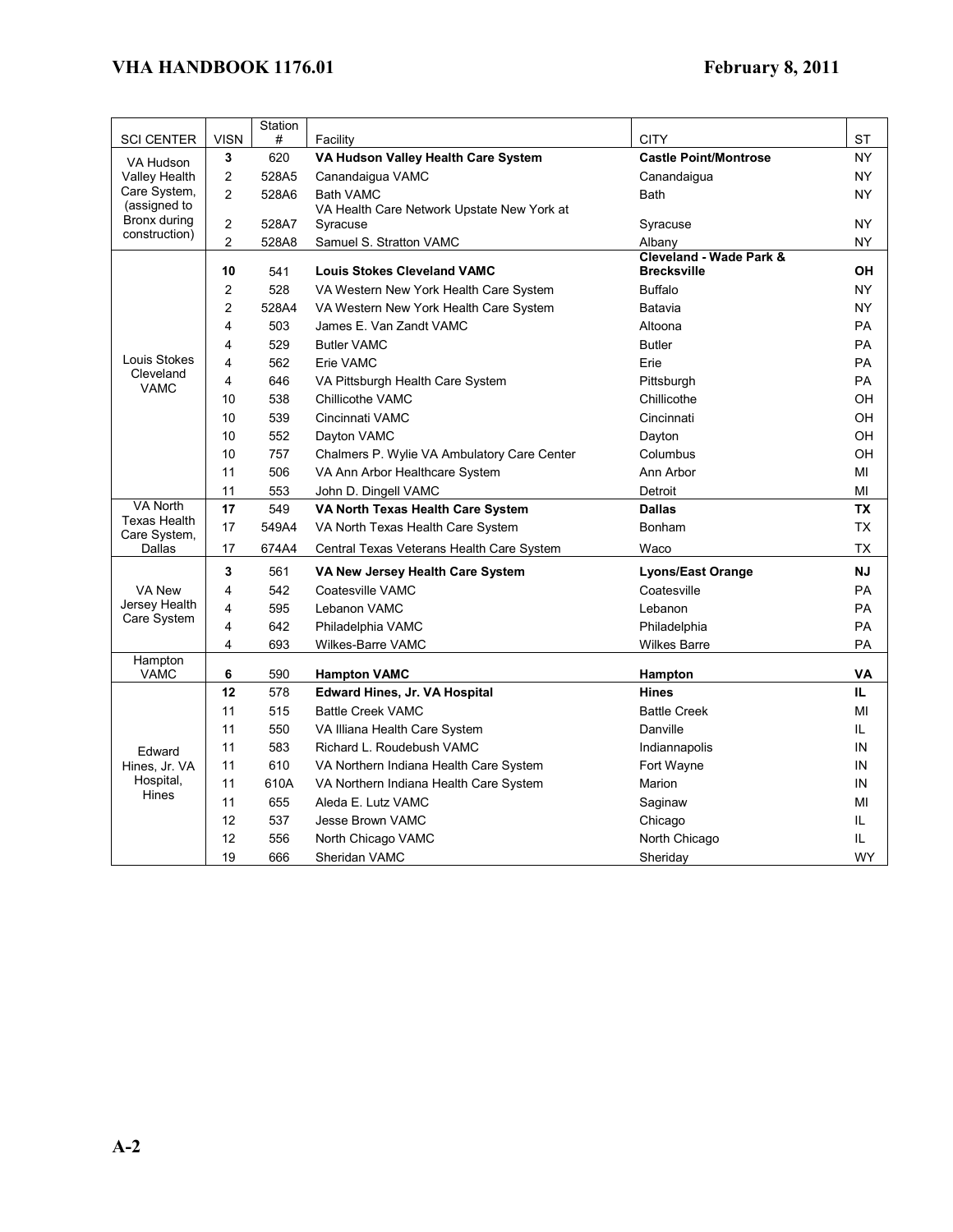|                                              |                | Station |                                             |                                   |           |
|----------------------------------------------|----------------|---------|---------------------------------------------|-----------------------------------|-----------|
| <b>SCI CENTER</b>                            | <b>VISN</b>    | #       | Facility                                    | <b>CITY</b>                       | ST        |
| VA Hudson                                    | 3              | 620     | VA Hudson Valley Health Care System         | <b>Castle Point/Montrose</b>      | NY        |
| <b>Valley Health</b>                         | 2              | 528A5   | Canandaigua VAMC                            | Canandaigua                       | <b>NY</b> |
| Care System,<br>(assigned to<br>Bronx during | $\overline{2}$ | 528A6   | <b>Bath VAMC</b>                            | <b>Bath</b>                       | <b>NY</b> |
|                                              |                |         | VA Health Care Network Upstate New York at  |                                   |           |
| construction)                                | 2              | 528A7   | Syracuse                                    | Syracuse                          | <b>NY</b> |
|                                              | $\overline{2}$ | 528A8   | Samuel S. Stratton VAMC                     | Albany<br>Cleveland - Wade Park & | <b>NY</b> |
|                                              | 10             | 541     | <b>Louis Stokes Cleveland VAMC</b>          | <b>Brecksville</b>                | OH        |
|                                              | 2              | 528     | VA Western New York Health Care System      | <b>Buffalo</b>                    | NY        |
|                                              | 2              | 528A4   | VA Western New York Health Care System      | Batavia                           | <b>NY</b> |
|                                              | 4              | 503     | James E. Van Zandt VAMC                     | Altoona                           | <b>PA</b> |
|                                              | 4              | 529     | <b>Butler VAMC</b>                          | <b>Butler</b>                     | <b>PA</b> |
| Louis Stokes                                 | 4              | 562     | Erie VAMC                                   | Erie                              | PA        |
| Cleveland                                    | 4              | 646     | VA Pittsburgh Health Care System            | Pittsburgh                        | PA        |
| VAMC                                         | 10             | 538     | Chillicothe VAMC                            | Chillicothe                       | OН        |
|                                              | 10             | 539     | Cincinnati VAMC                             | Cincinnati                        | OH        |
|                                              | 10             | 552     | Dayton VAMC                                 | Dayton                            | OH        |
|                                              | 10             | 757     | Chalmers P. Wylie VA Ambulatory Care Center | Columbus                          | OH        |
|                                              | 11             | 506     | VA Ann Arbor Healthcare System              | Ann Arbor                         | MI        |
|                                              | 11             | 553     | John D. Dingell VAMC                        | Detroit                           | MI        |
| <b>VA North</b>                              | 17             | 549     | VA North Texas Health Care System           | <b>Dallas</b>                     | ТX        |
| <b>Texas Health</b><br>Care System,          | 17             | 549A4   | VA North Texas Health Care System           | Bonham                            | <b>TX</b> |
| Dallas                                       | 17             | 674A4   | Central Texas Veterans Health Care System   | Waco                              | <b>TX</b> |
|                                              | 3              | 561     | VA New Jersey Health Care System            | <b>Lyons/East Orange</b>          | <b>NJ</b> |
| VA New                                       | 4              | 542     | Coatesville VAMC                            | Coatesville                       | <b>PA</b> |
| Jersey Health                                | 4              | 595     | Lebanon VAMC                                | Lebanon                           | PA        |
| Care System                                  | 4              | 642     | Philadelphia VAMC                           | Philadelphia                      | PA        |
|                                              | 4              | 693     | Wilkes-Barre VAMC                           | <b>Wilkes Barre</b>               | PA        |
| Hampton<br><b>VAMC</b>                       | 6              | 590     | <b>Hampton VAMC</b>                         | Hampton                           | VA        |
|                                              | 12             | 578     | <b>Edward Hines, Jr. VA Hospital</b>        | <b>Hines</b>                      | IL.       |
|                                              | 11             | 515     | <b>Battle Creek VAMC</b>                    | <b>Battle Creek</b>               | MI        |
|                                              | 11             | 550     | VA Illiana Health Care System               | Danville                          | IL.       |
|                                              | 11             | 583     | Richard L. Roudebush VAMC                   | Indiannapolis                     | IN        |
| Edward<br>Hines, Jr. VA                      | 11             | 610     | VA Northern Indiana Health Care System      | Fort Wayne                        | IN        |
| Hospital,                                    | 11             | 610A    | VA Northern Indiana Health Care System      | Marion                            | IN        |
| Hines                                        | 11             | 655     | Aleda E. Lutz VAMC                          | Saginaw                           | MI        |
|                                              | 12             | 537     | Jesse Brown VAMC                            | Chicago                           | IL        |
|                                              | 12             | 556     | North Chicago VAMC                          | North Chicago                     | IL        |
|                                              | 19             | 666     | Sheridan VAMC                               | Sheriday                          | <b>WY</b> |
|                                              |                |         |                                             |                                   |           |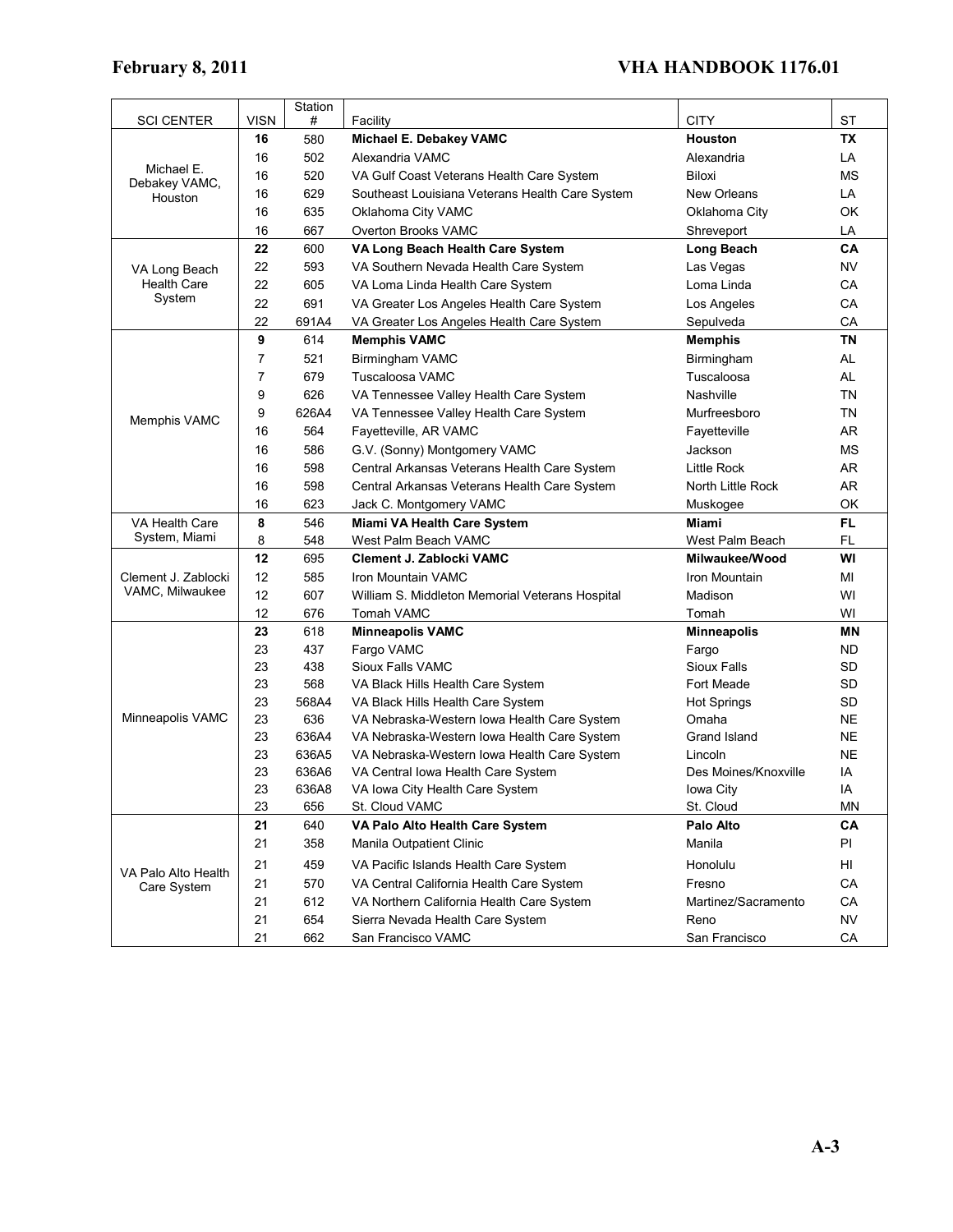|                                    |             | Station |                                                 |                      |           |
|------------------------------------|-------------|---------|-------------------------------------------------|----------------------|-----------|
| <b>SCI CENTER</b>                  | <b>VISN</b> | #       | Facility                                        | CITY                 | ST        |
|                                    | 16          | 580     | Michael E. Debakey VAMC                         | <b>Houston</b>       | ТX        |
| Michael E.                         | 16          | 502     | Alexandria VAMC                                 | Alexandria           | LA        |
| Debakey VAMC,                      | 16          | 520     | VA Gulf Coast Veterans Health Care System       | Biloxi               | <b>MS</b> |
| Houston                            | 16          | 629     | Southeast Louisiana Veterans Health Care System | <b>New Orleans</b>   | LA        |
|                                    | 16          | 635     | Oklahoma City VAMC                              | Oklahoma City        | OK        |
|                                    | 16          | 667     | Overton Brooks VAMC                             | Shreveport           | LA        |
|                                    | 22          | 600     | VA Long Beach Health Care System                | Long Beach           | CA        |
| VA Long Beach                      | 22          | 593     | VA Southern Nevada Health Care System           | Las Vegas            | NV        |
| <b>Health Care</b>                 | 22          | 605     | VA Loma Linda Health Care System                | Loma Linda           | CA        |
| System                             | 22          | 691     | VA Greater Los Angeles Health Care System       | Los Angeles          | CA        |
|                                    | 22          | 691A4   | VA Greater Los Angeles Health Care System       | Sepulveda            | CA        |
|                                    | 9           | 614     | <b>Memphis VAMC</b>                             | <b>Memphis</b>       | <b>TN</b> |
|                                    | 7           | 521     | Birmingham VAMC                                 | Birmingham           | AL        |
|                                    | 7           | 679     | Tuscaloosa VAMC                                 | Tuscaloosa           | AL        |
|                                    | 9           | 626     | VA Tennessee Valley Health Care System          | Nashville            | ΤN        |
| Memphis VAMC                       | 9           | 626A4   | VA Tennessee Valley Health Care System          | Murfreesboro         | ΤN        |
|                                    | 16          | 564     | Fayetteville, AR VAMC                           | Fayetteville         | <b>AR</b> |
|                                    | 16          | 586     | G.V. (Sonny) Montgomery VAMC                    | Jackson              | ΜS        |
|                                    | 16          | 598     | Central Arkansas Veterans Health Care System    | <b>Little Rock</b>   | AR        |
|                                    | 16          | 598     | Central Arkansas Veterans Health Care System    | North Little Rock    | AR        |
|                                    | 16          | 623     | Jack C. Montgomery VAMC                         | Muskogee             | OK        |
| VA Health Care                     | 8           | 546     | <b>Miami VA Health Care System</b>              | Miami                | FL        |
| System, Miami                      | 8           | 548     | West Palm Beach VAMC                            | West Palm Beach      | FL        |
|                                    | 12          | 695     | Clement J. Zablocki VAMC                        | Milwaukee/Wood       | WI        |
| Clement J. Zablocki                | 12          | 585     | Iron Mountain VAMC                              | Iron Mountain        | MI        |
| VAMC, Milwaukee                    | 12          | 607     | William S. Middleton Memorial Veterans Hospital | Madison              | WI        |
|                                    | 12          | 676     | Tomah VAMC                                      | Tomah                | WI        |
|                                    | 23          | 618     | <b>Minneapolis VAMC</b>                         | <b>Minneapolis</b>   | <b>MN</b> |
|                                    | 23          | 437     | Fargo VAMC                                      | Fargo                | ND.       |
|                                    | 23          | 438     | Sioux Falls VAMC                                | Sioux Falls          | <b>SD</b> |
|                                    | 23          | 568     | VA Black Hills Health Care System               | Fort Meade           | SD        |
|                                    | 23          | 568A4   | VA Black Hills Health Care System               | <b>Hot Springs</b>   | <b>SD</b> |
| Minneapolis VAMC                   | 23          | 636     | VA Nebraska-Western Iowa Health Care System     | Omaha                | NE        |
|                                    | 23          | 636A4   | VA Nebraska-Western Iowa Health Care System     | Grand Island         | NE        |
|                                    | 23          | 636A5   | VA Nebraska-Western Iowa Health Care System     | Lincoln              | <b>NE</b> |
|                                    | 23          | 636A6   | VA Central Iowa Health Care System              | Des Moines/Knoxville | IA        |
|                                    | 23          | 636A8   | VA Iowa City Health Care System                 | Iowa City            | IA        |
|                                    | 23          | 656     | St. Cloud VAMC                                  | St. Cloud            | MN        |
|                                    | 21          | 640     | VA Palo Alto Health Care System                 | Palo Alto            | CА        |
|                                    | 21          | 358     | Manila Outpatient Clinic                        | Manila               | PI        |
|                                    | 21          | 459     | VA Pacific Islands Health Care System           | Honolulu             | HI        |
| VA Palo Alto Health<br>Care System | 21          | 570     | VA Central California Health Care System        | Fresno               | CA        |
|                                    | 21          | 612     | VA Northern California Health Care System       | Martinez/Sacramento  | CA        |
|                                    | 21          | 654     | Sierra Nevada Health Care System                | Reno                 | <b>NV</b> |
|                                    | 21          | 662     | San Francisco VAMC                              | San Francisco        | CA        |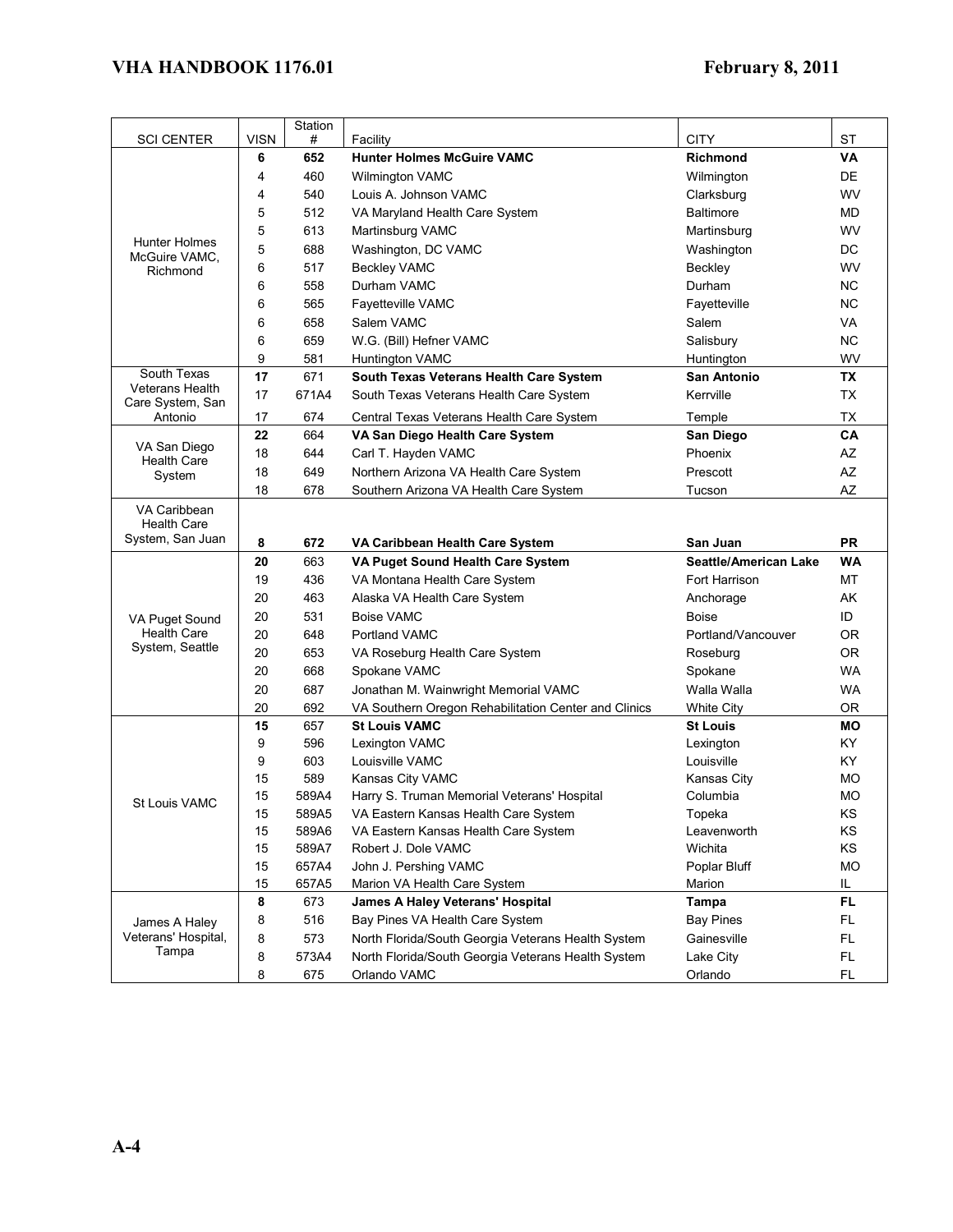| <b>SCI CENTER</b>           | <b>VISN</b> | Station<br># | Facility                                             | <b>CITY</b>                  | <b>ST</b> |
|-----------------------------|-------------|--------------|------------------------------------------------------|------------------------------|-----------|
|                             | 6           | 652          | <b>Hunter Holmes McGuire VAMC</b>                    | <b>Richmond</b>              | VA        |
|                             | 4           | 460          | Wilmington VAMC                                      | Wilmington                   | DE        |
|                             | 4           | 540          | Louis A. Johnson VAMC                                | Clarksburg                   | <b>WV</b> |
|                             | 5           | 512          | VA Maryland Health Care System                       | <b>Baltimore</b>             | MD        |
|                             | 5           | 613          | Martinsburg VAMC                                     | Martinsburg                  | <b>WV</b> |
| Hunter Holmes               | 5           | 688          | Washington, DC VAMC                                  | Washington                   | DC        |
| McGuire VAMC,<br>Richmond   | 6           | 517          | <b>Beckley VAMC</b>                                  | Beckley                      | WV        |
|                             | 6           | 558          | Durham VAMC                                          | Durham                       | <b>NC</b> |
|                             | 6           | 565          | <b>Fayetteville VAMC</b>                             | Fayetteville                 | <b>NC</b> |
|                             | 6           | 658          | Salem VAMC                                           | Salem                        | VA        |
|                             | 6           | 659          | W.G. (Bill) Hefner VAMC                              | Salisbury                    | <b>NC</b> |
|                             | 9           | 581          | <b>Huntington VAMC</b>                               | Huntington                   | <b>WV</b> |
| South Texas                 | 17          | 671          | South Texas Veterans Health Care System              | <b>San Antonio</b>           | TX        |
| Veterans Health             | 17          | 671A4        | South Texas Veterans Health Care System              | Kerrville                    | <b>TX</b> |
| Care System, San<br>Antonio | 17          | 674          | Central Texas Veterans Health Care System            | Temple                       | TX        |
|                             | 22          | 664          | VA San Diego Health Care System                      | San Diego                    | CA        |
| VA San Diego                | 18          | 644          | Carl T. Hayden VAMC                                  | Phoenix                      | AZ        |
| <b>Health Care</b>          | 18          | 649          | Northern Arizona VA Health Care System               | Prescott                     | AZ        |
| System                      | 18          | 678          | Southern Arizona VA Health Care System               | Tucson                       | <b>AZ</b> |
| VA Caribbean                |             |              |                                                      |                              |           |
| <b>Health Care</b>          |             |              |                                                      |                              |           |
| System, San Juan            | 8           | 672          | VA Caribbean Health Care System                      | San Juan                     | <b>PR</b> |
|                             | 20          | 663          | VA Puget Sound Health Care System                    | <b>Seattle/American Lake</b> | <b>WA</b> |
|                             | 19          | 436          | VA Montana Health Care System                        | Fort Harrison                | МT        |
|                             | 20          | 463          | Alaska VA Health Care System                         | Anchorage                    | AK        |
| VA Puget Sound              | 20          | 531          | <b>Boise VAMC</b>                                    | <b>Boise</b>                 | ID        |
| <b>Health Care</b>          | 20          | 648          | Portland VAMC                                        | Portland/Vancouver           | 0R        |
| System, Seattle             | 20          | 653          | VA Roseburg Health Care System                       | Roseburg                     | 0R        |
|                             | 20          | 668          | Spokane VAMC                                         | Spokane                      | <b>WA</b> |
|                             | 20          | 687          | Jonathan M. Wainwright Memorial VAMC                 | Walla Walla                  | <b>WA</b> |
|                             | 20          | 692          | VA Southern Oregon Rehabilitation Center and Clinics | <b>White City</b>            | 0R        |
|                             | 15          | 657          | <b>St Louis VAMC</b>                                 | <b>St Louis</b>              | МO        |
|                             | 9           | 596          | Lexington VAMC                                       | Lexington                    | KY.       |
|                             | 9           | 603          | Louisville VAMC                                      | Louisville                   | KY        |
|                             | 15          | 589          | Kansas City VAMC                                     | Kansas City                  | MO.       |
| St Louis VAMC               | 15          | 589A4        | Harry S. Truman Memorial Veterans' Hospital          | Columbia                     | MO        |
|                             | 15          | 589A5        | VA Eastern Kansas Health Care System                 | Topeka                       | KS        |
|                             | 15          | 589A6        | VA Eastern Kansas Health Care System                 | Leavenworth                  | KS        |
|                             | 15          | 589A7        | Robert J. Dole VAMC                                  | Wichita                      | KS        |
|                             | 15          | 657A4        | John J. Pershing VAMC                                | Poplar Bluff                 | MO        |
|                             | 15          | 657A5        | Marion VA Health Care System                         | Marion                       | IL        |
|                             | 8           | 673          | James A Haley Veterans' Hospital                     | Tampa                        | FL        |
| James A Haley               | 8           | 516          | Bay Pines VA Health Care System                      | <b>Bay Pines</b>             | FL        |
| Veterans' Hospital,         | 8           | 573          | North Florida/South Georgia Veterans Health System   | Gainesville                  | FL.       |
| Tampa                       | 8           | 573A4        | North Florida/South Georgia Veterans Health System   | Lake City                    | FL.       |
|                             | 8           | 675          | Orlando VAMC                                         | Orlando                      | FL.       |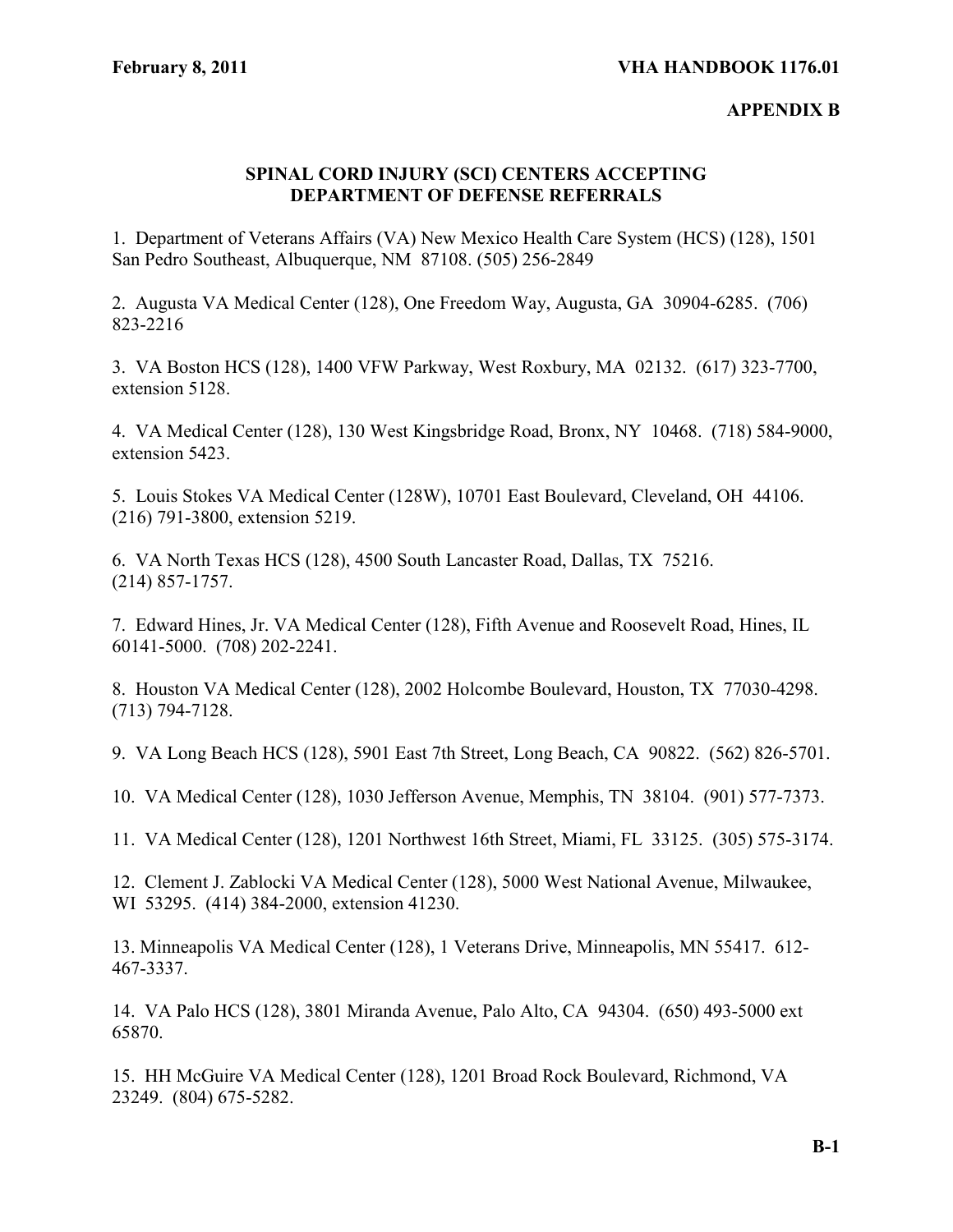# **APPENDIX B**

# **SPINAL CORD INJURY (SCI) CENTERS ACCEPTING DEPARTMENT OF DEFENSE REFERRALS**

1. Department of Veterans Affairs (VA) New Mexico Health Care System (HCS) (128), 1501 San Pedro Southeast, Albuquerque, NM 87108. (505) 256-2849

2. Augusta VA Medical Center (128), One Freedom Way, Augusta, GA 30904-6285. (706) 823-2216

3. VA Boston HCS (128), 1400 VFW Parkway, West Roxbury, MA 02132. (617) 323-7700, extension 5128.

4. VA Medical Center (128), 130 West Kingsbridge Road, Bronx, NY 10468. (718) 584-9000, extension 5423.

5. Louis Stokes VA Medical Center (128W), 10701 East Boulevard, Cleveland, OH 44106. (216) 791-3800, extension 5219.

6. VA North Texas HCS (128), 4500 South Lancaster Road, Dallas, TX 75216. (214) 857-1757.

7. Edward Hines, Jr. VA Medical Center (128), Fifth Avenue and Roosevelt Road, Hines, IL 60141-5000. (708) 202-2241.

8. Houston VA Medical Center (128), 2002 Holcombe Boulevard, Houston, TX 77030-4298. (713) 794-7128.

9. VA Long Beach HCS (128), 5901 East 7th Street, Long Beach, CA 90822. (562) 826-5701.

10. VA Medical Center (128), 1030 Jefferson Avenue, Memphis, TN 38104. (901) 577-7373.

11. VA Medical Center (128), 1201 Northwest 16th Street, Miami, FL 33125. (305) 575-3174.

12. Clement J. Zablocki VA Medical Center (128), 5000 West National Avenue, Milwaukee, WI 53295. (414) 384-2000, extension 41230.

13. Minneapolis VA Medical Center (128), 1 Veterans Drive, Minneapolis, MN 55417. 612- 467-3337.

14. VA Palo HCS (128), 3801 Miranda Avenue, Palo Alto, CA 94304. (650) 493-5000 ext 65870.

15. HH McGuire VA Medical Center (128), 1201 Broad Rock Boulevard, Richmond, VA 23249. (804) 675-5282.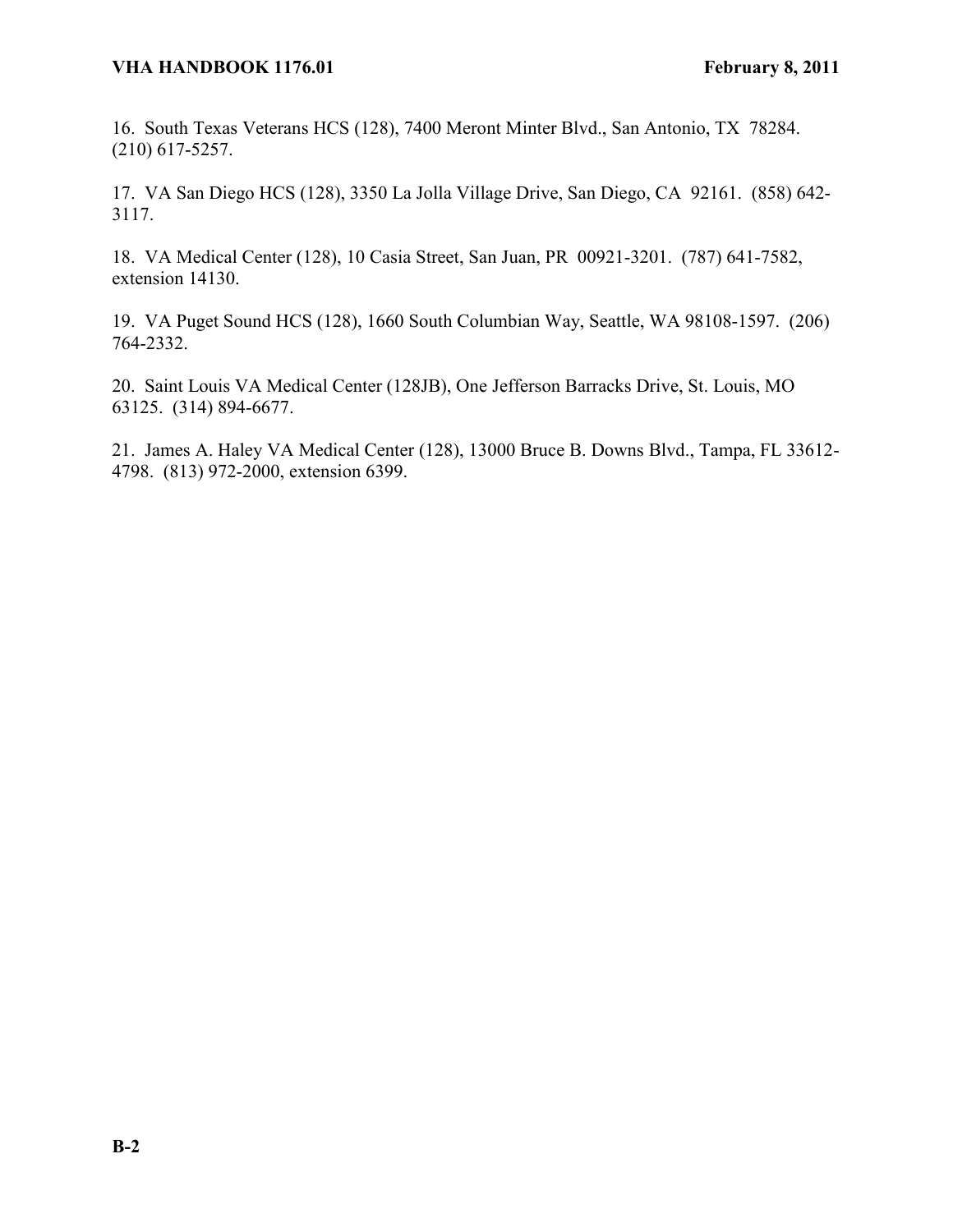16. South Texas Veterans HCS (128), 7400 Meront Minter Blvd., San Antonio, TX 78284. (210) 617-5257.

17. VA San Diego HCS (128), 3350 La Jolla Village Drive, San Diego, CA 92161. (858) 642- 3117.

18. VA Medical Center (128), 10 Casia Street, San Juan, PR 00921-3201. (787) 641-7582, extension 14130.

19. VA Puget Sound HCS (128), 1660 South Columbian Way, Seattle, WA 98108-1597. (206) 764-2332.

20. Saint Louis VA Medical Center (128JB), One Jefferson Barracks Drive, St. Louis, MO 63125. (314) 894-6677.

21. James A. Haley VA Medical Center (128), 13000 Bruce B. Downs Blvd., Tampa, FL 33612- 4798. (813) 972-2000, extension 6399.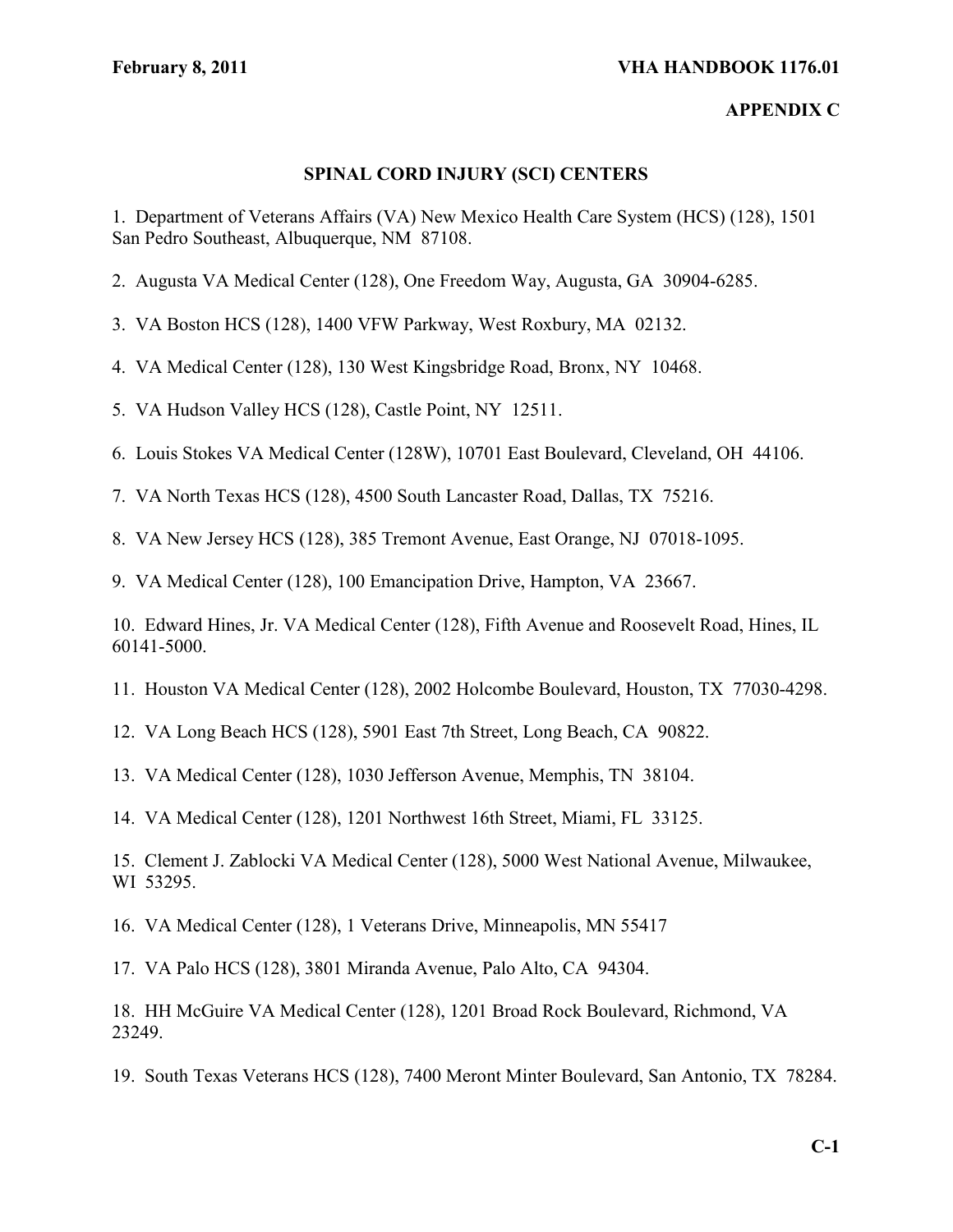#### **APPENDIX C**

### **SPINAL CORD INJURY (SCI) CENTERS**

1. Department of Veterans Affairs (VA) New Mexico Health Care System (HCS) (128), 1501 San Pedro Southeast, Albuquerque, NM 87108.

- 2. Augusta VA Medical Center (128), One Freedom Way, Augusta, GA 30904-6285.
- 3. VA Boston HCS (128), 1400 VFW Parkway, West Roxbury, MA 02132.
- 4. VA Medical Center (128), 130 West Kingsbridge Road, Bronx, NY 10468.
- 5. VA Hudson Valley HCS (128), Castle Point, NY 12511.
- 6. Louis Stokes VA Medical Center (128W), 10701 East Boulevard, Cleveland, OH 44106.
- 7. VA North Texas HCS (128), 4500 South Lancaster Road, Dallas, TX 75216.
- 8. VA New Jersey HCS (128), 385 Tremont Avenue, East Orange, NJ 07018-1095.

9. VA Medical Center (128), 100 Emancipation Drive, Hampton, VA 23667.

10. Edward Hines, Jr. VA Medical Center (128), Fifth Avenue and Roosevelt Road, Hines, IL 60141-5000.

- 11. Houston VA Medical Center (128), 2002 Holcombe Boulevard, Houston, TX 77030-4298.
- 12. VA Long Beach HCS (128), 5901 East 7th Street, Long Beach, CA 90822.
- 13. VA Medical Center (128), 1030 Jefferson Avenue, Memphis, TN 38104.

14. VA Medical Center (128), 1201 Northwest 16th Street, Miami, FL 33125.

15. Clement J. Zablocki VA Medical Center (128), 5000 West National Avenue, Milwaukee, WI 53295.

16. VA Medical Center (128), 1 Veterans Drive, Minneapolis, MN 55417

17. VA Palo HCS (128), 3801 Miranda Avenue, Palo Alto, CA 94304.

18. HH McGuire VA Medical Center (128), 1201 Broad Rock Boulevard, Richmond, VA 23249.

19. South Texas Veterans HCS (128), 7400 Meront Minter Boulevard, San Antonio, TX 78284.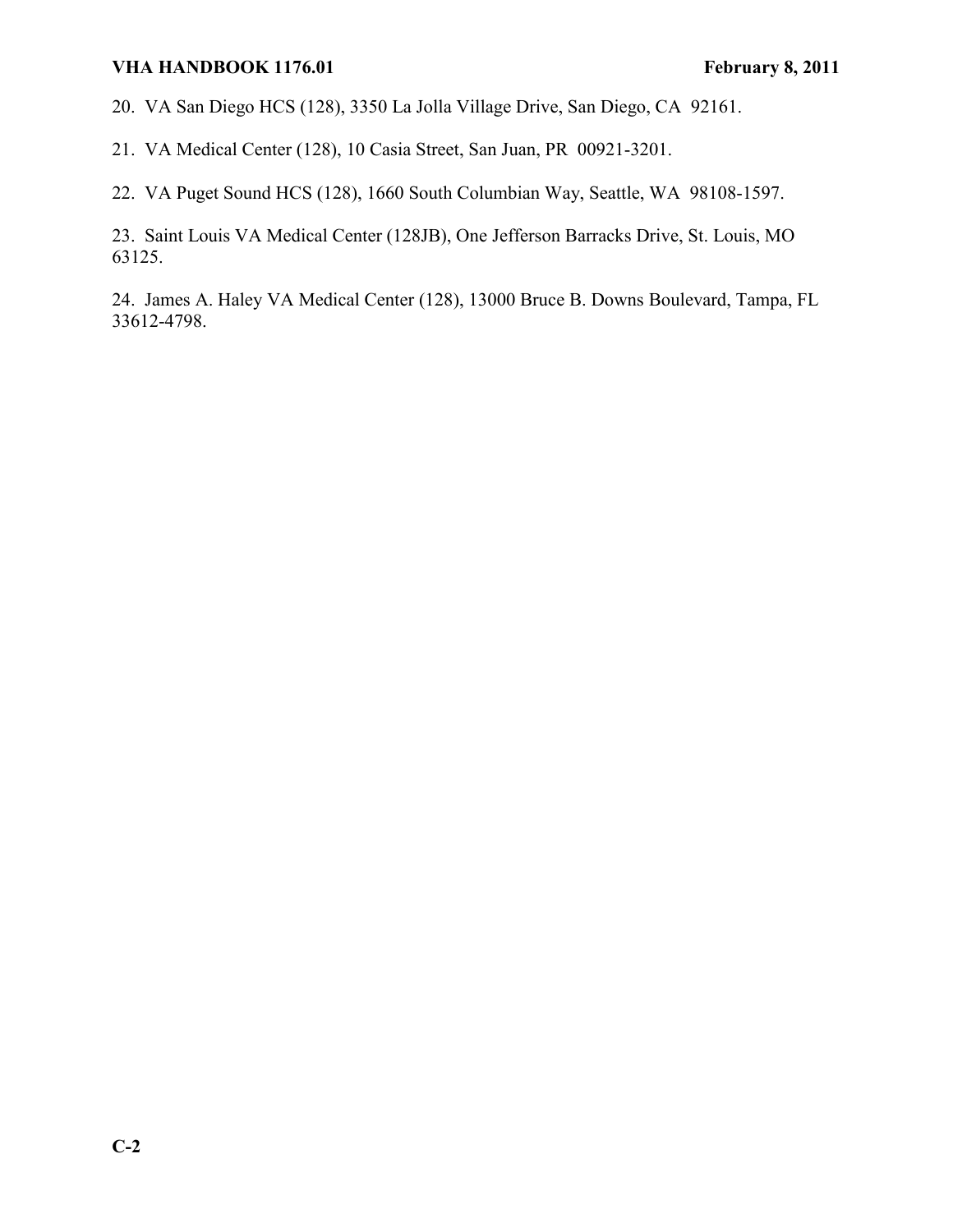20. VA San Diego HCS (128), 3350 La Jolla Village Drive, San Diego, CA 92161.

21. VA Medical Center (128), 10 Casia Street, San Juan, PR 00921-3201.

22. VA Puget Sound HCS (128), 1660 South Columbian Way, Seattle, WA 98108-1597.

23. Saint Louis VA Medical Center (128JB), One Jefferson Barracks Drive, St. Louis, MO 63125.

24. James A. Haley VA Medical Center (128), 13000 Bruce B. Downs Boulevard, Tampa, FL 33612-4798.